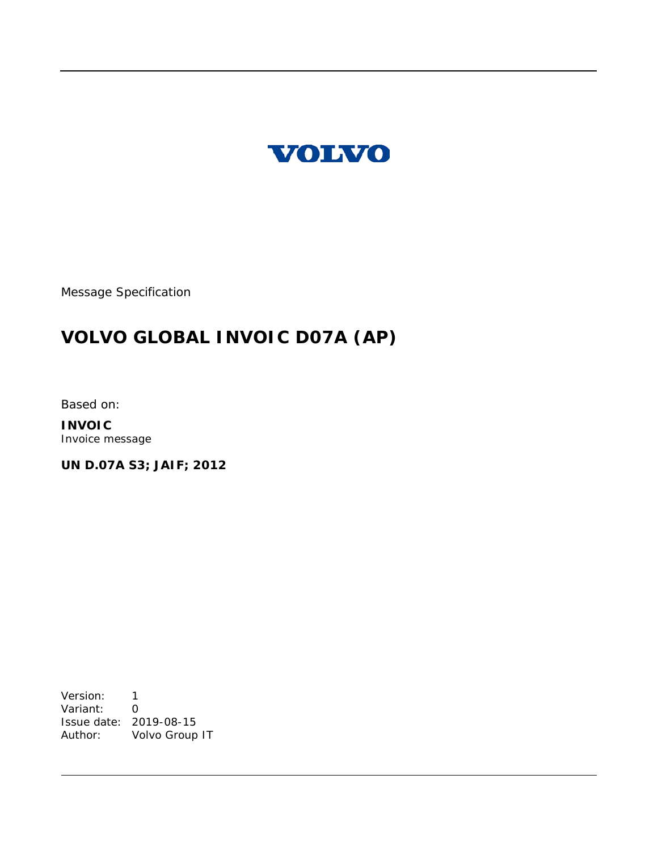

Message Specification

# **VOLVO GLOBAL INVOIC D07A (AP)**

Based on:

**INVOIC** Invoice message

**UN D.07A S3; JAIF; 2012**

Version: 1 Variant: 0 Issue date: 2019-08-15 Author: Volvo Group IT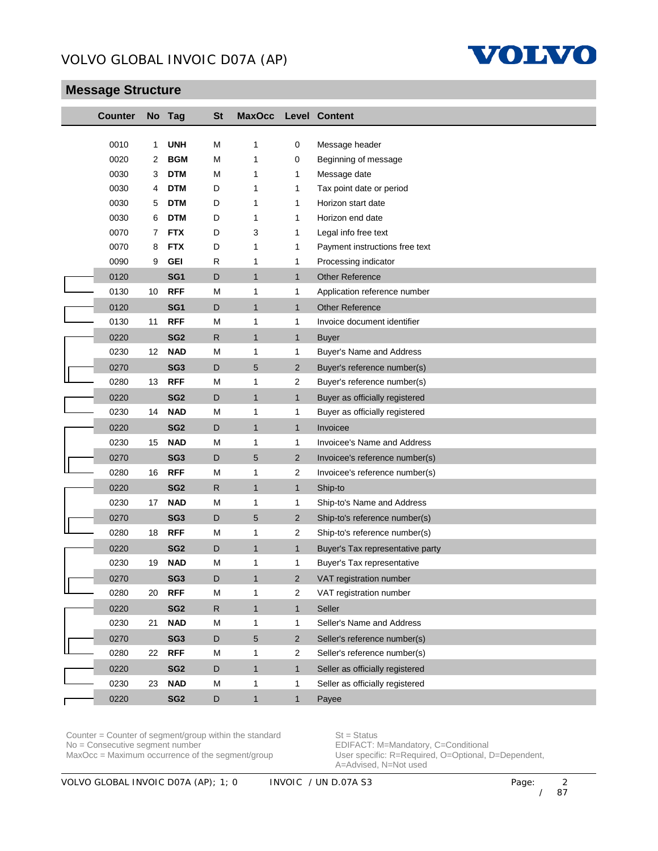

# **Message Structure**

| <b>Counter</b> |    | No Tag          | <b>St</b>    | <b>MaxOcc</b> |                | <b>Level Content</b>             |
|----------------|----|-----------------|--------------|---------------|----------------|----------------------------------|
|                |    |                 |              |               |                |                                  |
| 0010           | 1  | <b>UNH</b>      | M            | 1             | 0              | Message header                   |
| 0020           | 2  | <b>BGM</b>      | M            | 1             | 0              | Beginning of message             |
| 0030           | 3  | <b>DTM</b>      | M            | 1             | 1              | Message date                     |
| 0030           | 4  | <b>DTM</b>      | D            | 1             | 1              | Tax point date or period         |
| 0030           | 5  | <b>DTM</b>      | D            | 1             | 1              | Horizon start date               |
| 0030           | 6  | <b>DTM</b>      | D            | 1             | 1              | Horizon end date                 |
| 0070           | 7  | <b>FTX</b>      | D            | 3             | 1              | Legal info free text             |
| 0070           | 8  | <b>FTX</b>      | D            | 1             | 1              | Payment instructions free text   |
| 0090           | 9  | <b>GEI</b>      | R            | 1             | 1              | Processing indicator             |
| 0120           |    | SG <sub>1</sub> | D            | $\mathbf{1}$  | $\mathbf{1}$   | <b>Other Reference</b>           |
| 0130           | 10 | <b>RFF</b>      | M            | 1             | 1              | Application reference number     |
| 0120           |    | SG <sub>1</sub> | D            | $\mathbf{1}$  | $\mathbf{1}$   | <b>Other Reference</b>           |
| 0130           | 11 | <b>RFF</b>      | M            | 1             | 1              | Invoice document identifier      |
| 0220           |    | SG <sub>2</sub> | $\mathsf{R}$ | $\mathbf{1}$  | $\mathbf{1}$   | <b>Buyer</b>                     |
| 0230           | 12 | <b>NAD</b>      | M            | 1             | 1              | Buyer's Name and Address         |
| 0270           |    | SG <sub>3</sub> | D            | 5             | $\overline{2}$ | Buyer's reference number(s)      |
| 0280           | 13 | <b>RFF</b>      | M            | 1             | $\overline{2}$ | Buyer's reference number(s)      |
| 0220           |    | SG <sub>2</sub> | D            | $\mathbf{1}$  | $\mathbf{1}$   | Buyer as officially registered   |
| 0230           | 14 | <b>NAD</b>      | M            | 1             | 1              | Buyer as officially registered   |
| 0220           |    | SG <sub>2</sub> | D            | $\mathbf{1}$  | $\mathbf{1}$   | Invoicee                         |
| 0230           | 15 | <b>NAD</b>      | M            | 1             | 1              | Invoicee's Name and Address      |
| 0270           |    | SG <sub>3</sub> | D            | 5             | $\overline{2}$ | Invoicee's reference number(s)   |
| 0280           | 16 | <b>RFF</b>      | M            | 1             | $\overline{2}$ | Invoicee's reference number(s)   |
| 0220           |    | SG <sub>2</sub> | $\mathsf{R}$ | $\mathbf{1}$  | $\mathbf{1}$   | Ship-to                          |
| 0230           | 17 | <b>NAD</b>      | M            | 1             | 1              | Ship-to's Name and Address       |
| 0270           |    | SG <sub>3</sub> | D            | 5             | $\overline{2}$ | Ship-to's reference number(s)    |
| 0280           | 18 | <b>RFF</b>      | M            | 1             | $\overline{2}$ | Ship-to's reference number(s)    |
| 0220           |    | SG <sub>2</sub> | D            | $\mathbf{1}$  | $\mathbf{1}$   | Buyer's Tax representative party |
| 0230           | 19 | <b>NAD</b>      | M            | 1             | 1              | Buyer's Tax representative       |
| 0270           |    | SG <sub>3</sub> | D            | $\mathbf{1}$  | $\overline{2}$ | VAT registration number          |
| 0280           | 20 | <b>RFF</b>      | M            | 1             | 2              | VAT registration number          |
| 0220           |    | SG <sub>2</sub> | $\mathsf{R}$ | $\mathbf{1}$  | $\mathbf{1}$   | Seller                           |
| 0230           | 21 | <b>NAD</b>      | M            | 1             | 1              | Seller's Name and Address        |
| 0270           |    | SG <sub>3</sub> | D            | 5             | 2              | Seller's reference number(s)     |
| 0280           | 22 | <b>RFF</b>      | M            | $\mathbf{1}$  | $\overline{c}$ | Seller's reference number(s)     |
| 0220           |    | SG <sub>2</sub> | D            | $\mathbf{1}$  | $\mathbf{1}$   | Seller as officially registered  |
| 0230           | 23 | <b>NAD</b>      | M            | 1             | $\mathbf{1}$   | Seller as officially registered  |
| 0220           |    | SG <sub>2</sub> | D            | $\mathbf{1}$  | $\mathbf{1}$   | Payee                            |

Counter = Counter of segment/group within the standard St = Status<br>No = Consecutive segment number EDIFACT: N No = Consecutive segment number<br>
MaxOcc = Maximum occurrence of the segment/group<br>
User specific: R=Required, O=Optional, I

User specific: R=Required, O=Optional, D=Dependent, A=Advised, N=Not used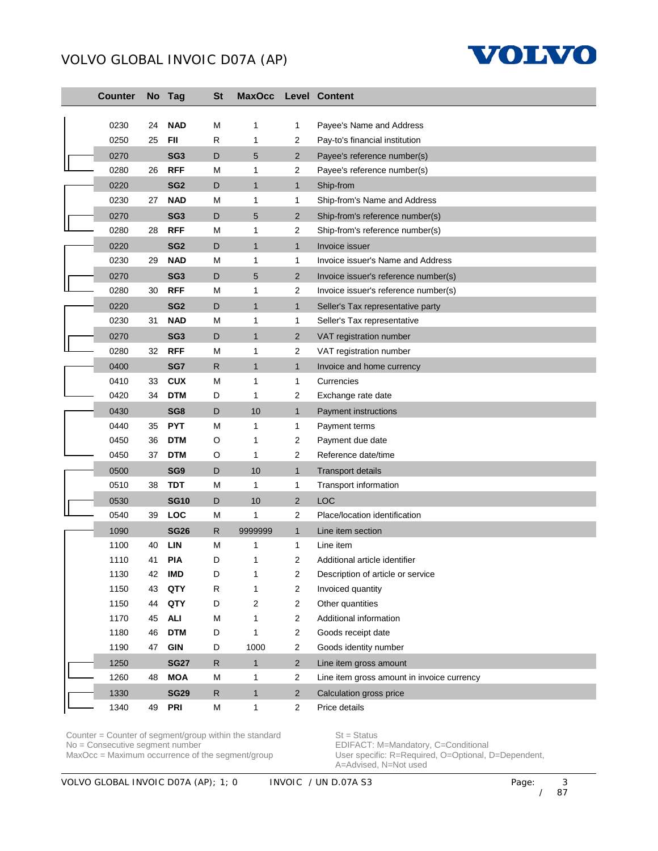

| <b>Counter</b> |    | No Tag          | <b>St</b>    | <b>MaxOcc</b> |                | Level Content                              |
|----------------|----|-----------------|--------------|---------------|----------------|--------------------------------------------|
|                |    |                 |              |               |                |                                            |
| 0230           | 24 | <b>NAD</b>      | M            | 1             | 1              | Payee's Name and Address                   |
| 0250           | 25 | <b>FII</b>      | $\mathsf{R}$ | 1             | 2              | Pay-to's financial institution             |
| 0270           |    | SG <sub>3</sub> | D            | 5             | $\overline{2}$ | Payee's reference number(s)                |
| 0280           | 26 | <b>RFF</b>      | M            | 1             | $\overline{2}$ | Payee's reference number(s)                |
| 0220           |    | SG <sub>2</sub> | D            | $\mathbf{1}$  | $\mathbf{1}$   | Ship-from                                  |
| 0230           | 27 | <b>NAD</b>      | M            | 1             | 1              | Ship-from's Name and Address               |
| 0270           |    | SG <sub>3</sub> | D            | 5             | $\overline{2}$ | Ship-from's reference number(s)            |
| 0280           | 28 | <b>RFF</b>      | M            | 1             | 2              | Ship-from's reference number(s)            |
| 0220           |    | SG <sub>2</sub> | D            | $\mathbf{1}$  | $\mathbf{1}$   | Invoice issuer                             |
| 0230           | 29 | <b>NAD</b>      | M            | 1             | 1              | Invoice issuer's Name and Address          |
| 0270           |    | SG <sub>3</sub> | D            | 5             | $\overline{2}$ | Invoice issuer's reference number(s)       |
| 0280           | 30 | <b>RFF</b>      | M            | 1             | 2              | Invoice issuer's reference number(s)       |
| 0220           |    | SG <sub>2</sub> | D            | $\mathbf{1}$  | $\mathbf{1}$   | Seller's Tax representative party          |
| 0230           | 31 | <b>NAD</b>      | M            | 1             | 1              | Seller's Tax representative                |
| 0270           |    | SG <sub>3</sub> | D            | $\mathbf{1}$  | $\overline{2}$ | VAT registration number                    |
| 0280           | 32 | <b>RFF</b>      | M            | 1             | 2              | VAT registration number                    |
| 0400           |    | SG7             | R            | $\mathbf{1}$  | $\mathbf{1}$   | Invoice and home currency                  |
| 0410           | 33 | <b>CUX</b>      | M            | 1             | 1              | Currencies                                 |
| 0420           | 34 | <b>DTM</b>      | D            | 1             | 2              | Exchange rate date                         |
| 0430           |    | SG8             | D            | 10            | $\mathbf{1}$   | Payment instructions                       |
| 0440           | 35 | <b>PYT</b>      | M            | 1             | 1              | Payment terms                              |
| 0450           | 36 | <b>DTM</b>      | O            | 1             | 2              | Payment due date                           |
| 0450           | 37 | <b>DTM</b>      | O            | 1             | 2              | Reference date/time                        |
| 0500           |    | SG <sub>9</sub> | D            | 10            | $\mathbf{1}$   | <b>Transport details</b>                   |
| 0510           | 38 | <b>TDT</b>      | M            | 1             | 1              | Transport information                      |
| 0530           |    | <b>SG10</b>     | D            | 10            | $\overline{2}$ | <b>LOC</b>                                 |
| 0540           | 39 | <b>LOC</b>      | M            | 1             | 2              | Place/location identification              |
| 1090           |    | <b>SG26</b>     | R            | 9999999       | $\mathbf{1}$   | Line item section                          |
| 1100           | 40 | <b>LIN</b>      | M            | 1             | 1              | Line item                                  |
| 1110           | 41 | <b>PIA</b>      | D            | 1             | 2              | Additional article identifier              |
| 1130           | 42 | IMD             | D            | 1             | 2              | Description of article or service          |
| 1150           | 43 | QTY             | R            | 1             | 2              | Invoiced quantity                          |
| 1150           | 44 | QTY             | D            | 2             | 2              | Other quantities                           |
| 1170           | 45 | <b>ALI</b>      | M            | 1             | 2              | Additional information                     |
| 1180           | 46 | <b>DTM</b>      | D            | 1             | 2              | Goods receipt date                         |
| 1190           | 47 | <b>GIN</b>      | D            | 1000          | 2              | Goods identity number                      |
| 1250           |    | <b>SG27</b>     | ${\sf R}$    | $\mathbf{1}$  | $\overline{2}$ | Line item gross amount                     |
| 1260           | 48 | <b>MOA</b>      | M            | 1             | $\overline{2}$ | Line item gross amount in invoice currency |
| 1330           |    | <b>SG29</b>     | ${\sf R}$    | $\mathbf{1}$  | $\overline{2}$ | Calculation gross price                    |
| 1340           | 49 | <b>PRI</b>      | M            | 1             | $\overline{c}$ | Price details                              |

Counter = Counter of segment/group within the standard  $St = Status$ No = Consecutive segment number example and the EDIFACT: M=Mandatory, C=Conditional

MaxOcc = Maximum occurrence of the segment/group User specific: R=Required, O=Optional, D=Dependent, A=Advised, N=Not used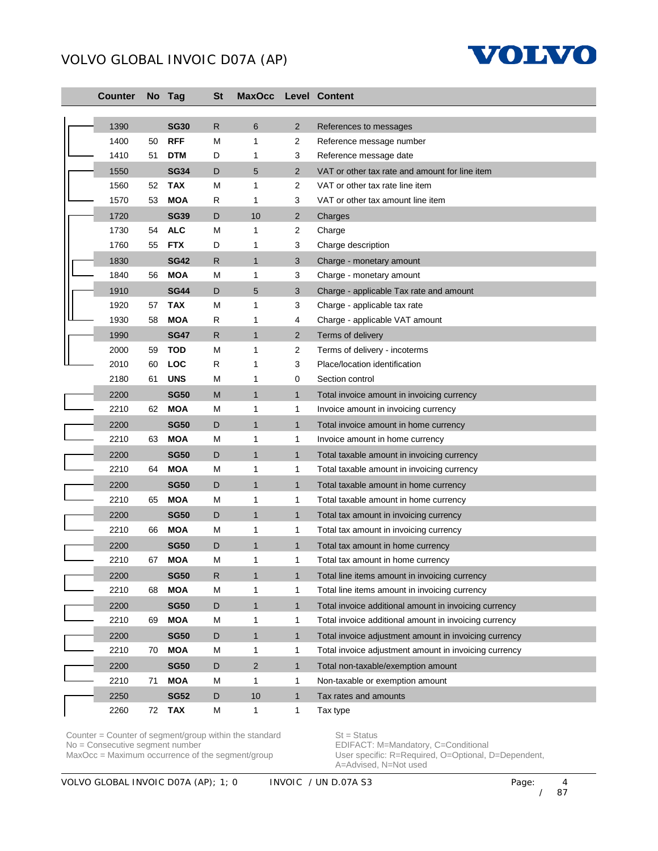

| <b>Counter</b> |    | No Tag      | <b>St</b>    | <b>MaxOcc</b>  |                | <b>Level Content</b>                                  |
|----------------|----|-------------|--------------|----------------|----------------|-------------------------------------------------------|
| 1390           |    | <b>SG30</b> | R.           | 6              | $\overline{2}$ | References to messages                                |
| 1400           | 50 | <b>RFF</b>  | M            | 1              | 2              | Reference message number                              |
| 1410           | 51 | <b>DTM</b>  | D            | 1              | 3              | Reference message date                                |
| 1550           |    | <b>SG34</b> | D            | 5              | $\overline{2}$ | VAT or other tax rate and amount for line item        |
| 1560           | 52 | <b>TAX</b>  | M            | 1              | 2              | VAT or other tax rate line item                       |
| 1570           | 53 | <b>MOA</b>  | R            | 1              | 3              | VAT or other tax amount line item                     |
| 1720           |    | <b>SG39</b> | D            | 10             | $\overline{2}$ | Charges                                               |
| 1730           | 54 | <b>ALC</b>  | M            | 1              | 2              | Charge                                                |
| 1760           | 55 | <b>FTX</b>  | D            | 1              | 3              | Charge description                                    |
| 1830           |    | <b>SG42</b> | $\mathsf{R}$ | $\mathbf{1}$   | 3              | Charge - monetary amount                              |
| 1840           | 56 | <b>MOA</b>  | M            | 1              | 3              | Charge - monetary amount                              |
| 1910           |    | <b>SG44</b> | D            | 5              | 3              | Charge - applicable Tax rate and amount               |
| 1920           | 57 | <b>TAX</b>  | M            | 1              | 3              | Charge - applicable tax rate                          |
| 1930           | 58 | <b>MOA</b>  | R            | 1              | 4              | Charge - applicable VAT amount                        |
| 1990           |    | <b>SG47</b> | R            | $\mathbf{1}$   | $\overline{2}$ | Terms of delivery                                     |
| 2000           | 59 | <b>TOD</b>  | M            | 1              | 2              | Terms of delivery - incoterms                         |
| 2010           | 60 | LOC         | R            | 1              | 3              | Place/location identification                         |
| 2180           | 61 | <b>UNS</b>  | Μ            | 1              | 0              | Section control                                       |
| 2200           |    | <b>SG50</b> | M            | $\mathbf{1}$   | $\mathbf{1}$   | Total invoice amount in invoicing currency            |
| 2210           | 62 | <b>MOA</b>  | M            | 1              | 1              | Invoice amount in invoicing currency                  |
| 2200           |    | <b>SG50</b> | D            | $\mathbf{1}$   | $\mathbf{1}$   | Total invoice amount in home currency                 |
| 2210           | 63 | <b>MOA</b>  | M            | 1              | $\mathbf 1$    | Invoice amount in home currency                       |
| 2200           |    | <b>SG50</b> | D            | $\mathbf{1}$   | $\mathbf{1}$   | Total taxable amount in invoicing currency            |
| 2210           | 64 | <b>MOA</b>  | M            | 1              | $\mathbf{1}$   | Total taxable amount in invoicing currency            |
| 2200           |    | <b>SG50</b> | D            | $\mathbf{1}$   | $\mathbf{1}$   | Total taxable amount in home currency                 |
| 2210           | 65 | <b>MOA</b>  | M            | 1              | $\mathbf 1$    | Total taxable amount in home currency                 |
| 2200           |    | <b>SG50</b> | D            | $\mathbf{1}$   | $\mathbf{1}$   | Total tax amount in invoicing currency                |
| 2210           | 66 | <b>MOA</b>  | M            | 1              | 1              | Total tax amount in invoicing currency                |
| 2200           |    | <b>SG50</b> | D            | $\mathbf{1}$   | $\mathbf{1}$   | Total tax amount in home currency                     |
| 2210           | 67 | <b>MOA</b>  | M            | 1              | $\mathbf{1}$   | Total tax amount in home currency                     |
| 2200           |    | <b>SG50</b> | ${\sf R}$    | 1              | 1              | Total line items amount in invoicing currency         |
| 2210           | 68 | <b>MOA</b>  | M            | 1              | 1              | Total line items amount in invoicing currency         |
| 2200           |    | <b>SG50</b> | D            | $\mathbf{1}$   | $\mathbf{1}$   | Total invoice additional amount in invoicing currency |
| 2210           | 69 | <b>MOA</b>  | M            | 1              | $\mathbf 1$    | Total invoice additional amount in invoicing currency |
| 2200           |    | <b>SG50</b> | D            | $\mathbf{1}$   | $\mathbf{1}$   | Total invoice adjustment amount in invoicing currency |
| 2210           | 70 | <b>MOA</b>  | M            | 1              | 1              | Total invoice adjustment amount in invoicing currency |
| 2200           |    | <b>SG50</b> | D            | $\overline{2}$ | $\mathbf{1}$   | Total non-taxable/exemption amount                    |
| 2210           | 71 | <b>MOA</b>  | M            | 1              | 1              | Non-taxable or exemption amount                       |
| 2250           |    | <b>SG52</b> | D            | 10             | $\mathbf{1}$   | Tax rates and amounts                                 |
| 2260           | 72 | <b>TAX</b>  | M            | $\mathbf{1}$   | $\mathbf{1}$   | Tax type                                              |

Counter = Counter of segment/group within the standard  $St = Status$ No = Consecutive segment number example and the EDIFACT: M=Mandatory, C=Conditional

MaxOcc = Maximum occurrence of the segment/group User specific: R=Required, O=Optional, D=Dependent, A=Advised, N=Not used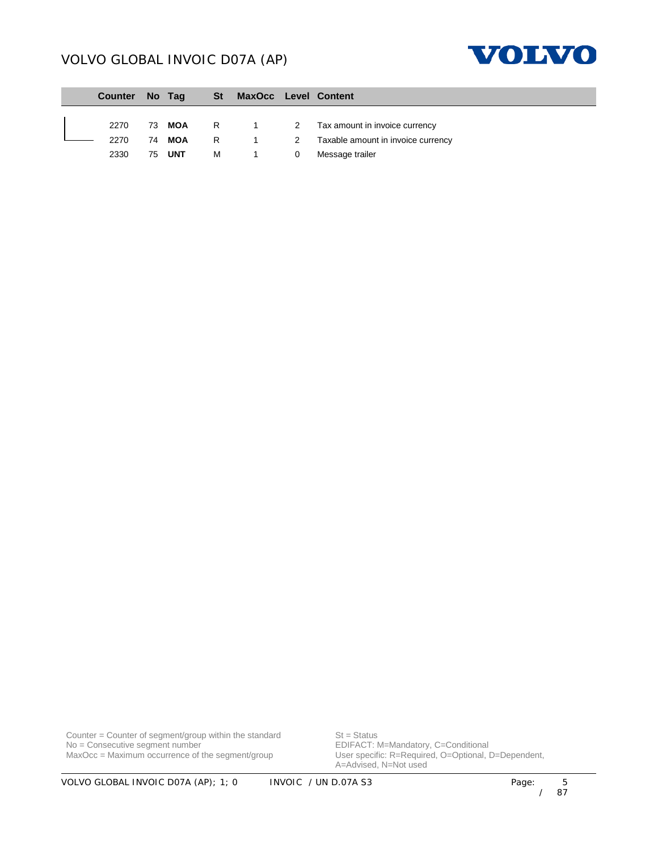

| Counter No Tag |        |   | St MaxOcc Level Content |                |                                      |
|----------------|--------|---|-------------------------|----------------|--------------------------------------|
|                |        |   |                         |                |                                      |
| 2270           | 73 MOA |   |                         |                | R 1 2 Tax amount in invoice currency |
| 2270           | 74 MOA |   | R 1                     | $\overline{2}$ | Taxable amount in invoice currency   |
| 2330           | 75 UNT | м |                         | 0              | Message trailer                      |

Counter = Counter of segment/group within the standard  $St = Status$ No = Consecutive segment number example and the EDIFACT: M=Mandatory, C=Conditional

MaxOcc = Maximum occurrence of the segment/group User specific: R=Required, O=Optional, D=Dependent, A=Advised, N=Not used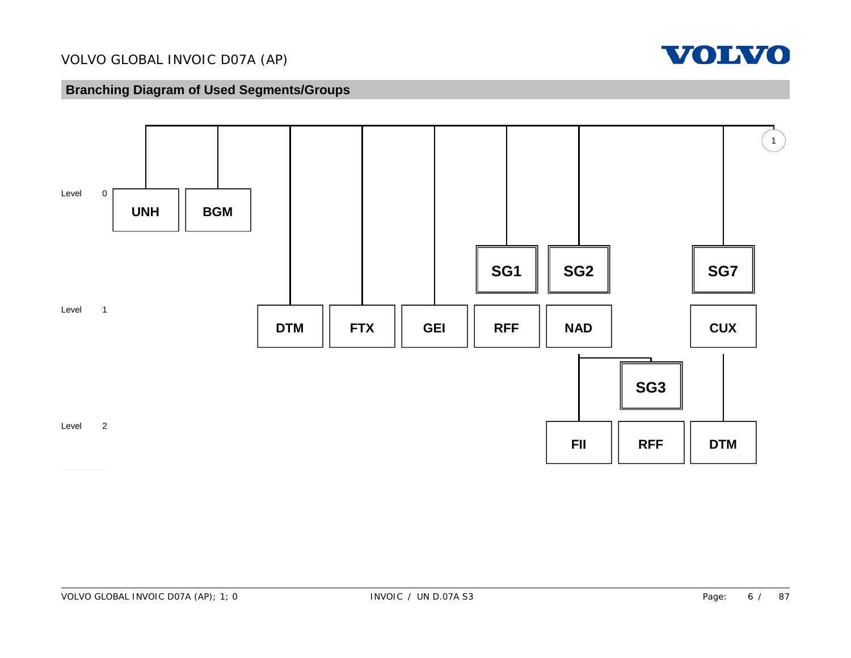

# **Branching Diagram of Used Segments/Groups**

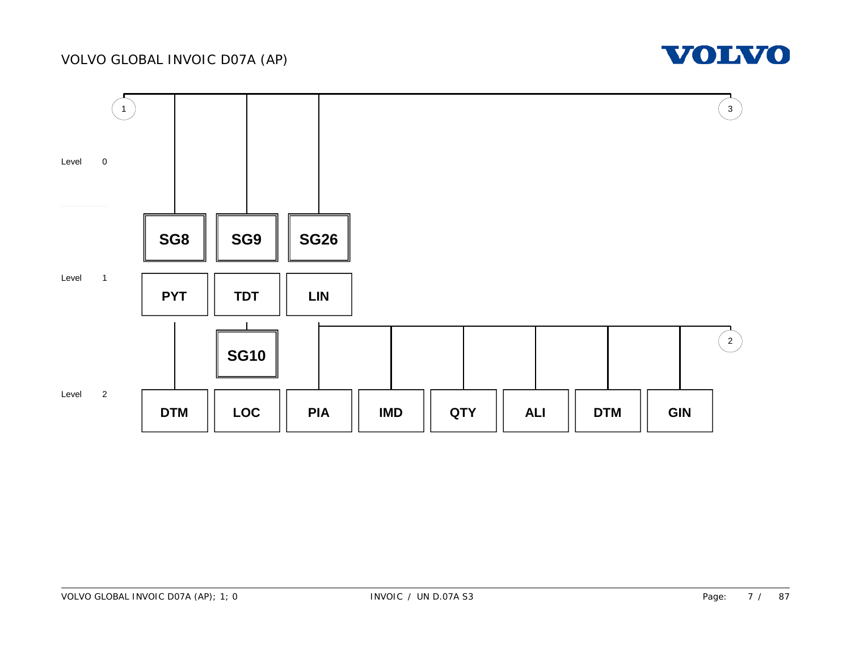

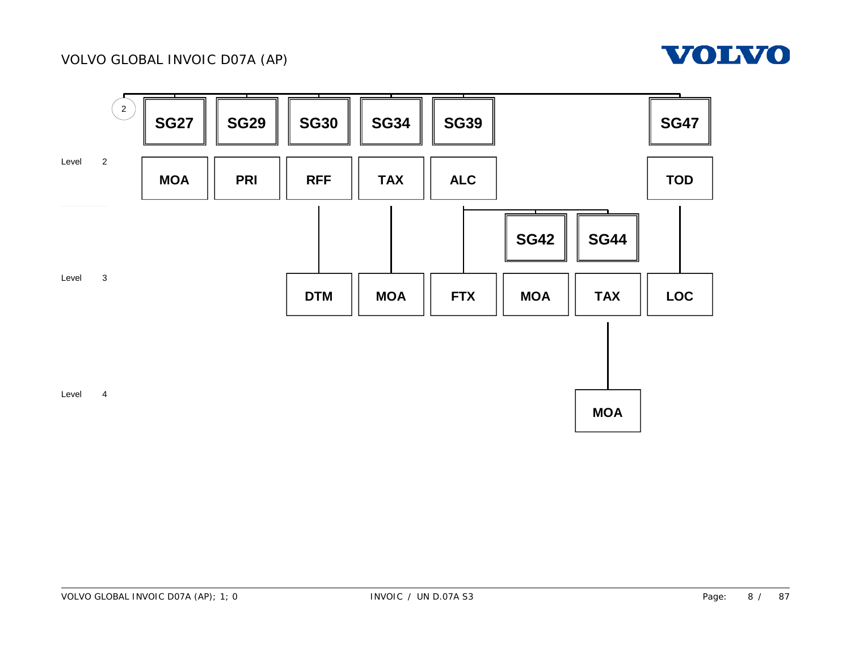

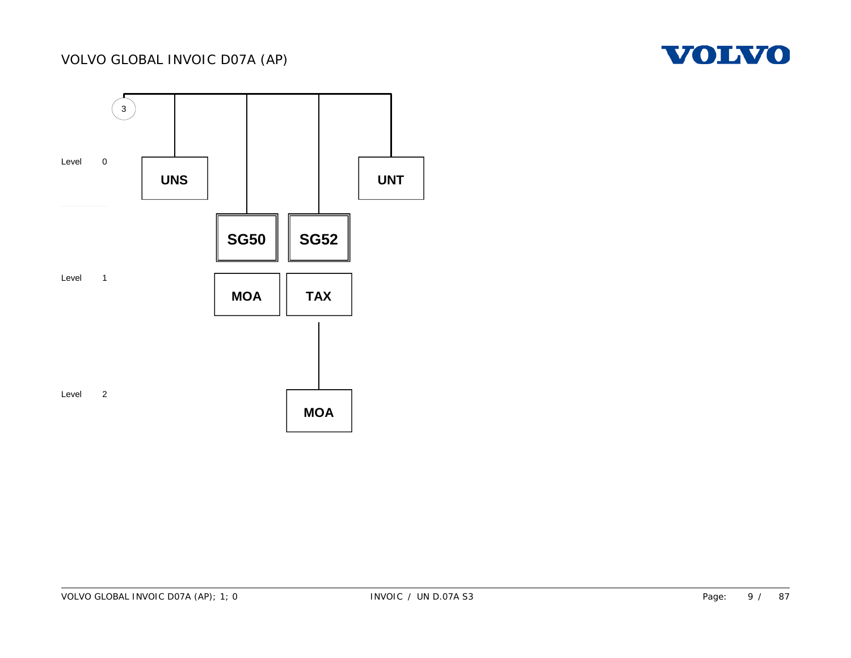

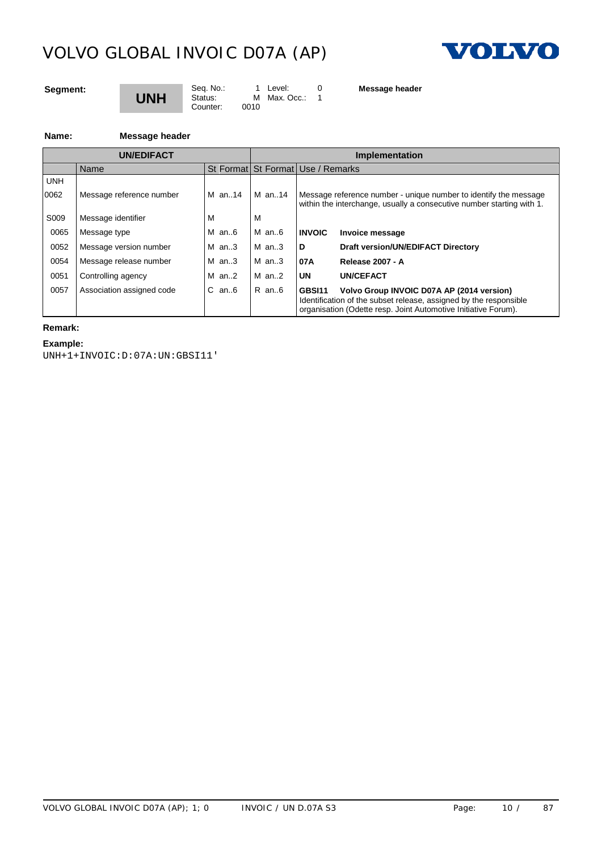Counter:



# **Segment:**

# **UNH**

Seq. No.: 1 Level: 0<br>Status: M Max. Occ.: 1  $M$  Max. Occ.: 0010

**Message header**

**Name: Message header**

|                  | <b>UN/EDIFACT</b>         |            |           | Implementation                                                                                                                                                                             |  |  |  |
|------------------|---------------------------|------------|-----------|--------------------------------------------------------------------------------------------------------------------------------------------------------------------------------------------|--|--|--|
|                  | Name                      |            |           | St Format St Format Use / Remarks                                                                                                                                                          |  |  |  |
| <b>UNH</b>       |                           |            |           |                                                                                                                                                                                            |  |  |  |
| 0062             | Message reference number  | $M$ an. 14 | M an14    | Message reference number - unique number to identify the message<br>within the interchange, usually a consecutive number starting with 1.                                                  |  |  |  |
| S <sub>009</sub> | Message identifier        | M          |           |                                                                                                                                                                                            |  |  |  |
| 0065             | Message type              | $M$ an6    | M an6     | <b>INVOIC</b><br>Invoice message                                                                                                                                                           |  |  |  |
| 0052             | Message version number    | M $an.3$   | $M$ an. 3 | D<br>Draft version/UN/EDIFACT Directory                                                                                                                                                    |  |  |  |
| 0054             | Message release number    | $M$ an3    | $M$ an3   | 07A<br><b>Release 2007 - A</b>                                                                                                                                                             |  |  |  |
| 0051             | Controlling agency        | $M$ an2    | $M$ an2   | UN<br>UN/CEFACT                                                                                                                                                                            |  |  |  |
| 0057             | Association assigned code | $C$ an $6$ | R an6     | Volvo Group INVOIC D07A AP (2014 version)<br>GBSI11<br>Identification of the subset release, assigned by the responsible<br>organisation (Odette resp. Joint Automotive Initiative Forum). |  |  |  |

# **Remark:**

**Example:**

UNH+1+INVOIC:D:07A:UN:GBSI11'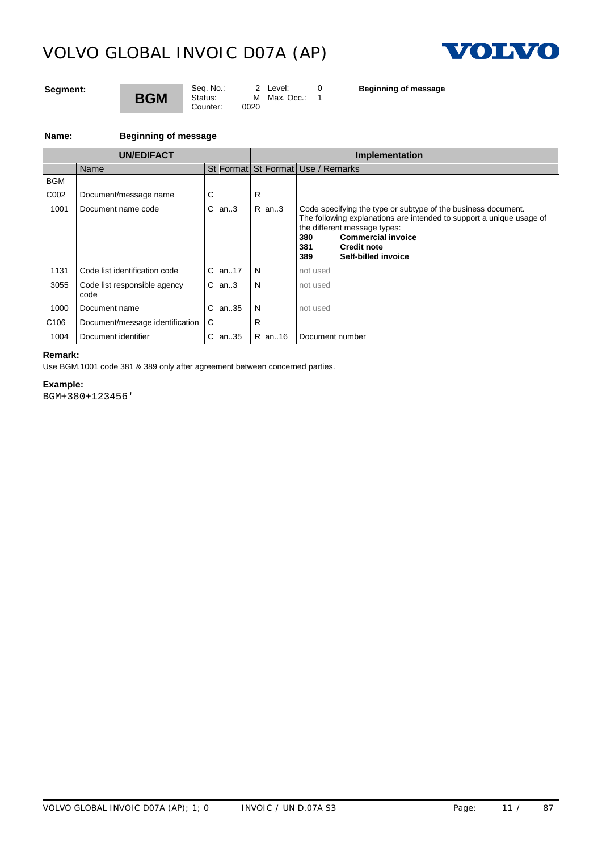

## **Segment:**

# **BGM** Counter:

Seq. No.: 2 Level: 0<br>Status: M Max. Occ.: 1

 $M$  Max. Occ.: 1<br>0020

**Beginning of message**

### **Name: Beginning of message**

|                  | <b>UN/EDIFACT</b>                    |            |        | Implementation                                                                                                                                                                                                                                                       |  |  |
|------------------|--------------------------------------|------------|--------|----------------------------------------------------------------------------------------------------------------------------------------------------------------------------------------------------------------------------------------------------------------------|--|--|
|                  | Name                                 |            |        | St Format St Format Use / Remarks                                                                                                                                                                                                                                    |  |  |
| <b>BGM</b>       |                                      |            |        |                                                                                                                                                                                                                                                                      |  |  |
| C002             | Document/message name                |            | R      |                                                                                                                                                                                                                                                                      |  |  |
| 1001             | Document name code                   | $C$ an3    | R an3  | Code specifying the type or subtype of the business document.<br>The following explanations are intended to support a unique usage of<br>the different message types:<br><b>Commercial invoice</b><br>380<br><b>Credit note</b><br>381<br>Self-billed invoice<br>389 |  |  |
| 1131             | Code list identification code        | $C$ an. 17 | N      | not used                                                                                                                                                                                                                                                             |  |  |
| 3055             | Code list responsible agency<br>code | $C$ an3    | N      | not used                                                                                                                                                                                                                                                             |  |  |
| 1000             | Document name                        | $C$ an. 35 | N      | not used                                                                                                                                                                                                                                                             |  |  |
| C <sub>106</sub> | Document/message identification      | l C        | R      |                                                                                                                                                                                                                                                                      |  |  |
| 1004             | Document identifier                  | C an35     | R an16 | Document number                                                                                                                                                                                                                                                      |  |  |

# **Remark:** Use BGM.1001 code 381 & 389 only after agreement between concerned parties.

**Example:**

BGM+380+123456'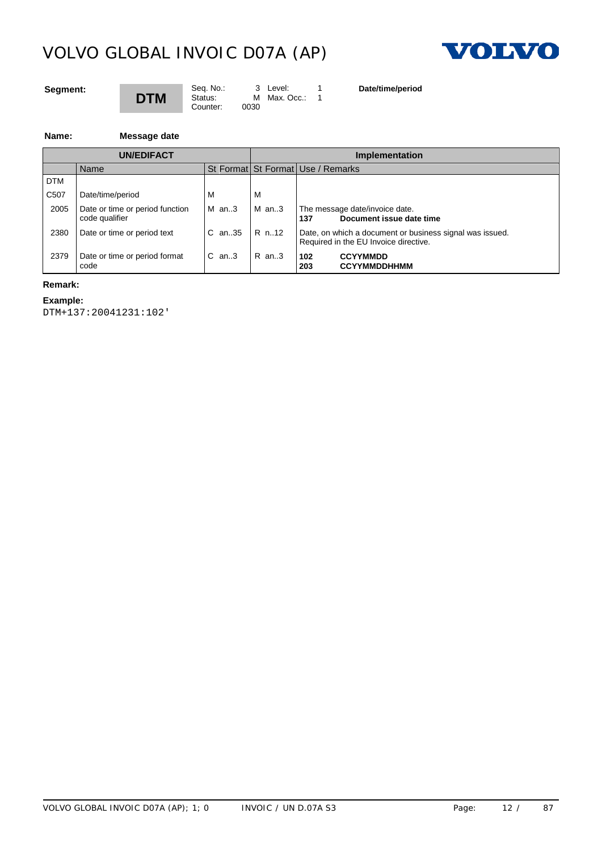Counter:



### **Segment:**

# **DTM**

Seq. No.: 3 Level: 1<br>Status: M Max. Occ.: 1  $M$  Max. Occ.: 0030

**Date/time/period**

#### **Name: Message date**

|                   | <b>UN/EDIFACT</b>                                 |                |       | <b>Implementation</b>                                                                             |  |  |  |
|-------------------|---------------------------------------------------|----------------|-------|---------------------------------------------------------------------------------------------------|--|--|--|
|                   | Name                                              |                |       | St Format St Format Use / Remarks                                                                 |  |  |  |
| <b>DTM</b>        |                                                   |                |       |                                                                                                   |  |  |  |
| C <sub>50</sub> 7 | Date/time/period                                  |                | M     |                                                                                                   |  |  |  |
| 2005              | Date or time or period function<br>code qualifier | $M$ an3        | M an3 | The message date/invoice date.<br>Document issue date time<br>137                                 |  |  |  |
| 2380              | Date or time or period text                       | C an35   R n12 |       | Date, on which a document or business signal was issued.<br>Required in the EU Invoice directive. |  |  |  |
| 2379              | Date or time or period format<br>code             | $C$ an3        | R an3 | <b>CCYYMMDD</b><br>102<br><b>CCYYMMDDHHMM</b><br>203                                              |  |  |  |

# **Remark:**

#### **Example:**

DTM+137:20041231:102'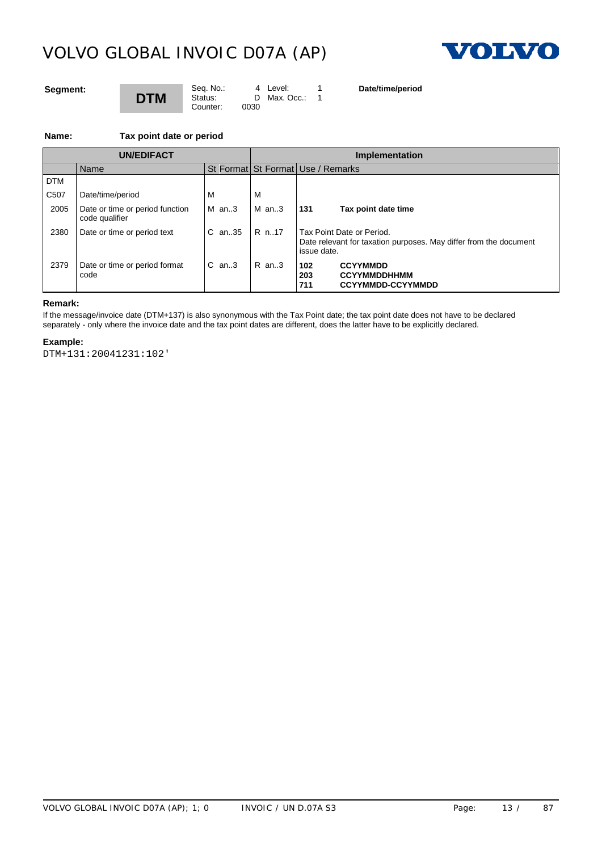Counter:



### **Segment:**

# **DTM**

Seq. No.: 4 Level: 1<br>Status: D Max. Occ.: 1 D Max. Occ.: 1

**Date/time/period**

**Name: Tax point date or period**

|                   | <b>UN/EDIFACT</b>                                 |                |         | Implementation                                                                                                |  |  |  |
|-------------------|---------------------------------------------------|----------------|---------|---------------------------------------------------------------------------------------------------------------|--|--|--|
|                   | Name                                              |                |         | St Format St Format Use / Remarks                                                                             |  |  |  |
| <b>DTM</b>        |                                                   |                |         |                                                                                                               |  |  |  |
| C <sub>50</sub> 7 | Date/time/period                                  | м              | ΙVΙ     |                                                                                                               |  |  |  |
| 2005              | Date or time or period function<br>code qualifier | IM an3         | IMan.3  | 131<br>Tax point date time                                                                                    |  |  |  |
| 2380              | Date or time or period text                       | IC an35 IR n17 |         | Tax Point Date or Period.<br>Date relevant for taxation purposes. May differ from the document<br>issue date. |  |  |  |
| 2379              | Date or time or period format<br>code             | $IC$ an3       | $R$ an3 | <b>CCYYMMDD</b><br>102<br>203<br><b>CCYYMMDDHHMM</b><br><b>CCYYMMDD-CCYYMMDD</b><br>711                       |  |  |  |

#### **Remark:**

If the message/invoice date (DTM+137) is also synonymous with the Tax Point date; the tax point date does not have to be declared separately - only where the invoice date and the tax point dates are different, does the latter have to be explicitly declared.

#### **Example:**

DTM+131:20041231:102'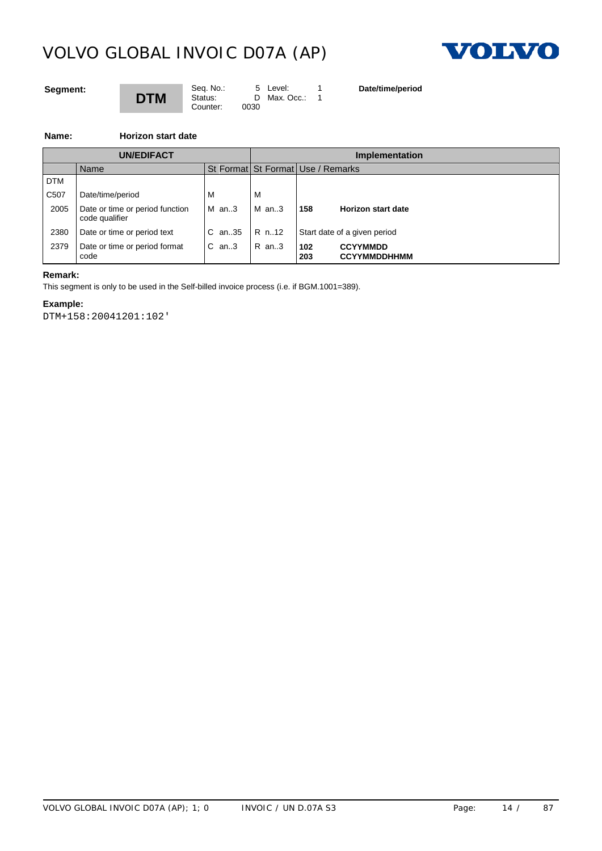

## **Segment:**

# **DTM**

Seq. No.: 5 Level: 1 Status: D Max. Occ.: 1 Counter: 0030

**Date/time/period**

**Name: Horizon start date**

|      | <b>UN/EDIFACT</b>                                 |                                   | Implementation |            |                                        |  |
|------|---------------------------------------------------|-----------------------------------|----------------|------------|----------------------------------------|--|
|      | Name                                              | St Format St Format Use / Remarks |                |            |                                        |  |
| DTM  |                                                   |                                   |                |            |                                        |  |
| C507 | Date/time/period                                  | M                                 | <b>IV</b>      |            |                                        |  |
| 2005 | Date or time or period function<br>code qualifier | $M$ an3                           | $M$ an3        | 158        | <b>Horizon start date</b>              |  |
| 2380 | Date or time or period text                       | C an35   R n12                    |                |            | Start date of a given period           |  |
| 2379 | Date or time or period format<br>code             | $\mathsf{IC}$ an3                 | $R$ an3        | 102<br>203 | <b>CCYYMMDD</b><br><b>CCYYMMDDHHMM</b> |  |

### **Remark:**

This segment is only to be used in the Self-billed invoice process (i.e. if BGM.1001=389).

# **Example:**

DTM+158:20041201:102'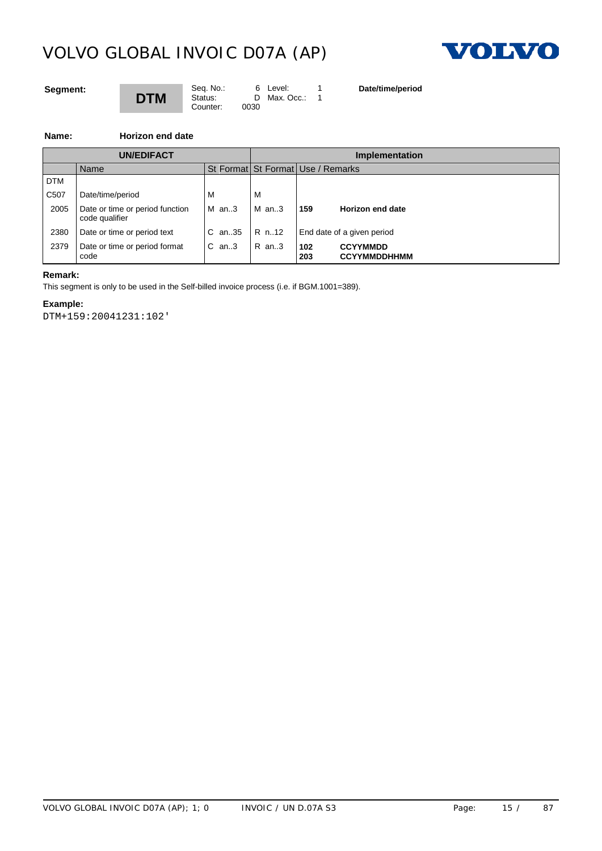

## **Segment:**

# **DTM**

Seq. No.: 6 Level: 1 Status: D Max. Occ.: 1 Counter: 0030

**Date/time/period**

**Name: Horizon end date**

|                   | <b>UN/EDIFACT</b>                                 |              |           |                                   | <b>Implementation</b>                  |  |  |
|-------------------|---------------------------------------------------|--------------|-----------|-----------------------------------|----------------------------------------|--|--|
|                   | Name                                              |              |           | St Format St Format Use / Remarks |                                        |  |  |
| DTM               |                                                   |              |           |                                   |                                        |  |  |
| C <sub>50</sub> 7 | Date/time/period                                  | M            | <b>IV</b> |                                   |                                        |  |  |
| 2005              | Date or time or period function<br>code qualifier | $M$ an3      | $M$ an3   | 159                               | Horizon end date                       |  |  |
| 2380              | Date or time or period text                       | C an35 R n12 |           |                                   | End date of a given period             |  |  |
| 2379              | Date or time or period format<br>code             | $C$ an. 3    | R an3     | 102<br>203                        | <b>CCYYMMDD</b><br><b>CCYYMMDDHHMM</b> |  |  |

### **Remark:**

This segment is only to be used in the Self-billed invoice process (i.e. if BGM.1001=389).

# **Example:**

DTM+159:20041231:102'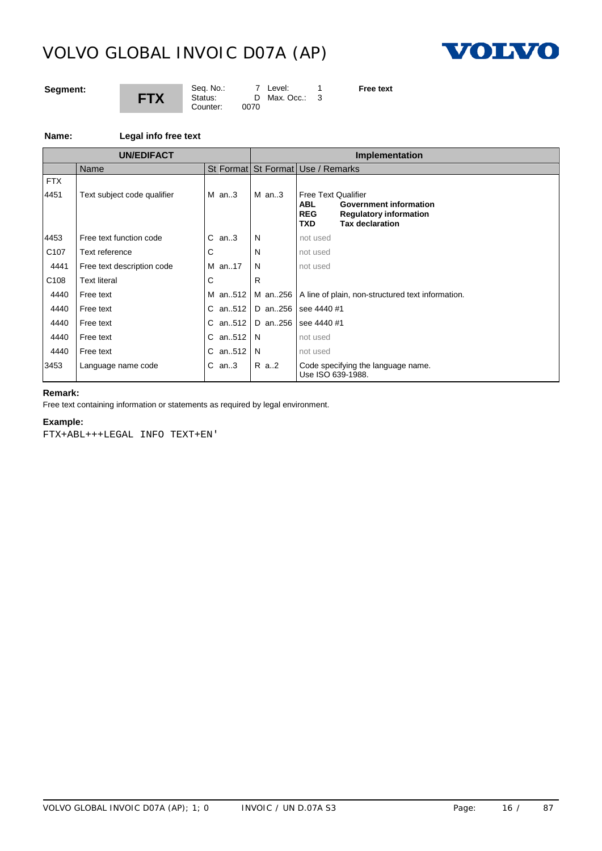

## **Segment:**



Seq. No.: 7 Level: 1<br>Status: D Max. Occ.: 3 D Max. Occ.: 3<br>0070

**Free text**

### **Name: Legal info free text**

|                    | <b>UN/EDIFACT</b>           |           |         | Implementation                                                                                                                                                   |
|--------------------|-----------------------------|-----------|---------|------------------------------------------------------------------------------------------------------------------------------------------------------------------|
|                    | Name                        |           |         | St Format St Format Use / Remarks                                                                                                                                |
| <b>FTX</b><br>4451 | Text subject code qualifier | $M$ an3   | $M$ an3 | <b>Free Text Qualifier</b><br><b>Government information</b><br><b>ABL</b><br><b>REG</b><br><b>Regulatory information</b><br><b>Tax declaration</b><br><b>TXD</b> |
| 4453               | Free text function code     | $C$ an3   | N       | not used                                                                                                                                                         |
| C <sub>107</sub>   | Text reference              | C         | N       | not used                                                                                                                                                         |
| 4441               | Free text description code  | M an17    | N       | not used                                                                                                                                                         |
| C <sub>108</sub>   | <b>Text literal</b>         | С         | R       |                                                                                                                                                                  |
| 4440               | Free text                   | M an512   |         | M an. 256   A line of plain, non-structured text information.                                                                                                    |
| 4440               | Free text                   | C an512   |         | D an256   see 4440 #1                                                                                                                                            |
| 4440               | Free text                   | $C$ an512 |         | D an256 See 4440 #1                                                                                                                                              |
| 4440               | Free text                   | C an512   | N       | not used                                                                                                                                                         |
| 4440               | Free text                   | C an512   | N       | not used                                                                                                                                                         |
| 3453               | Language name code          | $C$ an3   | R a2    | Code specifying the language name.<br>Use ISO 639-1988.                                                                                                          |

# **Remark:**

Free text containing information or statements as required by legal environment.

### **Example:**

FTX+ABL+++LEGAL INFO TEXT+EN'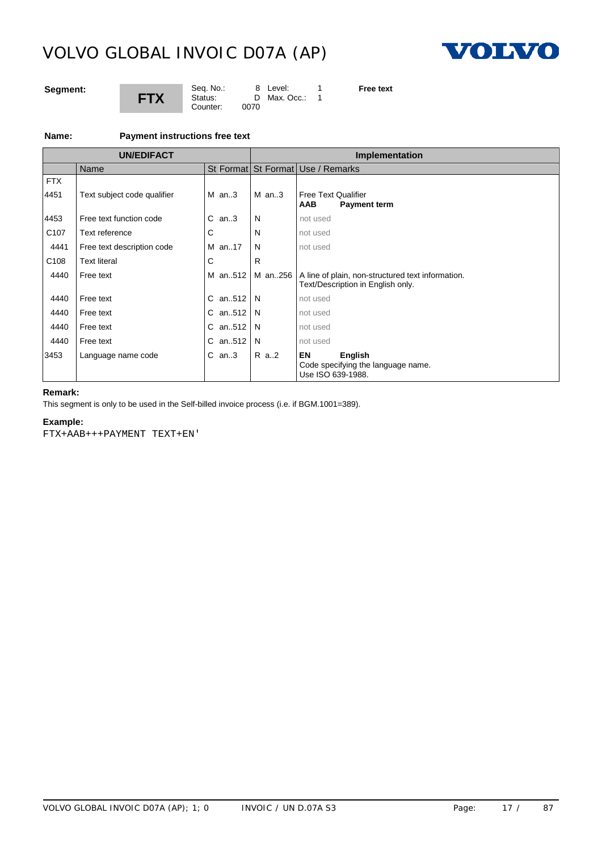

## **Segment:**



Seq. No.: 8 Level: 1 Status: D Max. Occ.: 1 Counter: 0070

**Free text**

#### **Name: Payment instructions free text**

|                    | <b>UN/EDIFACT</b>           |         |         | <b>Implementation</b>                                                                            |  |  |
|--------------------|-----------------------------|---------|---------|--------------------------------------------------------------------------------------------------|--|--|
|                    | Name                        |         |         | St Format St Format Use / Remarks                                                                |  |  |
| <b>FTX</b><br>4451 | Text subject code qualifier | $M$ an3 | $M$ an3 | <b>Free Text Qualifier</b><br><b>Payment term</b><br>AAB                                         |  |  |
| 4453               | Free text function code     | $C$ an3 | N       | not used                                                                                         |  |  |
| C <sub>107</sub>   | Text reference              | C       | N       | not used                                                                                         |  |  |
| 4441               | Free text description code  | M an17  | N       | not used                                                                                         |  |  |
| C <sub>108</sub>   | <b>Text literal</b>         | C       | R       |                                                                                                  |  |  |
| 4440               | Free text                   | M an512 |         | M an256   A line of plain, non-structured text information.<br>Text/Description in English only. |  |  |
| 4440               | Free text                   | C an512 | N       | not used                                                                                         |  |  |
| 4440               | Free text                   | C an512 | N       | not used                                                                                         |  |  |
| 4440               | Free text                   | C an512 | N       | not used                                                                                         |  |  |
| 4440               | Free text                   | C an512 | N       | not used                                                                                         |  |  |
| 3453               | Language name code          | $C$ an3 | R a2    | EN<br>English<br>Code specifying the language name.<br>Use ISO 639-1988.                         |  |  |

# **Remark:**

This segment is only to be used in the Self-billed invoice process (i.e. if BGM.1001=389).

### **Example:**

FTX+AAB+++PAYMENT TEXT+EN'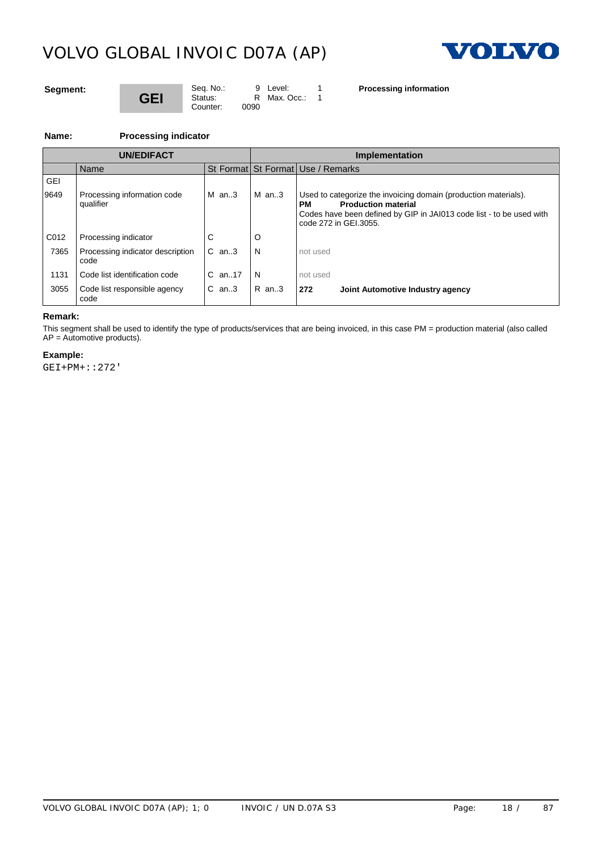

### **Segment:**

# **GEI** Counter:

Seq. No.: 9 Level: 1<br>Status: R Max. Occ.: 1  $R$  Max. Occ.: 0090

**Processing information**

**Name:** 

| <b>Processing indicator</b> |
|-----------------------------|
|-----------------------------|

|      | <b>UN/EDIFACT</b>                        |            | Implementation |                                                                                                                                                                                                      |  |  |  |
|------|------------------------------------------|------------|----------------|------------------------------------------------------------------------------------------------------------------------------------------------------------------------------------------------------|--|--|--|
|      | Name                                     |            |                | St Format St Format Use / Remarks                                                                                                                                                                    |  |  |  |
| GEI  |                                          |            |                |                                                                                                                                                                                                      |  |  |  |
| 9649 | Processing information code<br>qualifier | $M$ an3    | $M$ an3        | Used to categorize the invoicing domain (production materials).<br><b>Production material</b><br>PМ<br>Codes have been defined by GIP in JAI013 code list - to be used with<br>code 272 in GEI.3055. |  |  |  |
| C012 | Processing indicator                     | ⌒          |                |                                                                                                                                                                                                      |  |  |  |
| 7365 | Processing indicator description<br>code | $C$ an. 3  | - N            | not used                                                                                                                                                                                             |  |  |  |
| 1131 | Code list identification code            | $C$ an. 17 | N              | not used                                                                                                                                                                                             |  |  |  |
| 3055 | Code list responsible agency<br>code     | $C$ an3    | IR an3         | 272<br>Joint Automotive Industry agency                                                                                                                                                              |  |  |  |

# **Remark:**

This segment shall be used to identify the type of products/services that are being invoiced, in this case PM = production material (also called  $AP =$  Automotive products).

### **Example:**

GEI+PM+::272'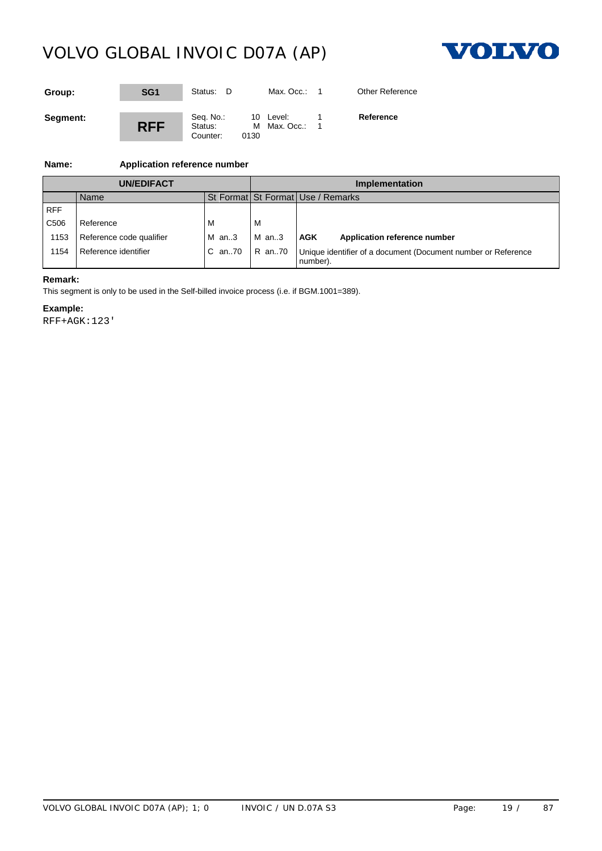

| Group:   | SG <sub>1</sub> | Status: D                        |                   | Max. Occ.:   | <b>Other Reference</b> |
|----------|-----------------|----------------------------------|-------------------|--------------|------------------------|
| Segment: | <b>RFF</b>      | Seq. No.:<br>Status:<br>Counter: | 10 Level:<br>0130 | M Max. Occ.: | Reference              |

# **Name: Application reference number**

| UN/EDIFACT       |                          |         | Implementation |                                                                          |  |
|------------------|--------------------------|---------|----------------|--------------------------------------------------------------------------|--|
|                  | Name                     |         |                | St Format St Format Use / Remarks                                        |  |
| <b>RFF</b>       |                          |         |                |                                                                          |  |
| C <sub>506</sub> | Reference                | м       | M              |                                                                          |  |
| 1153             | Reference code qualifier | $M$ an3 | M an3          | AGK<br>Application reference number                                      |  |
| 1154             | Reference identifier     | C an70  | R an70         | Unique identifier of a document (Document number or Reference<br>number) |  |

## **Remark:**

This segment is only to be used in the Self-billed invoice process (i.e. if BGM.1001=389).

#### **Example:**

RFF+AGK:123'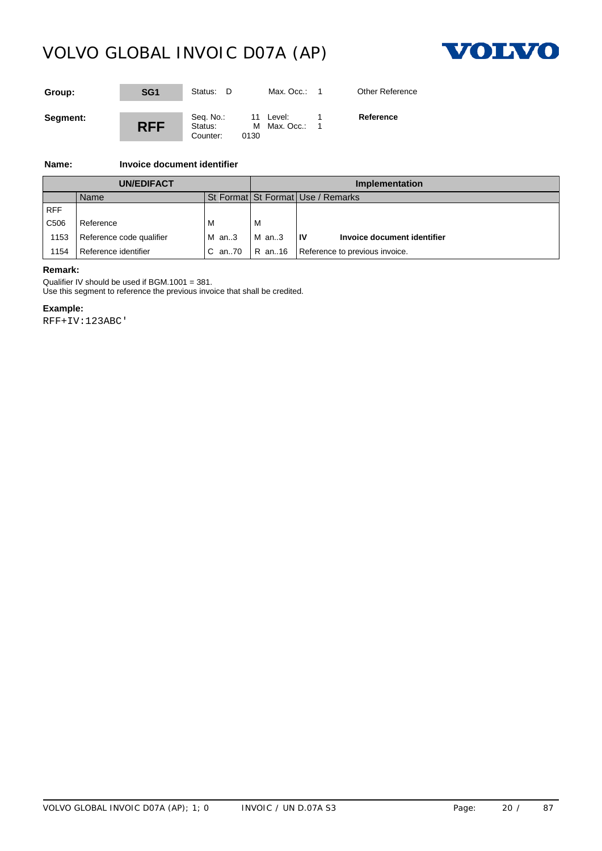

| Group:   | SG <sub>1</sub> | Status: D                        |      | Max. Occ.:                | <b>Other Reference</b> |
|----------|-----------------|----------------------------------|------|---------------------------|------------------------|
| Segment: | <b>RFF</b>      | Seq. No.:<br>Status:<br>Counter: | 0130 | 11 Level:<br>M Max. Occ.: | Reference              |

# **Name: Invoice document identifier**

| <b>UN/EDIFACT</b> |                          |         | <b>Implementation</b> |                                   |  |  |
|-------------------|--------------------------|---------|-----------------------|-----------------------------------|--|--|
|                   | Name                     |         |                       | St Format St Format Use / Remarks |  |  |
| <b>RFF</b>        |                          |         |                       |                                   |  |  |
| C <sub>506</sub>  | Reference                | M       | <b>M</b>              |                                   |  |  |
| 1153              | Reference code qualifier | $M$ an3 | $M$ an3               | ١v<br>Invoice document identifier |  |  |
| 154               | Reference identifier     | C an70  | R an16                | Reference to previous invoice.    |  |  |

### **Remark:**

Qualifier IV should be used if BGM.1001 = 381.

Use this segment to reference the previous invoice that shall be credited.

### **Example:**

RFF+IV:123ABC'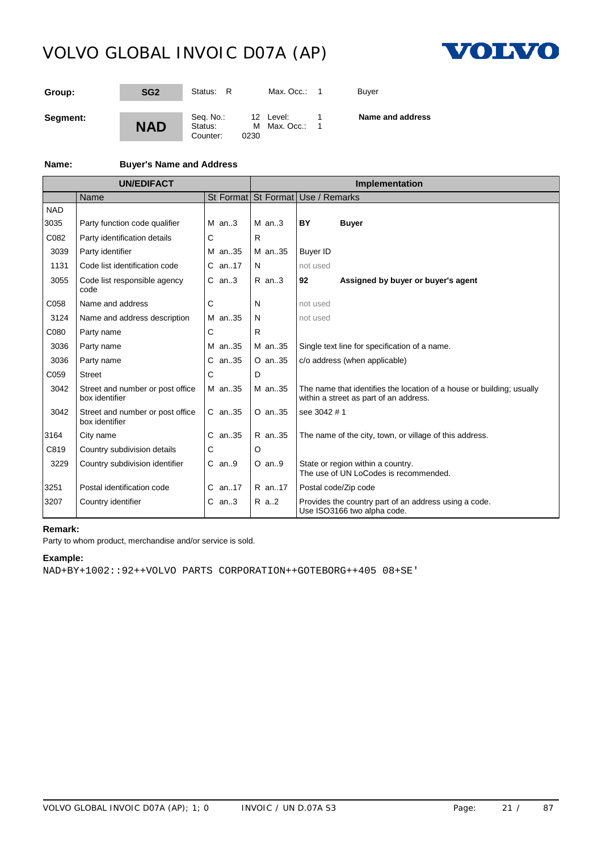

| Group:   | SG <sub>2</sub> | Status: R                        |      | Max. Occ.: 1                | Buver            |
|----------|-----------------|----------------------------------|------|-----------------------------|------------------|
| Segment: | <b>NAD</b>      | Seq. No.:<br>Status:<br>Counter: | 0230 | 12 Level:<br>M Max. Occ.: 1 | Name and address |

# **Name: Buyer's Name and Address**

|            | <b>UN/EDIFACT</b>                                  |            | Implementation |              |                                          |                                                                                                                 |  |  |
|------------|----------------------------------------------------|------------|----------------|--------------|------------------------------------------|-----------------------------------------------------------------------------------------------------------------|--|--|
|            | Name                                               |            |                |              | St Format St Format Use / Remarks        |                                                                                                                 |  |  |
| <b>NAD</b> |                                                    |            |                |              |                                          |                                                                                                                 |  |  |
| 3035       | Party function code qualifier                      | $M$ an. 3  |                | $M$ an. 3    | BY                                       | <b>Buyer</b>                                                                                                    |  |  |
| C082       | Party identification details                       | C          | R.             |              |                                          |                                                                                                                 |  |  |
| 3039       | Party identifier                                   | M an35     |                | M an35       | <b>Buyer ID</b>                          |                                                                                                                 |  |  |
| 1131       | Code list identification code                      | $C$ an17   | N              |              | not used                                 |                                                                                                                 |  |  |
| 3055       | Code list responsible agency<br>code               | $C$ an3    |                | $R$ an3      | 92<br>Assigned by buyer or buyer's agent |                                                                                                                 |  |  |
| C058       | Name and address                                   | С          | N              |              | not used                                 |                                                                                                                 |  |  |
| 3124       | Name and address description                       | M an35     | N              |              | not used                                 |                                                                                                                 |  |  |
| C080       | Party name                                         | С          | R.             |              |                                          |                                                                                                                 |  |  |
| 3036       | Party name                                         | M an35     |                | M an35       |                                          | Single text line for specification of a name.                                                                   |  |  |
| 3036       | Party name                                         | C an35     |                | O an35       |                                          | c/o address (when applicable)                                                                                   |  |  |
| C059       | <b>Street</b>                                      | С          | D              |              |                                          |                                                                                                                 |  |  |
| 3042       | Street and number or post office<br>box identifier | M an35     |                | M an35       |                                          | The name that identifies the location of a house or building; usually<br>within a street as part of an address. |  |  |
| 3042       | Street and number or post office<br>box identifier | $C$ an. 35 |                | $O$ an. $35$ | see 3042 # 1                             |                                                                                                                 |  |  |
| 3164       | City name                                          | $C$ an. 35 |                | R an35       |                                          | The name of the city, town, or village of this address.                                                         |  |  |
| C819       | Country subdivision details                        | С          | $\circ$        |              |                                          |                                                                                                                 |  |  |
| 3229       | Country subdivision identifier                     | $C$ an $9$ |                | $O$ an9      |                                          | State or region within a country.<br>The use of UN LoCodes is recommended.                                      |  |  |
| 3251       | Postal identification code                         | $C$ an17   |                | R an17       |                                          | Postal code/Zip code                                                                                            |  |  |
| 3207       | Country identifier                                 | $C$ an3    |                | R a2         |                                          | Provides the country part of an address using a code.<br>Use ISO3166 two alpha code.                            |  |  |

# **Remark:**

Party to whom product, merchandise and/or service is sold.

## **Example:**

NAD+BY+1002::92++VOLVO PARTS CORPORATION++GOTEBORG++405 08+SE'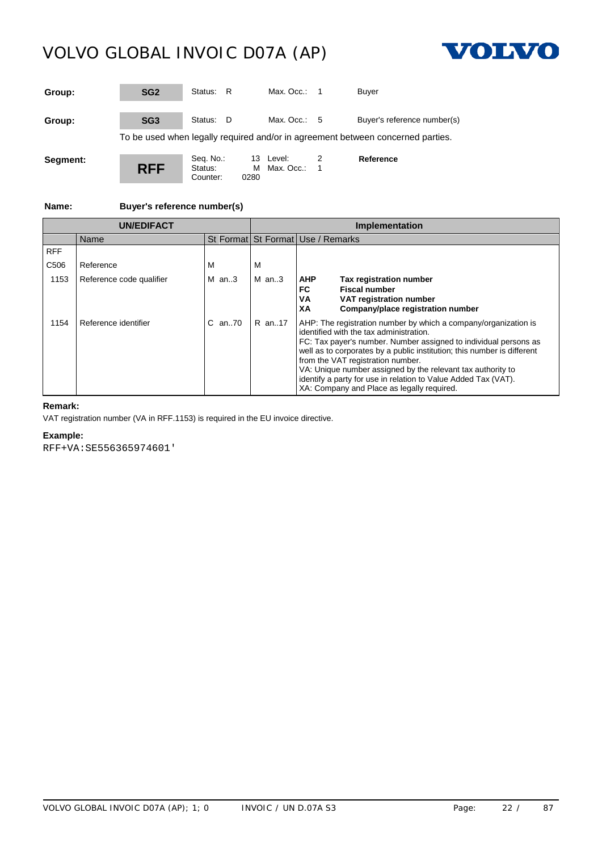Counter:



| Group:   | SG <sub>2</sub> | Status: R            |       | Max. Occ.: $1$            | <b>Buyer</b>                                                                    |
|----------|-----------------|----------------------|-------|---------------------------|---------------------------------------------------------------------------------|
| Group:   | SG <sub>3</sub> | Status: D            |       | Max. Occ.: $5$            | Buyer's reference number(s)                                                     |
|          |                 |                      |       |                           | To be used when legally required and/or in agreement between concerned parties. |
| Segment: | <b>RFF</b>      | Seq. No.:<br>Status: | 0.000 | 13 Level:<br>M Max. Occ.: | Reference                                                                       |

**Name: Buyer's reference number(s)**

|                  | <b>UN/EDIFACT</b>        |          | <b>Implementation</b> |                                                                                                                                                                                                                                                                                                                                                                                                                                                                               |  |  |  |
|------------------|--------------------------|----------|-----------------------|-------------------------------------------------------------------------------------------------------------------------------------------------------------------------------------------------------------------------------------------------------------------------------------------------------------------------------------------------------------------------------------------------------------------------------------------------------------------------------|--|--|--|
|                  | Name                     |          |                       | St Format St Format Use / Remarks                                                                                                                                                                                                                                                                                                                                                                                                                                             |  |  |  |
| <b>RFF</b>       |                          |          |                       |                                                                                                                                                                                                                                                                                                                                                                                                                                                                               |  |  |  |
| C <sub>506</sub> | Reference                | м        | м                     |                                                                                                                                                                                                                                                                                                                                                                                                                                                                               |  |  |  |
| 1153             | Reference code qualifier | M $an.3$ | $M$ an. 3             | <b>AHP</b><br><b>Tax registration number</b><br><b>Fiscal number</b><br>FC.<br>VA<br>VAT registration number<br>Company/place registration number<br>XА                                                                                                                                                                                                                                                                                                                       |  |  |  |
| 1154             | Reference identifier     | C an70   | R an17                | AHP: The registration number by which a company/organization is<br>identified with the tax administration.<br>FC: Tax payer's number. Number assigned to individual persons as<br>well as to corporates by a public institution; this number is different<br>from the VAT registration number.<br>VA: Unique number assigned by the relevant tax authority to<br>identify a party for use in relation to Value Added Tax (VAT).<br>XA: Company and Place as legally required. |  |  |  |

# **Remark:**

VAT registration number (VA in RFF.1153) is required in the EU invoice directive.

### **Example:**

RFF+VA:SE556365974601'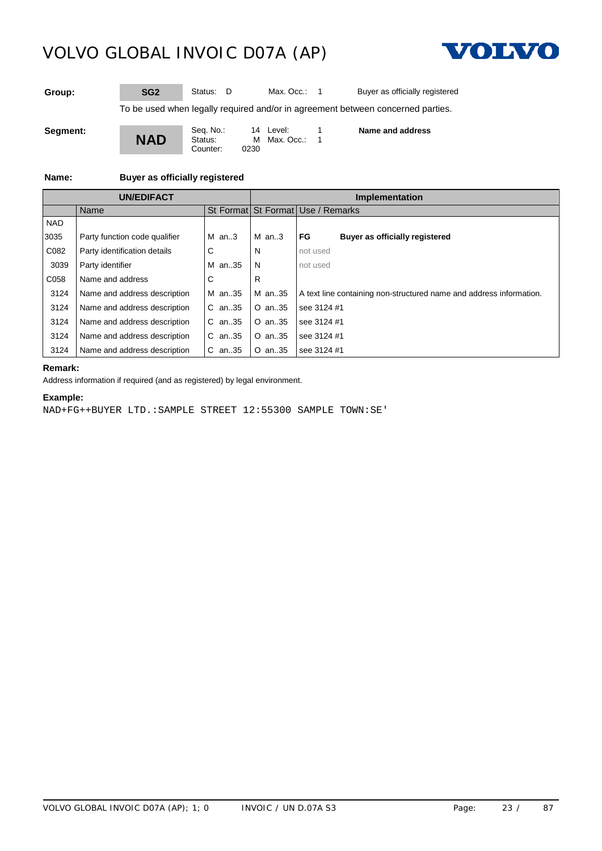

**Group:** SG2 Status: D Max. Occ.: 1 Buyer as officially registered

To be used when legally required and/or in agreement between concerned parties.

**Segment:**



Seq. No.: 14 Level: 1<br>Status: M Max. Occ.: 1 M Max. Occ.: 0230

**Name and address**

# **Name: Buyer as officially registered**

|            | <b>UN/EDIFACT</b>             |            |            | Implementation                                                      |  |  |
|------------|-------------------------------|------------|------------|---------------------------------------------------------------------|--|--|
|            | Name                          |            |            | St Format St Format Use / Remarks                                   |  |  |
| <b>NAD</b> |                               |            |            |                                                                     |  |  |
| 3035       | Party function code qualifier | $M$ an3    | $M$ an3    | FG<br>Buyer as officially registered                                |  |  |
| C082       | Party identification details  | C          | N          | not used                                                            |  |  |
| 3039       | Party identifier              | M an35     | N          | not used                                                            |  |  |
| C058       | Name and address              |            | R          |                                                                     |  |  |
| 3124       | Name and address description  | M an35     | M an35     | A text line containing non-structured name and address information. |  |  |
| 3124       | Name and address description  | $C$ an. 35 | O an35     | see 3124 #1                                                         |  |  |
| 3124       | Name and address description  | C.<br>an35 | $O$ an. 35 | see 3124 #1                                                         |  |  |
| 3124       | Name and address description  | an35       | $O$ an. 35 | see 3124 #1                                                         |  |  |
| 3124       | Name and address description  | $C$ an. 35 | O an35     | I see 3124 #1                                                       |  |  |

#### **Remark:**

Address information if required (and as registered) by legal environment.

# **Example:**

NAD+FG++BUYER LTD.:SAMPLE STREET 12:55300 SAMPLE TOWN:SE'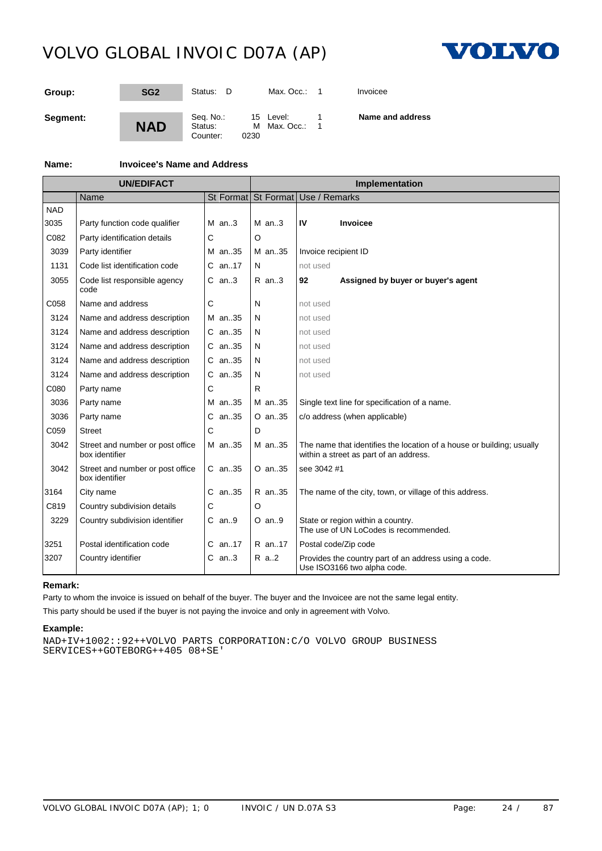

| Group:   | SG <sub>2</sub> | Status:<br>- D                   | Max. Occ.:                        | Invoicee         |
|----------|-----------------|----------------------------------|-----------------------------------|------------------|
| Segment: | <b>NAD</b>      | Seq. No.:<br>Status:<br>Counter: | 15 Level:<br>M Max. Occ.:<br>0230 | Name and address |

# **Name: Invoicee's Name and Address**

|            | <b>UN/EDIFACT</b>                                  |            |              | Implementation                                                                                                  |
|------------|----------------------------------------------------|------------|--------------|-----------------------------------------------------------------------------------------------------------------|
|            | Name                                               |            |              | St Format St Format Use / Remarks                                                                               |
| <b>NAD</b> |                                                    |            |              |                                                                                                                 |
| 3035       | Party function code qualifier                      | $M$ an3    | $M$ an3      | IV<br><b>Invoicee</b>                                                                                           |
| C082       | Party identification details                       | С          | O            |                                                                                                                 |
| 3039       | Party identifier                                   | M an.35    | M an35       | Invoice recipient ID                                                                                            |
| 1131       | Code list identification code                      | $C$ an. 17 | N            | not used                                                                                                        |
| 3055       | Code list responsible agency<br>code               | $C$ an3    | $R$ an3      | Assigned by buyer or buyer's agent<br>92                                                                        |
| C058       | Name and address                                   | С          | N            | not used                                                                                                        |
| 3124       | Name and address description                       | M an35     | N            | not used                                                                                                        |
| 3124       | Name and address description                       | $C$ an. 35 | N            | not used                                                                                                        |
| 3124       | Name and address description                       | $C$ an. 35 | N            | not used                                                                                                        |
| 3124       | Name and address description                       | $C$ an. 35 | N            | not used                                                                                                        |
| 3124       | Name and address description                       | $C$ an. 35 | $\mathsf{N}$ | not used                                                                                                        |
| C080       | Party name                                         | С          | R            |                                                                                                                 |
| 3036       | Party name                                         | M an35     | M an35       | Single text line for specification of a name.                                                                   |
| 3036       | Party name                                         | $C$ an. 35 | O an35       | c/o address (when applicable)                                                                                   |
| C059       | <b>Street</b>                                      | C          | D            |                                                                                                                 |
| 3042       | Street and number or post office<br>box identifier | M an35     | M an35       | The name that identifies the location of a house or building; usually<br>within a street as part of an address. |
| 3042       | Street and number or post office<br>box identifier | C an35     | $O$ an. 35   | see 3042 #1                                                                                                     |
| 3164       | City name                                          | $C$ an. 35 | R an35       | The name of the city, town, or village of this address.                                                         |
| C819       | Country subdivision details                        | С          | O            |                                                                                                                 |
| 3229       | Country subdivision identifier                     | $C$ an9    | $O$ an9      | State or region within a country.<br>The use of UN LoCodes is recommended.                                      |
| 3251       | Postal identification code                         | C an17     | R an17       | Postal code/Zip code                                                                                            |
| 3207       | Country identifier                                 | $C$ an3    | R a2         | Provides the country part of an address using a code.<br>Use ISO3166 two alpha code.                            |

### **Remark:**

Party to whom the invoice is issued on behalf of the buyer. The buyer and the Invoicee are not the same legal entity.

This party should be used if the buyer is not paying the invoice and only in agreement with Volvo.

## **Example:**

NAD+IV+1002::92++VOLVO PARTS CORPORATION:C/O VOLVO GROUP BUSINESS SERVICES++GOTEBORG++405 08+SE'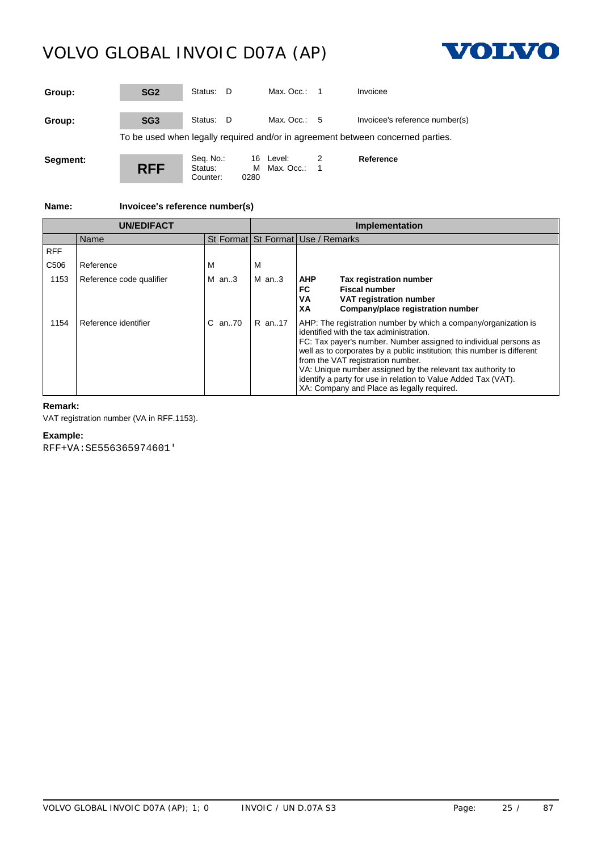

| Group:   | SG <sub>2</sub> | Status: D                        |             | Max. $Occ: 1$          |   | Invoicee                                                                        |
|----------|-----------------|----------------------------------|-------------|------------------------|---|---------------------------------------------------------------------------------|
| Group:   | SG <sub>3</sub> | Status: D                        |             | Max. Occ.: $5$         |   | Invoicee's reference number(s)                                                  |
|          |                 |                                  |             |                        |   | To be used when legally required and/or in agreement between concerned parties. |
| Segment: | <b>RFF</b>      | Seq. No.:<br>Status:<br>Counter: | 16.<br>0280 | Level:<br>M Max. Occ.: | 1 | Reference                                                                       |

**Name: Invoicee's reference number(s)**

| <b>UN/EDIFACT</b> |                          |              | <b>Implementation</b> |                                                                                                                                                                                                                                                                                                                                                                                                                                                                               |  |  |
|-------------------|--------------------------|--------------|-----------------------|-------------------------------------------------------------------------------------------------------------------------------------------------------------------------------------------------------------------------------------------------------------------------------------------------------------------------------------------------------------------------------------------------------------------------------------------------------------------------------|--|--|
|                   | Name                     |              |                       | St Format St Format Use / Remarks                                                                                                                                                                                                                                                                                                                                                                                                                                             |  |  |
| <b>RFF</b>        |                          |              |                       |                                                                                                                                                                                                                                                                                                                                                                                                                                                                               |  |  |
| C <sub>506</sub>  | Reference                | М            | м                     |                                                                                                                                                                                                                                                                                                                                                                                                                                                                               |  |  |
| 1153              | Reference code qualifier | M $an.3$     | $M$ an3               | <b>AHP</b><br><b>Tax registration number</b><br><b>Fiscal number</b><br>FC<br>VA<br>VAT registration number<br>Company/place registration number<br>XА                                                                                                                                                                                                                                                                                                                        |  |  |
| 1154              | Reference identifier     | $C$ an. $70$ | R an17                | AHP: The registration number by which a company/organization is<br>identified with the tax administration.<br>FC: Tax payer's number. Number assigned to individual persons as<br>well as to corporates by a public institution; this number is different<br>from the VAT registration number.<br>VA: Unique number assigned by the relevant tax authority to<br>identify a party for use in relation to Value Added Tax (VAT).<br>XA: Company and Place as legally required. |  |  |

# **Remark:**

VAT registration number (VA in RFF.1153).

# **Example:**

RFF+VA:SE556365974601'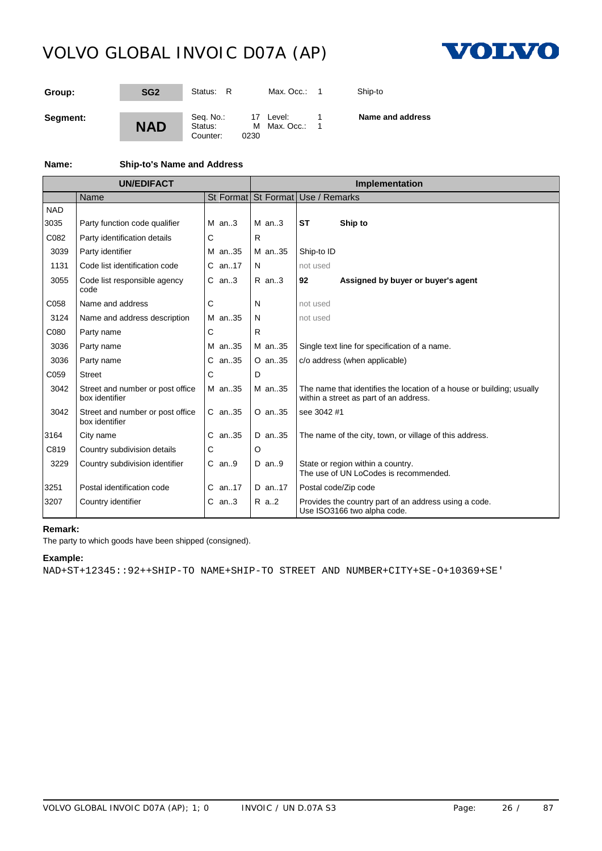

| Group:   | SG <sub>2</sub> | Status: R                        | Max. Occ.:                        | Ship-to          |
|----------|-----------------|----------------------------------|-----------------------------------|------------------|
| Segment: | <b>NAD</b>      | Seq. No.:<br>Status:<br>Counter: | 17 Level:<br>M Max. Occ.:<br>0230 | Name and address |

# **Name: Ship-to's Name and Address**

| <b>UN/EDIFACT</b> |                                                    |            |           | Implementation                                                                                                  |
|-------------------|----------------------------------------------------|------------|-----------|-----------------------------------------------------------------------------------------------------------------|
|                   | Name                                               |            |           | St Format St Format Use / Remarks                                                                               |
| <b>NAD</b>        |                                                    |            |           |                                                                                                                 |
| 3035              | Party function code qualifier                      | $M$ an. 3  | $M$ an. 3 | <b>ST</b><br>Ship to                                                                                            |
| C082              | Party identification details                       | C          | R         |                                                                                                                 |
| 3039              | Party identifier                                   | M an35     | M an35    | Ship-to ID                                                                                                      |
| 1131              | Code list identification code                      | $C$ an17   | N         | not used                                                                                                        |
| 3055              | Code list responsible agency<br>code               | $C$ an3    | $R$ an3   | Assigned by buyer or buyer's agent<br>92                                                                        |
| C058              | Name and address                                   | С          | N         | not used                                                                                                        |
| 3124              | Name and address description                       | M an35     | N         | not used                                                                                                        |
| C080              | Party name                                         | С          | R.        |                                                                                                                 |
| 3036              | Party name                                         | M an35     | M an35    | Single text line for specification of a name.                                                                   |
| 3036              | Party name                                         | $C$ an. 35 | O an35    | c/o address (when applicable)                                                                                   |
| C059              | <b>Street</b>                                      | C          | D         |                                                                                                                 |
| 3042              | Street and number or post office<br>box identifier | M an35     | M an35    | The name that identifies the location of a house or building; usually<br>within a street as part of an address. |
| 3042              | Street and number or post office<br>box identifier | $C$ an. 35 | O an35    | see 3042 #1                                                                                                     |
| 3164              | City name                                          | C an35     | D an35    | The name of the city, town, or village of this address.                                                         |
| C819              | Country subdivision details                        | С          | O         |                                                                                                                 |
| 3229              | Country subdivision identifier                     | $C$ an9    | $D$ an9   | State or region within a country.<br>The use of UN LoCodes is recommended.                                      |
| 3251              | Postal identification code                         | $C$ an17   | D an17    | Postal code/Zip code                                                                                            |
| 3207              | Country identifier                                 | C an3      | R a2      | Provides the country part of an address using a code.<br>Use ISO3166 two alpha code.                            |

# **Remark:**

The party to which goods have been shipped (consigned).

## **Example:**

NAD+ST+12345::92++SHIP-TO NAME+SHIP-TO STREET AND NUMBER+CITY+SE-O+10369+SE'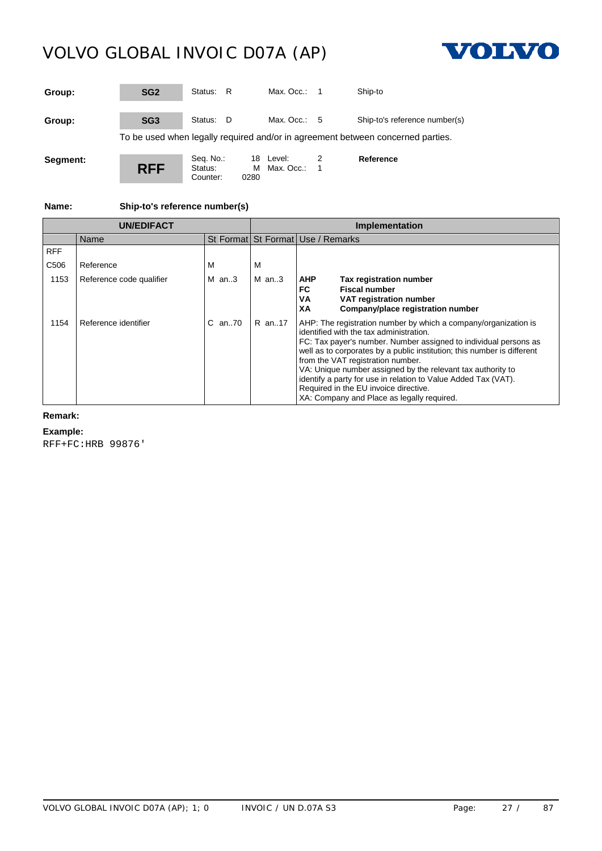Counter:



| Group:   | SG <sub>2</sub> | Status: R                        |      | Max. Occ.: $1$            |                | Ship-to                                                                         |
|----------|-----------------|----------------------------------|------|---------------------------|----------------|---------------------------------------------------------------------------------|
| Group:   | SG <sub>3</sub> | Status:<br>- D                   |      | Max. Occ.: $5$            |                | Ship-to's reference number(s)                                                   |
|          |                 |                                  |      |                           |                | To be used when legally required and/or in agreement between concerned parties. |
| Segment: | <b>RFF</b>      | Seq. No.:<br>Status:<br>Counter: | 0280 | 18 Level:<br>M Max. Occ.: | $\overline{1}$ | Reference                                                                       |

**Name: Ship-to's reference number(s)**

| <b>UN/EDIFACT</b> |                          |            | <b>Implementation</b> |                                                                                                                                                                                                                                                                                                                                                                                                                                                                                                                        |  |  |
|-------------------|--------------------------|------------|-----------------------|------------------------------------------------------------------------------------------------------------------------------------------------------------------------------------------------------------------------------------------------------------------------------------------------------------------------------------------------------------------------------------------------------------------------------------------------------------------------------------------------------------------------|--|--|
|                   | Name                     |            |                       | St Format St Format Use / Remarks                                                                                                                                                                                                                                                                                                                                                                                                                                                                                      |  |  |
| <b>RFF</b>        |                          |            |                       |                                                                                                                                                                                                                                                                                                                                                                                                                                                                                                                        |  |  |
| C506              | Reference                | м          | м                     |                                                                                                                                                                                                                                                                                                                                                                                                                                                                                                                        |  |  |
| 1153              | Reference code qualifier | $M$ an3    | $M$ an3               | <b>AHP</b><br>Tax registration number<br>FC<br><b>Fiscal number</b><br>VA<br>VAT registration number<br>XA<br>Company/place registration number                                                                                                                                                                                                                                                                                                                                                                        |  |  |
| 1154              | Reference identifier     | $C$ an. 70 | R an17                | AHP: The registration number by which a company/organization is<br>identified with the tax administration.<br>FC: Tax payer's number. Number assigned to individual persons as<br>well as to corporates by a public institution; this number is different<br>from the VAT registration number.<br>VA: Unique number assigned by the relevant tax authority to<br>identify a party for use in relation to Value Added Tax (VAT).<br>Required in the EU invoice directive.<br>XA: Company and Place as legally required. |  |  |

# **Remark:**

### **Example:**

RFF+FC:HRB 99876'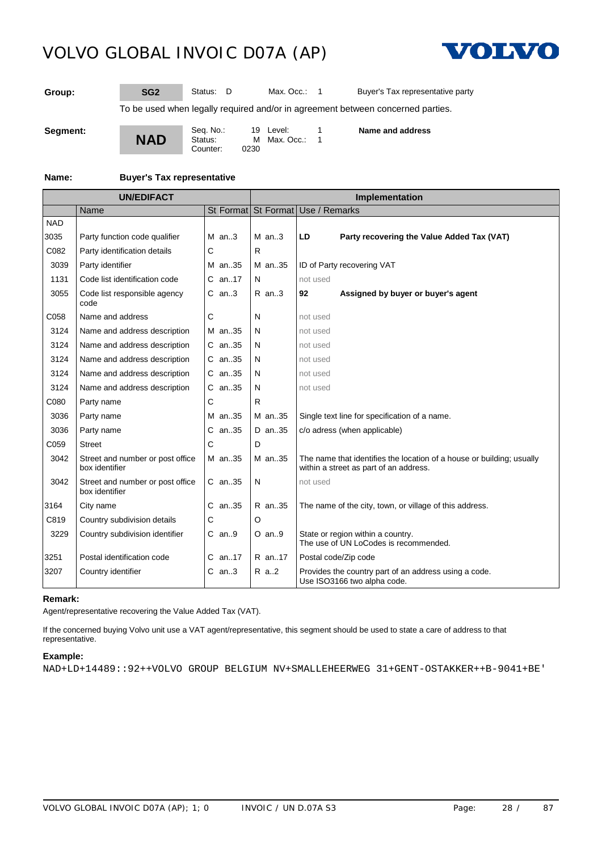

**Group: SG2** Status: D Max. Occ.: 1 Buyer's Tax representative party

To be used when legally required and/or in agreement between concerned parties.

**Segment:**

**NAD** Seq. No.: 19 Level: 1<br>Status: M Max. Occ.: 1  $M$  Max. Occ.: 0230 Counter: **Name and address**

#### **Name: Buyer's Tax representative**

| <b>UN/EDIFACT</b> |                                                    |            | <b>Implementation</b> |                                                                                                                 |  |  |
|-------------------|----------------------------------------------------|------------|-----------------------|-----------------------------------------------------------------------------------------------------------------|--|--|
|                   | Name                                               |            |                       | St Format St Format Use / Remarks                                                                               |  |  |
| <b>NAD</b>        |                                                    |            |                       |                                                                                                                 |  |  |
| 3035              | Party function code qualifier                      | $M$ an3    | $M$ an3               | LD<br>Party recovering the Value Added Tax (VAT)                                                                |  |  |
| C082              | Party identification details                       | C          | R                     |                                                                                                                 |  |  |
| 3039              | Party identifier                                   | M an35     | M an35                | ID of Party recovering VAT                                                                                      |  |  |
| 1131              | Code list identification code                      | C an17     | N                     | not used                                                                                                        |  |  |
| 3055              | Code list responsible agency<br>code               | $C$ an3    | $R$ an. $3$           | Assigned by buyer or buyer's agent<br>92                                                                        |  |  |
| C058              | Name and address                                   | С          | N                     | not used                                                                                                        |  |  |
| 3124              | Name and address description                       | M an.35    | N                     | not used                                                                                                        |  |  |
| 3124              | Name and address description                       | $C$ an. 35 | N                     | not used                                                                                                        |  |  |
| 3124              | Name and address description                       | $C$ an. 35 | N                     | not used                                                                                                        |  |  |
| 3124              | Name and address description                       | C an35     | N                     | not used                                                                                                        |  |  |
| 3124              | Name and address description                       | $C$ an. 35 | N                     | not used                                                                                                        |  |  |
| C080              | Party name                                         | С          | R                     |                                                                                                                 |  |  |
| 3036              | Party name                                         | M an35     | M an35                | Single text line for specification of a name.                                                                   |  |  |
| 3036              | Party name                                         | $C$ an. 35 | D an35                | c/o adress (when applicable)                                                                                    |  |  |
| C059              | <b>Street</b>                                      | С          | D                     |                                                                                                                 |  |  |
| 3042              | Street and number or post office<br>box identifier | M an35     | M an35                | The name that identifies the location of a house or building; usually<br>within a street as part of an address. |  |  |
| 3042              | Street and number or post office<br>box identifier | $C$ an. 35 | N                     | not used                                                                                                        |  |  |
| 3164              | City name                                          | C an35     | R an35                | The name of the city, town, or village of this address.                                                         |  |  |
| C819              | Country subdivision details                        | С          | O                     |                                                                                                                 |  |  |
| 3229              | Country subdivision identifier                     | $C$ an9    | $O$ an9               | State or region within a country.<br>The use of UN LoCodes is recommended.                                      |  |  |
| 3251              | Postal identification code                         | $C$ an17   | R an17                | Postal code/Zip code                                                                                            |  |  |
| 3207              | Country identifier                                 | $C$ an3    | R a2                  | Provides the country part of an address using a code.<br>Use ISO3166 two alpha code.                            |  |  |

### **Remark:**

Agent/representative recovering the Value Added Tax (VAT).

If the concerned buying Volvo unit use a VAT agent/representative, this segment should be used to state a care of address to that representative.

### **Example:**

NAD+LD+14489::92++VOLVO GROUP BELGIUM NV+SMALLEHEERWEG 31+GENT-OSTAKKER++B-9041+BE'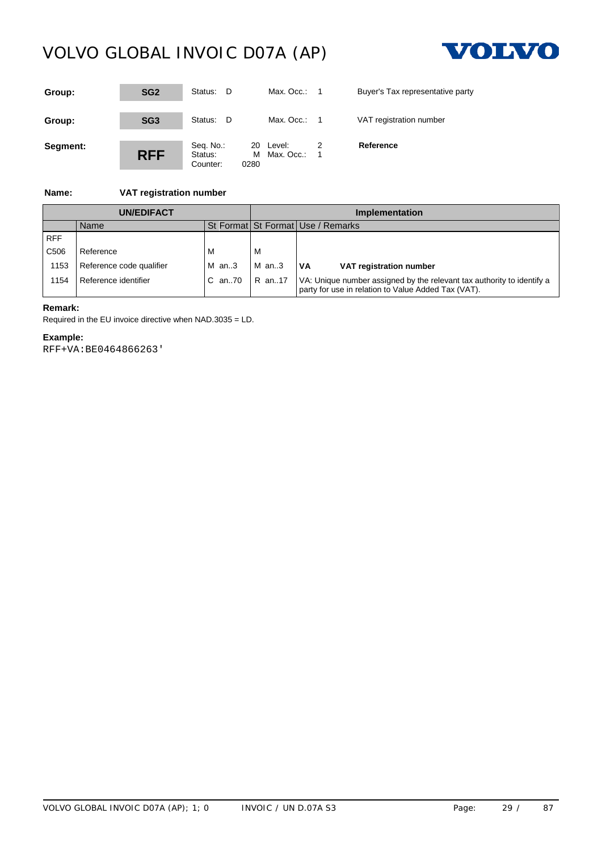

| Group:   | SG <sub>2</sub> | Status:<br>- D                   | Max. Occ.:                           | $\overline{\phantom{1}}$ | Buyer's Tax representative party |
|----------|-----------------|----------------------------------|--------------------------------------|--------------------------|----------------------------------|
| Group:   | SG <sub>3</sub> | Status: D                        | Max. Occ.:                           | $\overline{\phantom{1}}$ | VAT registration number          |
| Segment: | <b>RFF</b>      | Seq. No.:<br>Status:<br>Counter: | 20 Level:<br>Max. Occ.:<br>м<br>0280 |                          | Reference                        |

# **Name: VAT registration number**

| <b>UN/EDIFACT</b> |                          |                 | Implementation |                                                                                                                               |  |
|-------------------|--------------------------|-----------------|----------------|-------------------------------------------------------------------------------------------------------------------------------|--|
|                   | Name                     |                 |                | St Format St Format Use / Remarks                                                                                             |  |
| <b>RFF</b>        |                          |                 |                |                                                                                                                               |  |
| C506              | Reference                | M               | м              |                                                                                                                               |  |
| 1153              | Reference code qualifier | $M$ an3         | $M$ an3        | l VA<br>VAT registration number                                                                                               |  |
| 154               | Reference identifier     | C an70   R an17 |                | VA: Unique number assigned by the relevant tax authority to identify a<br>party for use in relation to Value Added Tax (VAT). |  |

# **Remark:**

Required in the EU invoice directive when NAD.3035 = LD.

# **Example:**

RFF+VA:BE0464866263'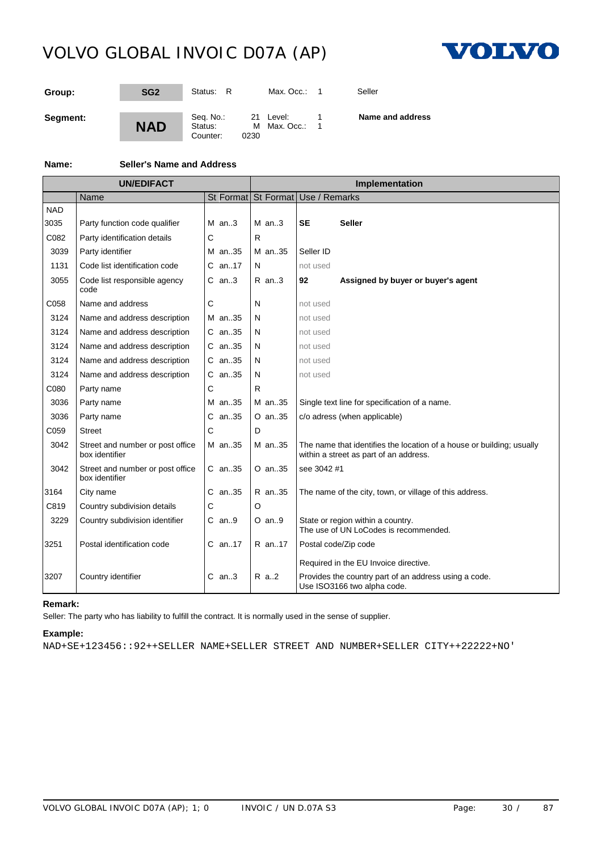

| Group:   | SG <sub>2</sub> | Status: R                        |      | Max. Occ.:                | Seller           |
|----------|-----------------|----------------------------------|------|---------------------------|------------------|
| Segment: | <b>NAD</b>      | Seq. No.:<br>Status:<br>Counter: | 0230 | 21 Level:<br>M Max. Occ.: | Name and address |

# **Name: Seller's Name and Address**

| <b>UN/EDIFACT</b> |                                                    |   | Implementation |    |            |                                                                                                                 |
|-------------------|----------------------------------------------------|---|----------------|----|------------|-----------------------------------------------------------------------------------------------------------------|
|                   | Name                                               |   |                |    |            | St Format St Format Use / Remarks                                                                               |
| <b>NAD</b>        |                                                    |   |                |    |            |                                                                                                                 |
| 3035              | Party function code qualifier                      |   | M $an.3$       |    | $M$ an3    | <b>SE</b><br><b>Seller</b>                                                                                      |
| C082              | Party identification details                       | С |                | R  |            |                                                                                                                 |
| 3039              | Party identifier                                   |   | M an35         |    | M an35     | Seller ID                                                                                                       |
| 1131              | Code list identification code                      |   | C an17         | N  |            | not used                                                                                                        |
| 3055              | Code list responsible agency<br>code               |   | C an3          |    | $R$ an3    | Assigned by buyer or buyer's agent<br>92                                                                        |
| C058              | Name and address                                   | Ć |                | N  |            | not used                                                                                                        |
| 3124              | Name and address description                       |   | M an35         | N  |            | not used                                                                                                        |
| 3124              | Name and address description                       |   | $C$ an. 35     | N  |            | not used                                                                                                        |
| 3124              | Name and address description                       |   | $C$ an. 35     | N  |            | not used                                                                                                        |
| 3124              | Name and address description                       |   | $C$ an. 35     | N  |            | not used                                                                                                        |
| 3124              | Name and address description                       |   | $C$ an. 35     | N  |            | not used                                                                                                        |
| C080              | Party name                                         | С |                | R  |            |                                                                                                                 |
| 3036              | Party name                                         |   | M an35         |    | M an35     | Single text line for specification of a name.                                                                   |
| 3036              | Party name                                         |   | C an35         |    | $O$ an. 35 | c/o adress (when applicable)                                                                                    |
| C059              | <b>Street</b>                                      | C |                | D. |            |                                                                                                                 |
| 3042              | Street and number or post office<br>box identifier |   | M an35         |    | M an35     | The name that identifies the location of a house or building; usually<br>within a street as part of an address. |
| 3042              | Street and number or post office<br>box identifier |   | C an35         |    | O an35     | see 3042 #1                                                                                                     |
| 3164              | City name                                          |   | C an35         |    | R an35     | The name of the city, town, or village of this address.                                                         |
| C819              | Country subdivision details                        | С |                | O  |            |                                                                                                                 |
| 3229              | Country subdivision identifier                     |   | $C$ an9        |    | $O$ an. 9  | State or region within a country.<br>The use of UN LoCodes is recommended.                                      |
| 3251              | Postal identification code                         |   | C an17         |    | R an17     | Postal code/Zip code<br>Required in the EU Invoice directive.                                                   |
| 3207              | Country identifier                                 |   | $C$ an3        |    | R a2       | Provides the country part of an address using a code.<br>Use ISO3166 two alpha code.                            |

# **Remark:**

Seller: The party who has liability to fulfill the contract. It is normally used in the sense of supplier.

# **Example:**

NAD+SE+123456::92++SELLER NAME+SELLER STREET AND NUMBER+SELLER CITY++22222+NO'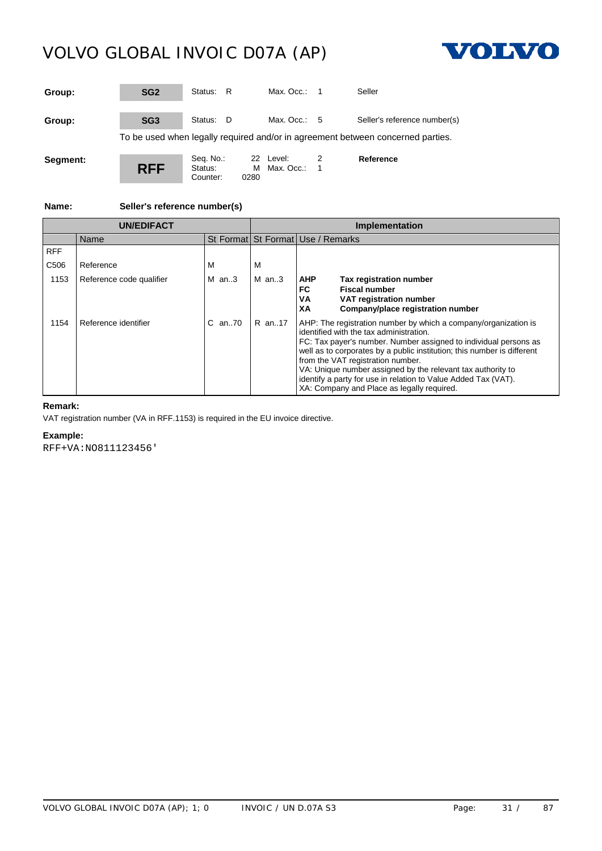

| Group:   | SG <sub>2</sub> | Status: R                        |      | Max. $Occ: 1$             |                       | Seller                                                                          |
|----------|-----------------|----------------------------------|------|---------------------------|-----------------------|---------------------------------------------------------------------------------|
| Group:   | SG <sub>3</sub> | Status: D                        |      | Max. Occ.: $5$            |                       | Seller's reference number(s)                                                    |
|          |                 |                                  |      |                           |                       | To be used when legally required and/or in agreement between concerned parties. |
| Segment: | <b>RFF</b>      | Seq. No.:<br>Status:<br>Counter: | 0280 | 22 Level:<br>M Max. Occ.: | 2<br>$\blacksquare$ 1 | Reference                                                                       |

**Name: Seller's reference number(s)**

| <b>UN/EDIFACT</b> |                          |              | <b>Implementation</b> |                                                                                                                                                                                                                                                                                                                                                                                                                                                                               |  |  |
|-------------------|--------------------------|--------------|-----------------------|-------------------------------------------------------------------------------------------------------------------------------------------------------------------------------------------------------------------------------------------------------------------------------------------------------------------------------------------------------------------------------------------------------------------------------------------------------------------------------|--|--|
|                   | Name                     |              |                       | St Format St Format Use / Remarks                                                                                                                                                                                                                                                                                                                                                                                                                                             |  |  |
| <b>RFF</b>        |                          |              |                       |                                                                                                                                                                                                                                                                                                                                                                                                                                                                               |  |  |
| C <sub>506</sub>  | Reference                | М            | м                     |                                                                                                                                                                                                                                                                                                                                                                                                                                                                               |  |  |
| 1153              | Reference code qualifier | M $an.3$     | $M$ an3               | <b>AHP</b><br><b>Tax registration number</b><br><b>Fiscal number</b><br>FC<br>VA<br>VAT registration number<br>Company/place registration number<br>XА                                                                                                                                                                                                                                                                                                                        |  |  |
| 1154              | Reference identifier     | $C$ an. $70$ | R an17                | AHP: The registration number by which a company/organization is<br>identified with the tax administration.<br>FC: Tax payer's number. Number assigned to individual persons as<br>well as to corporates by a public institution; this number is different<br>from the VAT registration number.<br>VA: Unique number assigned by the relevant tax authority to<br>identify a party for use in relation to Value Added Tax (VAT).<br>XA: Company and Place as legally required. |  |  |

# **Remark:**

VAT registration number (VA in RFF.1153) is required in the EU invoice directive.

**Example:**

RFF+VA:NO811123456'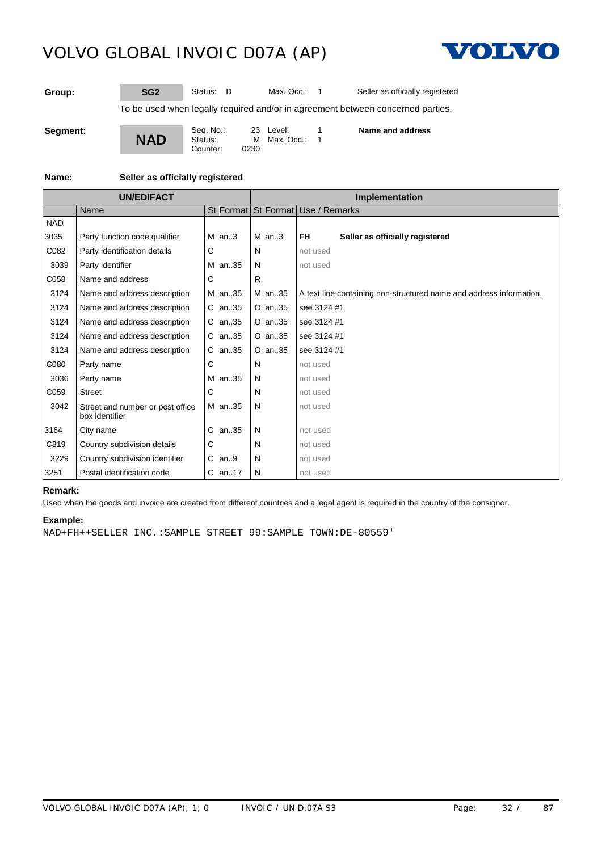

**Group: SG2** Status: D Max. Occ.: 1 Seller as officially registered

To be used when legally required and/or in agreement between concerned parties.

**Segment:**

**NAD** Seq. No.: 23 Level: 1<br>Status: M Max. Occ.: 1 M Max. Occ.: Counter: **Name and address**

**Name: Seller as officially registered**

**UN/EDIFACT Implementation** Name St Format St Format Use / Remarks **NAD** 3035 Party function code qualifier M an..3 M an..3 **FH Seller as officially registered** C082 Party identification details C N N not used 3039 Party identifier M an..35 N not used C058 Name and address CO58 R 3124 Name and address description M an..35 M an..35 A text line containing non-structured name and address information. 3124 Name and address description C an..35 O an..35 see 3124 #1 3124 Name and address description C an..35 O an..35 see 3124 #1 3124 Name and address description C an..35 O an..35 see 3124 #1 3124 Name and address description  $\overline{C}$  an..35  $\overline{O}$  an..35 see 3124 #1 C080 Party name CO80 C N not used 3036 Party name M an..35 N not used C059 Street CO59 C N not used 3042 Street and number or post office box identifier M an..35 N not used 3164 City name C an..35 N not used C819 Country subdivision details C N N not used 3229 Country subdivision identifier C an..9 N not used 3251 | Postal identification code  $\begin{vmatrix} C & an.17 \end{vmatrix} N$  | not used

### **Remark:**

Used when the goods and invoice are created from different countries and a legal agent is required in the country of the consignor.

### **Example:**

NAD+FH++SELLER INC.:SAMPLE STREET 99:SAMPLE TOWN:DE-80559'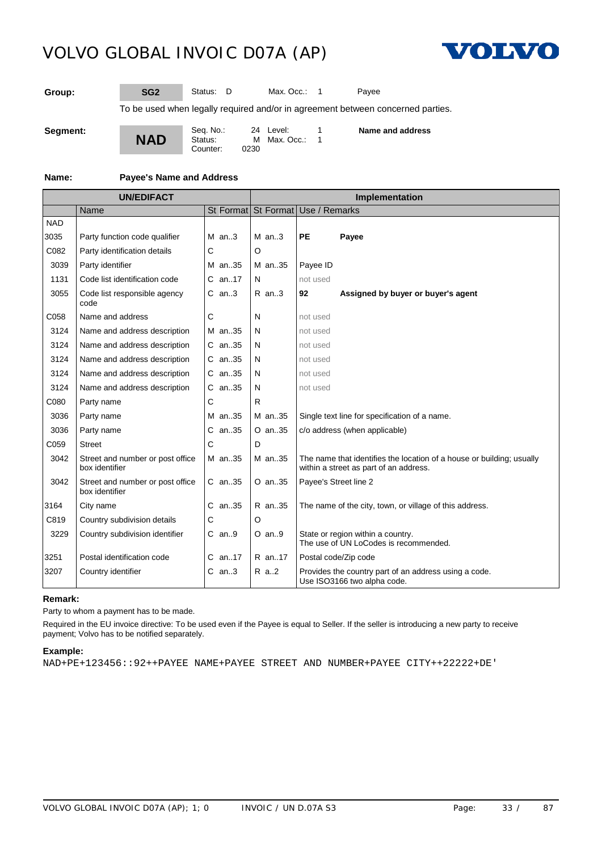

**Group: SG2** Status: D Max. Occ.: 1 Payee

To be used when legally required and/or in agreement between concerned parties.

**Segment:**

**NAD** Seq. No.: 24 Level: 1<br>Status: M Max. Occ.: 1  $M$  Max. Occ.: 0230 Counter:

**Name and address**

### **Name: Payee's Name and Address**

|            | <b>UN/EDIFACT</b>                                  |            | Implementation |                                                                                                                 |  |  |
|------------|----------------------------------------------------|------------|----------------|-----------------------------------------------------------------------------------------------------------------|--|--|
|            | Name                                               |            |                | St Format St Format Use / Remarks                                                                               |  |  |
| <b>NAD</b> |                                                    |            |                |                                                                                                                 |  |  |
| 3035       | Party function code qualifier                      | $M$ an3    | $M$ an3        | <b>PE</b><br>Payee                                                                                              |  |  |
| C082       | Party identification details                       | С          | O              |                                                                                                                 |  |  |
| 3039       | Party identifier                                   | M an35     | M an35         | Payee ID                                                                                                        |  |  |
| 1131       | Code list identification code                      | C an17     | N              | not used                                                                                                        |  |  |
| 3055       | Code list responsible agency<br>code               | $C$ an3    | $R$ an3        | Assigned by buyer or buyer's agent<br>92                                                                        |  |  |
| C058       | Name and address                                   | С          | N              | not used                                                                                                        |  |  |
| 3124       | Name and address description                       | M an35     | N              | not used                                                                                                        |  |  |
| 3124       | Name and address description                       | $C$ an. 35 | N              | not used                                                                                                        |  |  |
| 3124       | Name and address description                       | $C$ an. 35 | N              | not used                                                                                                        |  |  |
| 3124       | Name and address description                       | C an35     | N              | not used                                                                                                        |  |  |
| 3124       | Name and address description                       | $C$ an. 35 | N              | not used                                                                                                        |  |  |
| C080       | Party name                                         | С          | R              |                                                                                                                 |  |  |
| 3036       | Party name                                         | M an35     | M an35         | Single text line for specification of a name.                                                                   |  |  |
| 3036       | Party name                                         | $C$ an. 35 | O an35         | c/o address (when applicable)                                                                                   |  |  |
| C059       | <b>Street</b>                                      | С          | D              |                                                                                                                 |  |  |
| 3042       | Street and number or post office<br>box identifier | M an35     | M an35         | The name that identifies the location of a house or building; usually<br>within a street as part of an address. |  |  |
| 3042       | Street and number or post office<br>box identifier | $C$ an. 35 | O an35         | Payee's Street line 2                                                                                           |  |  |
| 3164       | City name                                          | $C$ an. 35 | R an35         | The name of the city, town, or village of this address.                                                         |  |  |
| C819       | Country subdivision details                        | С          | O              |                                                                                                                 |  |  |
| 3229       | Country subdivision identifier                     | $C$ an. 9  | $O$ an. 9      | State or region within a country.<br>The use of UN LoCodes is recommended.                                      |  |  |
| 3251       | Postal identification code                         | $C$ an17   | R an17         | Postal code/Zip code                                                                                            |  |  |
| 3207       | Country identifier                                 | $C$ an3    | R a2           | Provides the country part of an address using a code.<br>Use ISO3166 two alpha code.                            |  |  |

### **Remark:**

Party to whom a payment has to be made.

Required in the EU invoice directive: To be used even if the Payee is equal to Seller. If the seller is introducing a new party to receive payment; Volvo has to be notified separately.

### **Example:**

NAD+PE+123456::92++PAYEE NAME+PAYEE STREET AND NUMBER+PAYEE CITY++22222+DE'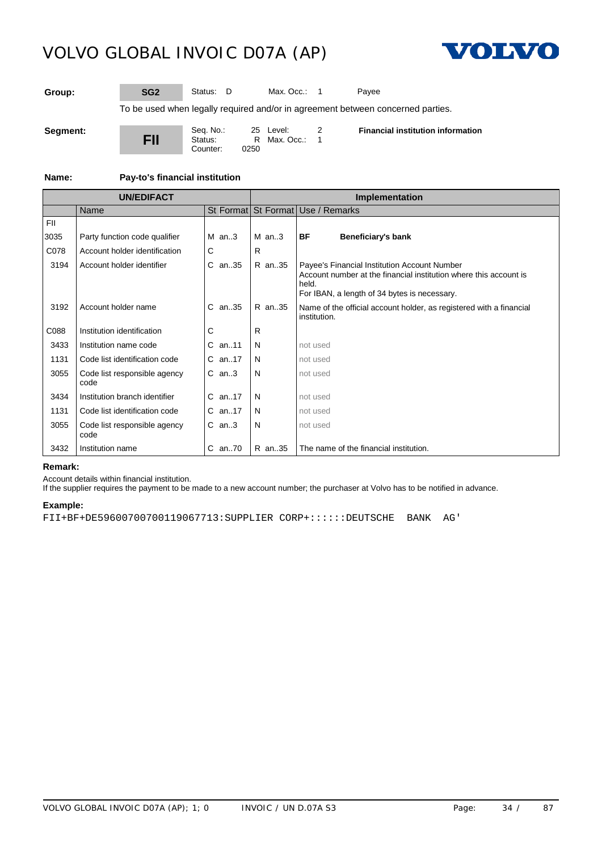

**Group: SG2** Status: D Max. Occ.: 1 Payee

To be used when legally required and/or in agreement between concerned parties.

**Segment:**

**FII** Seq. No.: 25 Level: 2<br>Status: R Max. Occ.: 1  $R$  Max. Occ.: 0250 Counter: **Financial institution information**

**Name: Pay-to's financial institution**

| <b>UN/EDIFACT</b> |                                      |            | Implementation |                                                                                                                                                                            |  |  |
|-------------------|--------------------------------------|------------|----------------|----------------------------------------------------------------------------------------------------------------------------------------------------------------------------|--|--|
|                   | Name                                 |            |                | St Format St Format Use / Remarks                                                                                                                                          |  |  |
| <b>FII</b>        |                                      |            |                |                                                                                                                                                                            |  |  |
| 3035              | Party function code qualifier        | $M$ an3    | $M$ an3        | BF<br>Beneficiary's bank                                                                                                                                                   |  |  |
| C078              | Account holder identification        | C          | R              |                                                                                                                                                                            |  |  |
| 3194              | Account holder identifier            | $C$ an. 35 | R an35         | Payee's Financial Institution Account Number<br>Account number at the financial institution where this account is<br>held.<br>For IBAN, a length of 34 bytes is necessary. |  |  |
| 3192              | Account holder name                  | $C$ an. 35 | R an35         | Name of the official account holder, as registered with a financial<br>institution.                                                                                        |  |  |
| C088              | Institution identification           | C          | R              |                                                                                                                                                                            |  |  |
| 3433              | Institution name code                | $C$ an. 11 | N              | not used                                                                                                                                                                   |  |  |
| 1131              | Code list identification code        | $C$ an. 17 | N              | not used                                                                                                                                                                   |  |  |
| 3055              | Code list responsible agency<br>code | $C$ an3    | N              | not used                                                                                                                                                                   |  |  |
| 3434              | Institution branch identifier        | $C$ an17   | N              | not used                                                                                                                                                                   |  |  |
| 1131              | Code list identification code        | $C$ an17   | N              | not used                                                                                                                                                                   |  |  |
| 3055              | Code list responsible agency<br>code | $C$ an3    | N              | not used                                                                                                                                                                   |  |  |
| 3432              | Institution name                     | C an70     | R an35         | The name of the financial institution.                                                                                                                                     |  |  |

### **Remark:**

Account details within financial institution.

If the supplier requires the payment to be made to a new account number; the purchaser at Volvo has to be notified in advance.

# **Example:**

FII+BF+DE59600700700119067713:SUPPLIER CORP+::::::DEUTSCHE BANK AG'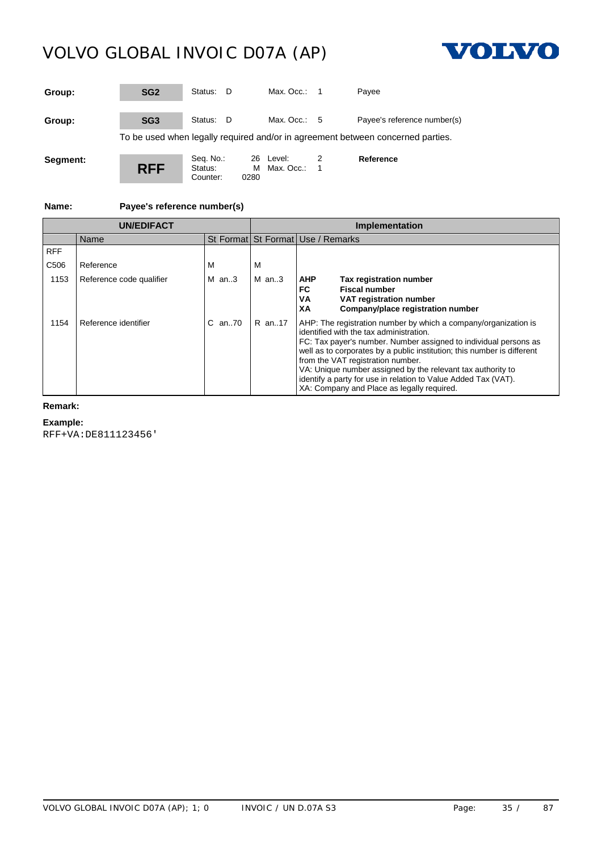Counter:



| Group:   | SG <sub>2</sub> | Status: D                        |      | Max. Occ.: $1$            |                | Pavee                                                                           |
|----------|-----------------|----------------------------------|------|---------------------------|----------------|---------------------------------------------------------------------------------|
| Group:   | SG <sub>3</sub> | Status: D                        |      | Max. Occ.: $5$            |                | Payee's reference number(s)                                                     |
|          |                 |                                  |      |                           |                | To be used when legally required and/or in agreement between concerned parties. |
| Segment: | <b>RFF</b>      | Seq. No.:<br>Status:<br>Counter: | 0280 | 26 Level:<br>M Max. Occ.: | $\overline{1}$ | Reference                                                                       |

**Name: Payee's reference number(s)**

| <b>UN/EDIFACT</b> |                          |          | <b>Implementation</b>             |                                                                                                                                                                                                                                                                                                                                                                                                                                                                               |  |  |
|-------------------|--------------------------|----------|-----------------------------------|-------------------------------------------------------------------------------------------------------------------------------------------------------------------------------------------------------------------------------------------------------------------------------------------------------------------------------------------------------------------------------------------------------------------------------------------------------------------------------|--|--|
|                   | Name                     |          | St Format St Format Use / Remarks |                                                                                                                                                                                                                                                                                                                                                                                                                                                                               |  |  |
| <b>RFF</b>        |                          |          |                                   |                                                                                                                                                                                                                                                                                                                                                                                                                                                                               |  |  |
| C <sub>506</sub>  | Reference                | M        | М                                 |                                                                                                                                                                                                                                                                                                                                                                                                                                                                               |  |  |
| 1153              | Reference code qualifier | M $an.3$ | M an3                             | <b>AHP</b><br><b>Tax registration number</b><br><b>Fiscal number</b><br>FC.<br>VA<br>VAT registration number<br>Company/place registration number<br>XА                                                                                                                                                                                                                                                                                                                       |  |  |
| 1154              | Reference identifier     | C an70   | R an17                            | AHP: The registration number by which a company/organization is<br>identified with the tax administration.<br>FC: Tax payer's number. Number assigned to individual persons as<br>well as to corporates by a public institution; this number is different<br>from the VAT registration number.<br>VA: Unique number assigned by the relevant tax authority to<br>identify a party for use in relation to Value Added Tax (VAT).<br>XA: Company and Place as legally required. |  |  |

# **Remark:**

**Example:**

RFF+VA:DE811123456'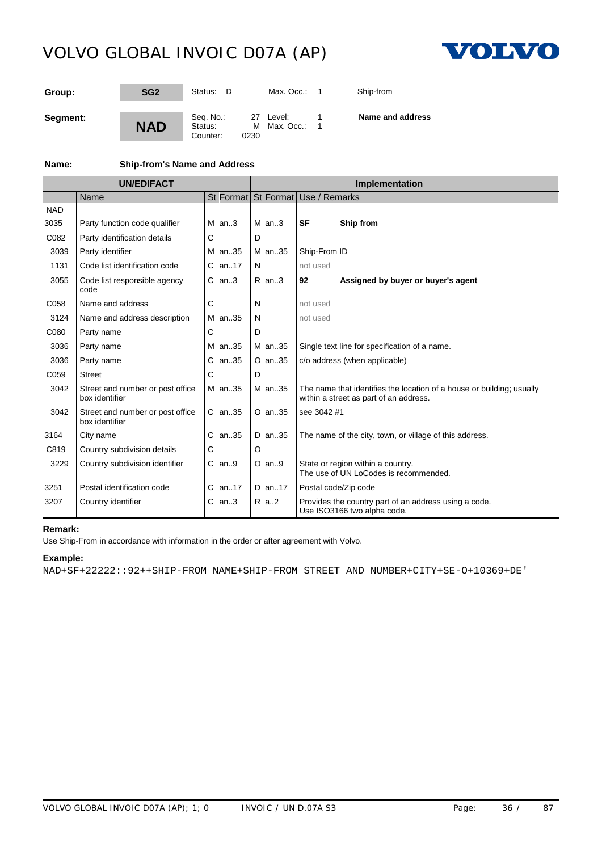

| Group:   | SG <sub>2</sub> | Status:<br>- D                   | Max. Occ.: $\overline{1}$         | Ship-from        |
|----------|-----------------|----------------------------------|-----------------------------------|------------------|
| Segment: | <b>NAD</b>      | Seq. No.:<br>Status:<br>Counter: | 27 Level:<br>M Max. Occ.:<br>0230 | Name and address |

# **Name: Ship-from's Name and Address**

|            | <b>UN/EDIFACT</b>                                  |            | Implementation |                                                                                                                 |  |  |
|------------|----------------------------------------------------|------------|----------------|-----------------------------------------------------------------------------------------------------------------|--|--|
|            | Name                                               |            |                | St Format St Format Use / Remarks                                                                               |  |  |
| <b>NAD</b> |                                                    |            |                |                                                                                                                 |  |  |
| 3035       | Party function code qualifier                      | $M$ an3    | $M$ an3        | <b>SF</b><br>Ship from                                                                                          |  |  |
| C082       | Party identification details                       | С          | D              |                                                                                                                 |  |  |
| 3039       | Party identifier                                   | M an35     | M an35         | Ship-From ID                                                                                                    |  |  |
| 1131       | Code list identification code                      | $C$ an17   | N              | not used                                                                                                        |  |  |
| 3055       | Code list responsible agency<br>code               | $C$ an3    | $R$ an3        | 92<br>Assigned by buyer or buyer's agent                                                                        |  |  |
| C058       | Name and address                                   | С          | N              | not used                                                                                                        |  |  |
| 3124       | Name and address description                       | M an35     | N              | not used                                                                                                        |  |  |
| C080       | Party name                                         | С          | D              |                                                                                                                 |  |  |
| 3036       | Party name                                         | M an35     | M an35         | Single text line for specification of a name.                                                                   |  |  |
| 3036       | Party name                                         | C an35     | O an35         | c/o address (when applicable)                                                                                   |  |  |
| C059       | <b>Street</b>                                      | С          | D              |                                                                                                                 |  |  |
| 3042       | Street and number or post office<br>box identifier | M an35     | M an35         | The name that identifies the location of a house or building; usually<br>within a street as part of an address. |  |  |
| 3042       | Street and number or post office<br>box identifier | C an35     | $O$ an. 35     | see 3042 #1                                                                                                     |  |  |
| 3164       | City name                                          | $C$ an. 35 | D an35         | The name of the city, town, or village of this address.                                                         |  |  |
| C819       | Country subdivision details                        | С          | O              |                                                                                                                 |  |  |
| 3229       | Country subdivision identifier                     | $C$ an9    | $O$ an9        | State or region within a country.<br>The use of UN LoCodes is recommended.                                      |  |  |
| 3251       | Postal identification code                         | C an17     | D an17         | Postal code/Zip code                                                                                            |  |  |
| 3207       | Country identifier                                 | $C$ an3    | R a2           | Provides the country part of an address using a code.<br>Use ISO3166 two alpha code.                            |  |  |

# **Remark:**

Use Ship-From in accordance with information in the order or after agreement with Volvo.

### **Example:**

NAD+SF+22222::92++SHIP-FROM NAME+SHIP-FROM STREET AND NUMBER+CITY+SE-O+10369+DE'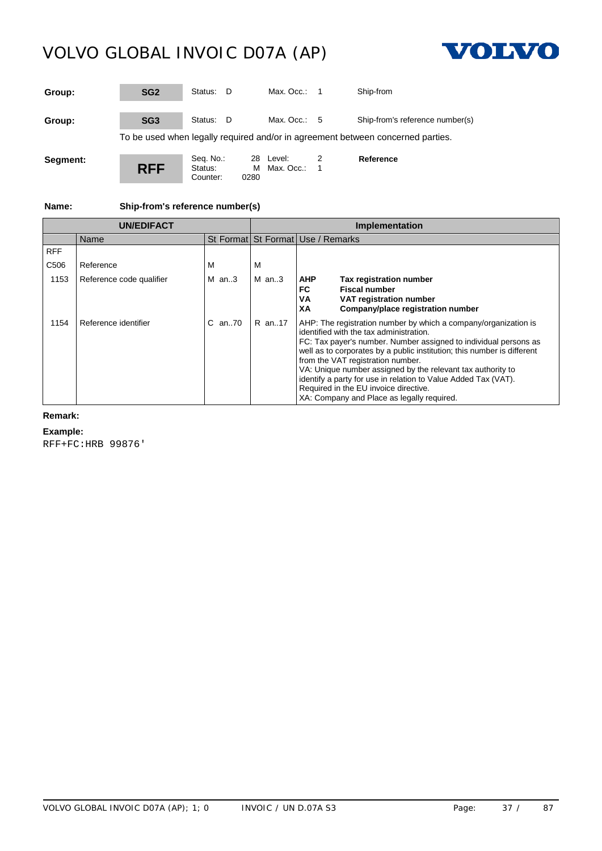

| Group:   | SG <sub>2</sub> | Status: D                        |           | Max. Occ.:              | - 1 | Ship-from                                                                       |
|----------|-----------------|----------------------------------|-----------|-------------------------|-----|---------------------------------------------------------------------------------|
| Group:   | SG <sub>3</sub> | Status: D                        |           | Max. Occ.: $5$          |     | Ship-from's reference number(s)                                                 |
|          |                 |                                  |           |                         |     | To be used when legally required and/or in agreement between concerned parties. |
| Segment: | <b>RFF</b>      | Seq. No.:<br>Status:<br>Counter: | м<br>0280 | 28 Level:<br>Max. Occ.: | 1   | Reference                                                                       |

**Name: Ship-from's reference number(s)**

|                  | <b>UN/EDIFACT</b>        |            | Implementation |                                                                                                                                                                                                                                                                                                                                                                                                                                                                                                                        |  |
|------------------|--------------------------|------------|----------------|------------------------------------------------------------------------------------------------------------------------------------------------------------------------------------------------------------------------------------------------------------------------------------------------------------------------------------------------------------------------------------------------------------------------------------------------------------------------------------------------------------------------|--|
|                  | Name                     |            |                | St Format St Format Use / Remarks                                                                                                                                                                                                                                                                                                                                                                                                                                                                                      |  |
| <b>RFF</b>       |                          |            |                |                                                                                                                                                                                                                                                                                                                                                                                                                                                                                                                        |  |
| C <sub>506</sub> | Reference                | М          | M              |                                                                                                                                                                                                                                                                                                                                                                                                                                                                                                                        |  |
| 1153             | Reference code qualifier | $M$ an3    | $M$ an3        | <b>AHP</b><br>Tax registration number<br><b>Fiscal number</b><br>FC<br>VA<br>VAT registration number<br>XA<br>Company/place registration number                                                                                                                                                                                                                                                                                                                                                                        |  |
| 1154             | Reference identifier     | $C$ an. 70 | R an17         | AHP: The registration number by which a company/organization is<br>identified with the tax administration.<br>FC: Tax payer's number. Number assigned to individual persons as<br>well as to corporates by a public institution; this number is different<br>from the VAT registration number.<br>VA: Unique number assigned by the relevant tax authority to<br>identify a party for use in relation to Value Added Tax (VAT).<br>Required in the EU invoice directive.<br>XA: Company and Place as legally required. |  |

### **Remark:**

### **Example:**

RFF+FC:HRB 99876'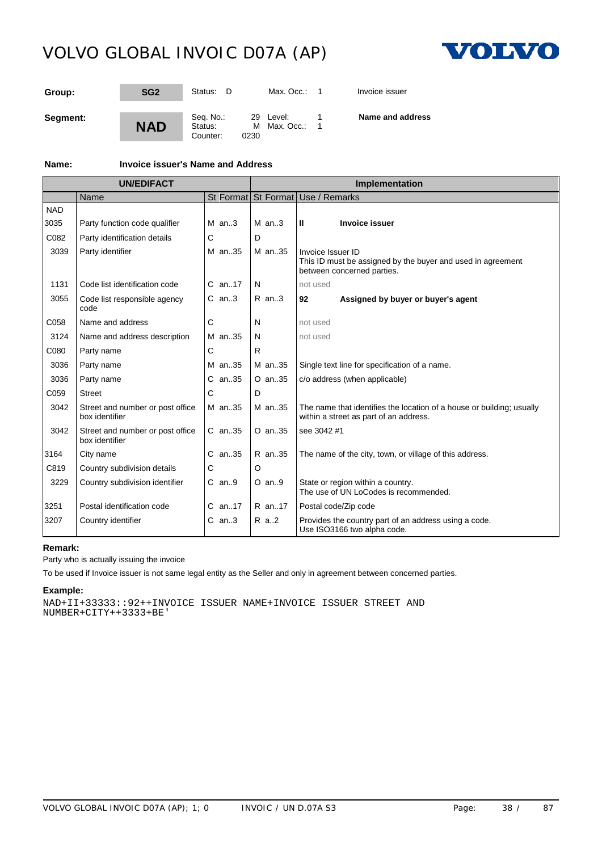

| Group:   | SG <sub>2</sub> | Status:<br>- D                   |                   | Max. Occ.:     | Invoice issuer   |
|----------|-----------------|----------------------------------|-------------------|----------------|------------------|
| Segment: | <b>NAD</b>      | Seq. No.:<br>Status:<br>Counter: | 29 Level:<br>0230 | M Max. Occ.: 1 | Name and address |

**Name: Invoice issuer's Name and Address**

| <b>UN/EDIFACT</b> |                                                    |            | Implementation |                                                                                                                 |  |  |
|-------------------|----------------------------------------------------|------------|----------------|-----------------------------------------------------------------------------------------------------------------|--|--|
|                   | Name                                               |            |                | St Format St Format Use / Remarks                                                                               |  |  |
| <b>NAD</b>        |                                                    |            |                |                                                                                                                 |  |  |
| 3035              | Party function code qualifier                      | $M$ an3    | $M$ an3        | <b>Invoice issuer</b><br>Ш                                                                                      |  |  |
| C082              | Party identification details                       | C          | D              |                                                                                                                 |  |  |
| 3039              | Party identifier                                   | M an35     | M an35         | Invoice Issuer ID<br>This ID must be assigned by the buyer and used in agreement<br>between concerned parties.  |  |  |
| 1131              | Code list identification code                      | $C$ an. 17 | N              | not used                                                                                                        |  |  |
| 3055              | Code list responsible agency<br>code               | $C$ an3    | $R$ an3        | Assigned by buyer or buyer's agent<br>92                                                                        |  |  |
| C058              | Name and address                                   | C          | N              | not used                                                                                                        |  |  |
| 3124              | Name and address description                       | M an35     | N              | not used                                                                                                        |  |  |
| C080              | Party name                                         | С          | R.             |                                                                                                                 |  |  |
| 3036              | Party name                                         | M an35     | M an35         | Single text line for specification of a name.                                                                   |  |  |
| 3036              | Party name                                         | $C$ an35   | O an35         | c/o address (when applicable)                                                                                   |  |  |
| C059              | <b>Street</b>                                      | C          | D              |                                                                                                                 |  |  |
| 3042              | Street and number or post office<br>box identifier | M an35     | M an35         | The name that identifies the location of a house or building; usually<br>within a street as part of an address. |  |  |
| 3042              | Street and number or post office<br>box identifier | $C$ an. 35 | $O$ an. $35$   | see 3042 #1                                                                                                     |  |  |
| 3164              | City name                                          | $C$ an. 35 | R an35         | The name of the city, town, or village of this address.                                                         |  |  |
| C819              | Country subdivision details                        | С          | ი              |                                                                                                                 |  |  |
| 3229              | Country subdivision identifier                     | $C$ an9    | $O$ an9        | State or region within a country.<br>The use of UN LoCodes is recommended.                                      |  |  |
| 3251              | Postal identification code                         | $C$ an17   | R an17         | Postal code/Zip code                                                                                            |  |  |
| 3207              | Country identifier                                 | $C$ an3    | R a2           | Provides the country part of an address using a code.<br>Use ISO3166 two alpha code.                            |  |  |

### **Remark:**

Party who is actually issuing the invoice

To be used if Invoice issuer is not same legal entity as the Seller and only in agreement between concerned parties.

### **Example:**

NAD+II+33333::92++INVOICE ISSUER NAME+INVOICE ISSUER STREET AND NUMBER+CITY++3333+BE'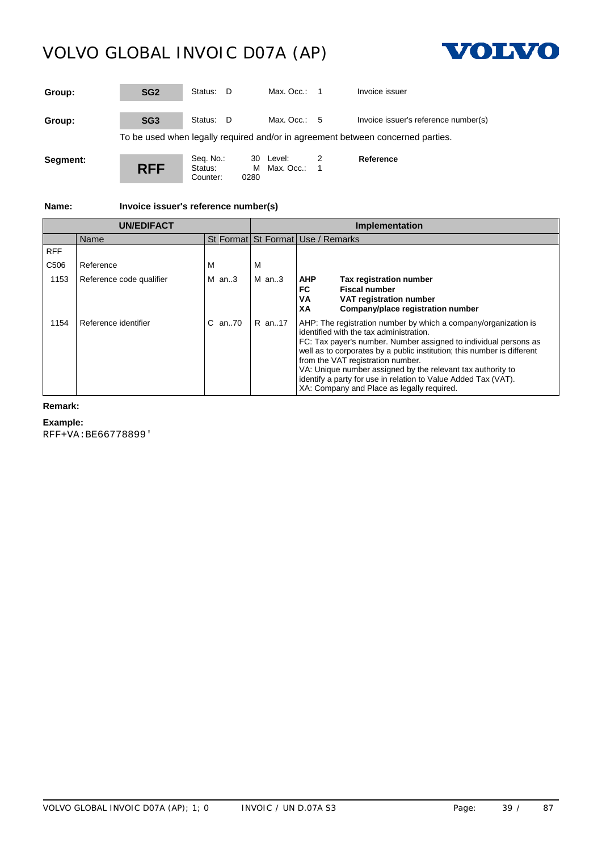

| Group:   | SG <sub>2</sub> | Status: D                        |            | Max. $Occ: 1$          |                | Invoice issuer                                                                  |
|----------|-----------------|----------------------------------|------------|------------------------|----------------|---------------------------------------------------------------------------------|
| Group:   | SG <sub>3</sub> | Status: D                        |            | Max. Occ.: $5$         |                | Invoice issuer's reference number(s)                                            |
|          |                 |                                  |            |                        |                | To be used when legally required and/or in agreement between concerned parties. |
| Segment: | <b>RFF</b>      | Seq. No.:<br>Status:<br>Counter: | 30<br>0280 | Level:<br>M Max. Occ.: | $\blacksquare$ | Reference                                                                       |

**Name: Invoice issuer's reference number(s)**

|                  | <b>UN/FDIFACT</b>        |            |           | Implementation                                                                                                                                                                                                                                                                                                                                                                                                                                                                |
|------------------|--------------------------|------------|-----------|-------------------------------------------------------------------------------------------------------------------------------------------------------------------------------------------------------------------------------------------------------------------------------------------------------------------------------------------------------------------------------------------------------------------------------------------------------------------------------|
|                  | Name                     |            |           | St Format St Format Use / Remarks                                                                                                                                                                                                                                                                                                                                                                                                                                             |
| <b>RFF</b>       |                          |            |           |                                                                                                                                                                                                                                                                                                                                                                                                                                                                               |
| C <sub>506</sub> | Reference                | M          | м         |                                                                                                                                                                                                                                                                                                                                                                                                                                                                               |
| 1153             | Reference code qualifier | M $an.3$   | $M$ an3   | <b>AHP</b><br>Tax registration number<br><b>Fiscal number</b><br>FC<br>VA<br>VAT registration number<br>Company/place registration number<br>XA                                                                                                                                                                                                                                                                                                                               |
| 1154             | Reference identifier     | $C$ an. 70 | $IR$ an17 | AHP: The registration number by which a company/organization is<br>identified with the tax administration.<br>FC: Tax payer's number. Number assigned to individual persons as<br>well as to corporates by a public institution; this number is different<br>from the VAT registration number.<br>VA: Unique number assigned by the relevant tax authority to<br>identify a party for use in relation to Value Added Tax (VAT).<br>XA: Company and Place as legally required. |

### **Remark:**

**Example:**

RFF+VA:BE66778899'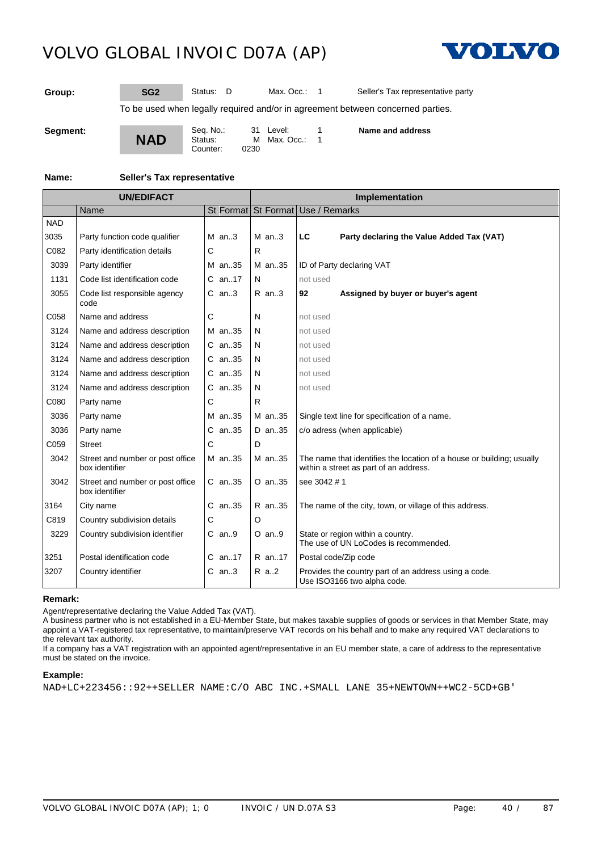

**Group: SG2** Status: D Max. Occ.: 1 Seller's Tax representative party

To be used when legally required and/or in agreement between concerned parties.

**Segment:**

**NAD** Seq. No.: 31 Level: 1<br>Status: M Max. Occ.: 1  $M$  Max. Occ.: 0230 Counter: **Name and address**

#### **Name: Seller's Tax representative**

| <b>UN/EDIFACT</b> |                                                    |            | <b>Implementation</b> |                                                                                                                 |  |  |
|-------------------|----------------------------------------------------|------------|-----------------------|-----------------------------------------------------------------------------------------------------------------|--|--|
|                   | Name                                               |            |                       | St Format St Format Use / Remarks                                                                               |  |  |
| <b>NAD</b>        |                                                    |            |                       |                                                                                                                 |  |  |
| 3035              | Party function code qualifier                      | $M$ an3    | $M$ an3               | LC<br>Party declaring the Value Added Tax (VAT)                                                                 |  |  |
| C082              | Party identification details                       | C          | R                     |                                                                                                                 |  |  |
| 3039              | Party identifier                                   | M an35     | M an35                | ID of Party declaring VAT                                                                                       |  |  |
| 1131              | Code list identification code                      | C an17     | N                     | not used                                                                                                        |  |  |
| 3055              | Code list responsible agency<br>code               | $C$ an3    | $R$ an. $3$           | Assigned by buyer or buyer's agent<br>92                                                                        |  |  |
| C058              | Name and address                                   | С          | N                     | not used                                                                                                        |  |  |
| 3124              | Name and address description                       | M an35     | N                     | not used                                                                                                        |  |  |
| 3124              | Name and address description                       | C an35     | N                     | not used                                                                                                        |  |  |
| 3124              | Name and address description                       | $C$ an. 35 | N                     | not used                                                                                                        |  |  |
| 3124              | Name and address description                       | $C$ an. 35 | N                     | not used                                                                                                        |  |  |
| 3124              | Name and address description                       | $C$ an. 35 | N                     | not used                                                                                                        |  |  |
| C080              | Party name                                         | С          | R                     |                                                                                                                 |  |  |
| 3036              | Party name                                         | M an35     | M an35                | Single text line for specification of a name.                                                                   |  |  |
| 3036              | Party name                                         | $C$ an. 35 | D an35                | c/o adress (when applicable)                                                                                    |  |  |
| C059              | <b>Street</b>                                      | С          | D                     |                                                                                                                 |  |  |
| 3042              | Street and number or post office<br>box identifier | M an35     | M an35                | The name that identifies the location of a house or building; usually<br>within a street as part of an address. |  |  |
| 3042              | Street and number or post office<br>box identifier | $C$ an. 35 | O an35                | see 3042 # 1                                                                                                    |  |  |
| 3164              | City name                                          | $C$ an. 35 | R an35                | The name of the city, town, or village of this address.                                                         |  |  |
| C819              | Country subdivision details                        | C          | O                     |                                                                                                                 |  |  |
| 3229              | Country subdivision identifier                     | $C$ an9    | $O$ an9               | State or region within a country.<br>The use of UN LoCodes is recommended.                                      |  |  |
| 3251              | Postal identification code                         | $C$ an17   | R an17                | Postal code/Zip code                                                                                            |  |  |
| 3207              | Country identifier                                 | $C$ an3    | R a2                  | Provides the country part of an address using a code.<br>Use ISO3166 two alpha code.                            |  |  |

#### **Remark:**

Agent/representative declaring the Value Added Tax (VAT).

A business partner who is not established in a EU-Member State, but makes taxable supplies of goods or services in that Member State, may appoint a VAT-registered tax representative, to maintain/preserve VAT records on his behalf and to make any required VAT declarations to the relevant tax authority.

If a company has a VAT registration with an appointed agent/representative in an EU member state, a care of address to the representative must be stated on the invoice.

#### **Example:**

NAD+LC+223456::92++SELLER NAME:C/O ABC INC.+SMALL LANE 35+NEWTOWN++WC2-5CD+GB'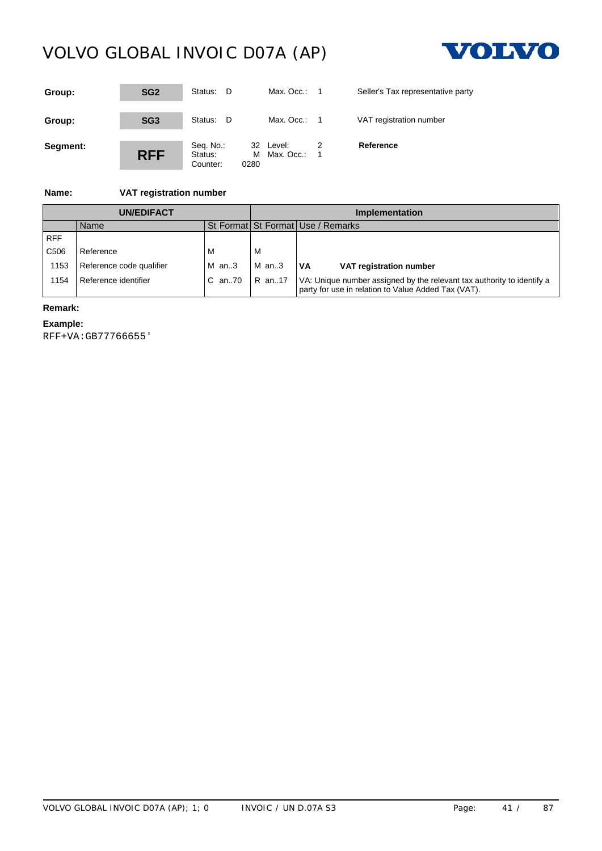

| Group:   | SG <sub>2</sub> | Status: D                        | Max. Occ.: $1$                       |     | Seller's Tax representative party |
|----------|-----------------|----------------------------------|--------------------------------------|-----|-----------------------------------|
| Group:   | SG <sub>3</sub> | Status: D                        | Max. Occ.: $1$                       |     | VAT registration number           |
| Segment: | <b>RFF</b>      | Seq. No.:<br>Status:<br>Counter: | 32 Level:<br>Max. Occ.:<br>м<br>0280 | - 1 | Reference                         |

### **Name: VAT registration number**

|                  | <b>UN/EDIFACT</b>        |                 | Implementation |                                                                                                                               |  |
|------------------|--------------------------|-----------------|----------------|-------------------------------------------------------------------------------------------------------------------------------|--|
|                  | Name                     |                 |                | St Format St Format Use / Remarks                                                                                             |  |
| <b>RFF</b>       |                          |                 |                |                                                                                                                               |  |
| C <sub>506</sub> | Reference                |                 | M              |                                                                                                                               |  |
| 1153             | Reference code qualifier | $M$ an3         | l M an3        | l VA<br>VAT registration number                                                                                               |  |
| 154              | Reference identifier     | C an70   R an17 |                | VA: Unique number assigned by the relevant tax authority to identify a<br>party for use in relation to Value Added Tax (VAT). |  |

### **Remark:**

### **Example:**

RFF+VA:GB77766655'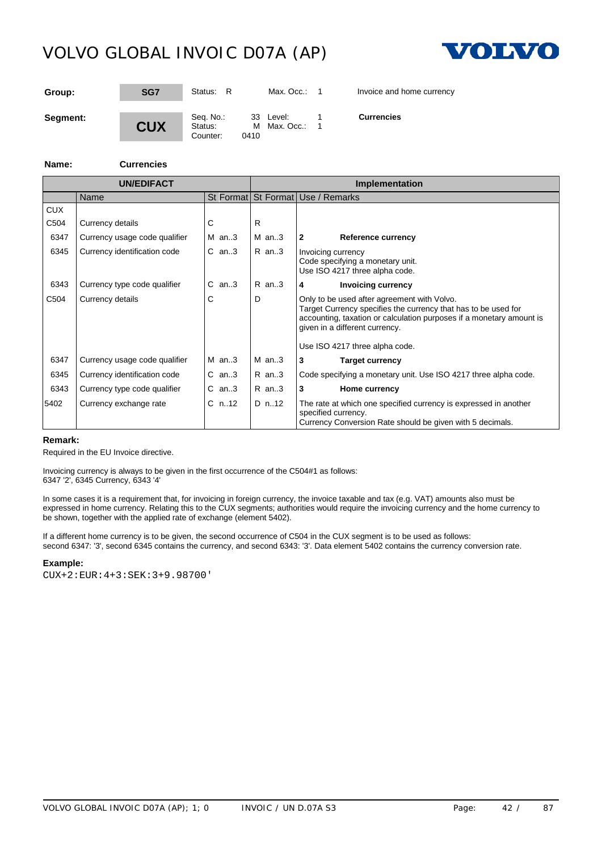

| Group:   | SG7        | Status: R                                | Max. Occ.:                | Invoice and home currency |  |
|----------|------------|------------------------------------------|---------------------------|---------------------------|--|
| Segment: | <b>CUX</b> | Seq. No.:<br>Status:<br>0410<br>Counter: | 33 Level:<br>M Max. Occ.: | <b>Currencies</b>         |  |

#### **Name: Currencies**

|                  | <b>UN/EDIFACT</b>             |             |             | Implementation                                                                                                                                                                                                                                            |  |  |
|------------------|-------------------------------|-------------|-------------|-----------------------------------------------------------------------------------------------------------------------------------------------------------------------------------------------------------------------------------------------------------|--|--|
|                  | Name                          | St Format   |             | St Format Use / Remarks                                                                                                                                                                                                                                   |  |  |
| <b>CUX</b>       |                               |             |             |                                                                                                                                                                                                                                                           |  |  |
| C504             | Currency details              | С           | R           |                                                                                                                                                                                                                                                           |  |  |
| 6347             | Currency usage code qualifier | $M$ an. 3   | $M$ an3     | $\mathbf{2}$<br>Reference currency                                                                                                                                                                                                                        |  |  |
| 6345             | Currency identification code  | $C$ an3     | R an3       | Invoicing currency<br>Code specifying a monetary unit.<br>Use ISO 4217 three alpha code.                                                                                                                                                                  |  |  |
| 6343             | Currency type code qualifier  | $C$ an. $3$ | $R$ an. 3   | <b>Invoicing currency</b><br>4                                                                                                                                                                                                                            |  |  |
| C <sub>504</sub> | Currency details              | С           | D           | Only to be used after agreement with Volvo.<br>Target Currency specifies the currency that has to be used for<br>accounting, taxation or calculation purposes if a monetary amount is<br>given in a different currency.<br>Use ISO 4217 three alpha code. |  |  |
| 6347             | Currency usage code qualifier | $M$ an. 3   | $M$ an. 3   | 3<br><b>Target currency</b>                                                                                                                                                                                                                               |  |  |
| 6345             | Currency identification code  | $C$ an3     | $R$ an3     | Code specifying a monetary unit. Use ISO 4217 three alpha code.                                                                                                                                                                                           |  |  |
| 6343             | Currency type code qualifier  | $C$ an. $3$ | $R$ an. $3$ | 3<br>Home currency                                                                                                                                                                                                                                        |  |  |
| 5402             | Currency exchange rate        | $C \n n.12$ | D n.12      | The rate at which one specified currency is expressed in another<br>specified currency.<br>Currency Conversion Rate should be given with 5 decimals.                                                                                                      |  |  |

#### **Remark:**

Required in the EU Invoice directive.

Invoicing currency is always to be given in the first occurrence of the C504#1 as follows: 6347 '2', 6345 Currency, 6343 '4'

In some cases it is a requirement that, for invoicing in foreign currency, the invoice taxable and tax (e.g. VAT) amounts also must be expressed in home currency. Relating this to the CUX segments; authorities would require the invoicing currency and the home currency to be shown, together with the applied rate of exchange (element 5402).

If a different home currency is to be given, the second occurrence of C504 in the CUX segment is to be used as follows: second 6347: '3', second 6345 contains the currency, and second 6343: '3'. Data element 5402 contains the currency conversion rate.

#### **Example:**

CUX+2:EUR:4+3:SEK:3+9.98700'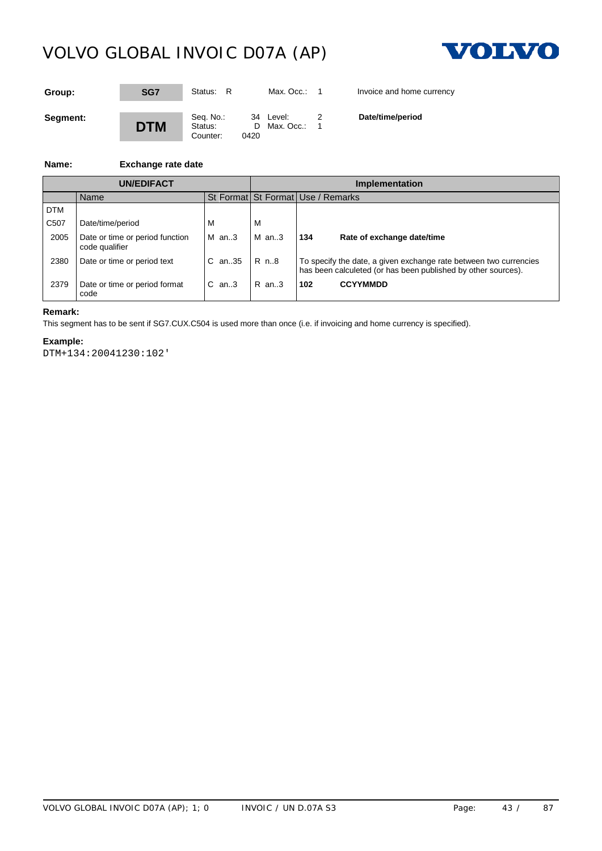

| Group:   | SG7        | Status: R                        |      | Max. Occ.:                | Invoice and home currency |
|----------|------------|----------------------------------|------|---------------------------|---------------------------|
| Segment: | <b>DTM</b> | Seq. No.:<br>Status:<br>Counter: | 0420 | 34 Level:<br>D Max. Occ.: | Date/time/period          |

### **Name: Exchange rate date**

|                   | <b>UN/EDIFACT</b>                                 |                  | <b>Implementation</b> |                                                                                                                                    |  |  |
|-------------------|---------------------------------------------------|------------------|-----------------------|------------------------------------------------------------------------------------------------------------------------------------|--|--|
|                   | Name                                              |                  |                       | St Format St Format Use / Remarks                                                                                                  |  |  |
| <b>DTM</b>        |                                                   |                  |                       |                                                                                                                                    |  |  |
| C <sub>50</sub> 7 | Date/time/period                                  | м                | м                     |                                                                                                                                    |  |  |
| 2005              | Date or time or period function<br>code qualifier | $M$ an3          | IM an3                | 134<br>Rate of exchange date/time                                                                                                  |  |  |
| 2380              | Date or time or period text                       | IC an35 IR n8    |                       | To specify the date, a given exchange rate between two currencies<br>has been calculeted (or has been published by other sources). |  |  |
| 2379              | Date or time or period format<br>code             | $\mathsf{C}$ an3 | R an3                 | 102<br><b>CCYYMMDD</b>                                                                                                             |  |  |

#### **Remark:**

This segment has to be sent if SG7.CUX.C504 is used more than once (i.e. if invoicing and home currency is specified).

### **Example:**

DTM+134:20041230:102'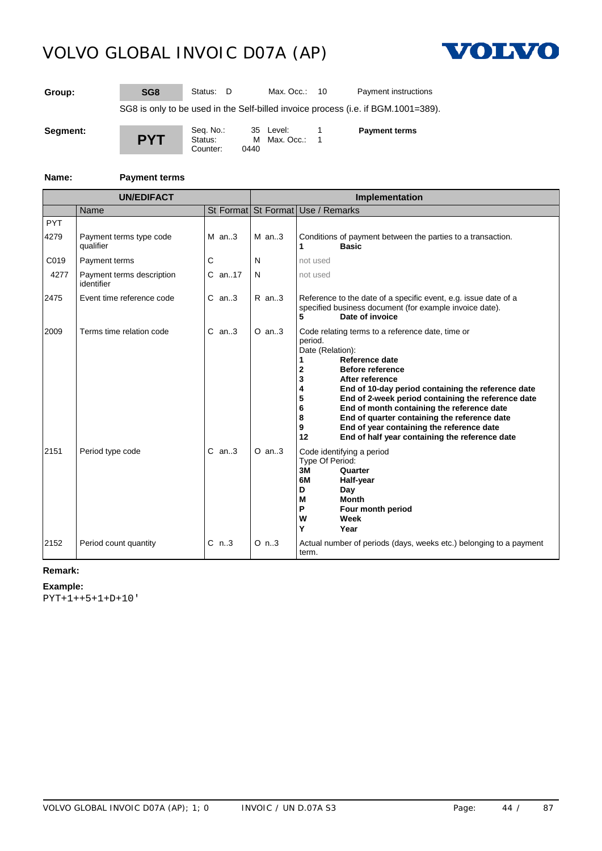

**Group: SG8** Status: D Max. Occ.: 10 Payment instructions

SG8 is only to be used in the Self-billed invoice process (i.e. if BGM.1001=389).

**PYT** Seq. No.: 35 Level: 1<br>Status: M Max. Occ.: 1 M Max. Occ.: 1<br>0440 Counter:

**Payment terms**

### **Name: Payment terms**

|                    | <b>UN/EDIFACT</b>                       |             | Implementation |                                                                                                                                                                                                                                                                                                                                                                                                                                                                                              |  |  |
|--------------------|-----------------------------------------|-------------|----------------|----------------------------------------------------------------------------------------------------------------------------------------------------------------------------------------------------------------------------------------------------------------------------------------------------------------------------------------------------------------------------------------------------------------------------------------------------------------------------------------------|--|--|
|                    | Name                                    |             |                | St Format St Format Use / Remarks                                                                                                                                                                                                                                                                                                                                                                                                                                                            |  |  |
| <b>PYT</b><br>4279 | Payment terms type code<br>qualifier    | $M$ an3     | $M$ an3        | Conditions of payment between the parties to a transaction.<br><b>Basic</b><br>1                                                                                                                                                                                                                                                                                                                                                                                                             |  |  |
| C019               | Payment terms                           | С           | N              | not used                                                                                                                                                                                                                                                                                                                                                                                                                                                                                     |  |  |
| 4277               | Payment terms description<br>identifier | $C$ an17    | N              | not used                                                                                                                                                                                                                                                                                                                                                                                                                                                                                     |  |  |
| 2475               | Event time reference code               | $C$ an3     | $R$ an3        | Reference to the date of a specific event, e.g. issue date of a<br>specified business document (for example invoice date).<br>5<br>Date of invoice                                                                                                                                                                                                                                                                                                                                           |  |  |
| 2009               | Terms time relation code                | $C$ an. $3$ | $O$ an3        | Code relating terms to a reference date, time or<br>period.<br>Date (Relation):<br>Reference date<br><b>Before reference</b><br>2<br>After reference<br>3<br>End of 10-day period containing the reference date<br>End of 2-week period containing the reference date<br>5<br>End of month containing the reference date<br>6<br>End of quarter containing the reference date<br>8<br>End of year containing the reference date<br>9<br>End of half year containing the reference date<br>12 |  |  |
| 2151               | Period type code                        | $C$ an3     | $O$ an3        | Code identifying a period<br>Type Of Period:<br>3M<br>Quarter<br>6M<br>Half-year<br>D<br>Day<br>M<br><b>Month</b><br>P<br>Four month period<br>W<br>Week<br>Y<br>Year                                                                                                                                                                                                                                                                                                                        |  |  |
| 2152               | Period count quantity                   | $C_{n.3}$   | $O$ n3         | Actual number of periods (days, weeks etc.) belonging to a payment<br>term.                                                                                                                                                                                                                                                                                                                                                                                                                  |  |  |

**Remark:**

### **Example:**

PYT+1++5+1+D+10'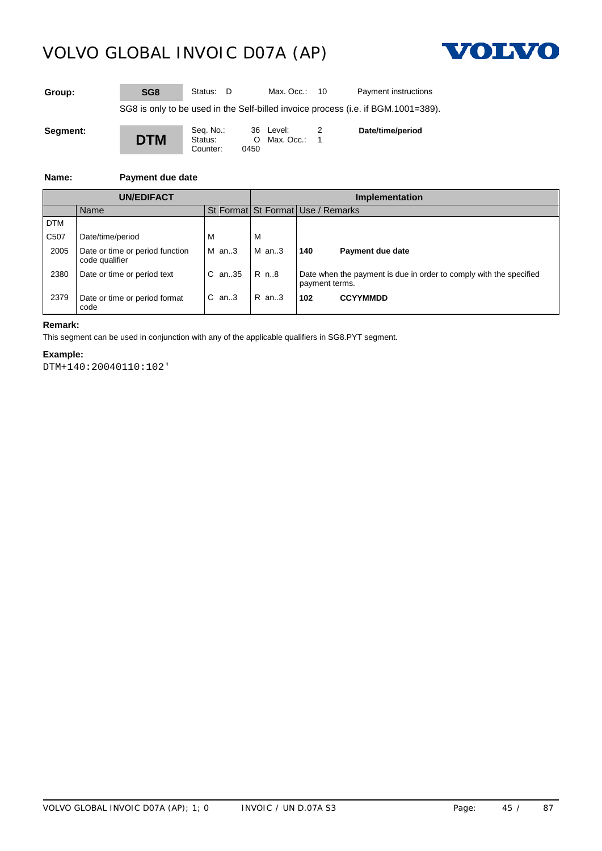

| Group: | SG <sub>8</sub> | Status: D |  | Max. Occ.: 10 |  | Payment instructions |
|--------|-----------------|-----------|--|---------------|--|----------------------|
|--------|-----------------|-----------|--|---------------|--|----------------------|

SG8 is only to be used in the Self-billed invoice process (i.e. if BGM.1001=389).

**DTM**

Seq. No.: 36 Level: 2 Status: **O** Max. Occ.: 1 Counter: 0450

**Date/time/period**

### **Name: Payment due date**

|                  | <b>UN/EDIFACT</b>                                 |                   | <b>Implementation</b> |                                                                                      |  |  |  |
|------------------|---------------------------------------------------|-------------------|-----------------------|--------------------------------------------------------------------------------------|--|--|--|
|                  | Name                                              |                   |                       | St Format St Format Use / Remarks                                                    |  |  |  |
| I DTM            |                                                   |                   |                       |                                                                                      |  |  |  |
| C <sub>507</sub> | Date/time/period                                  | M                 | .W                    |                                                                                      |  |  |  |
| 2005             | Date or time or period function<br>code qualifier | $M$ an3           | $M$ an3               | 140<br>Payment due date                                                              |  |  |  |
| 2380             | Date or time or period text                       | IC an35 IR n8     |                       | Date when the payment is due in order to comply with the specified<br>payment terms. |  |  |  |
| 2379             | Date or time or period format<br>code             | $\mathsf{IC}$ an3 | $R$ an3               | <b>CCYYMMDD</b><br>102                                                               |  |  |  |

### **Remark:**

This segment can be used in conjunction with any of the applicable qualifiers in SG8.PYT segment.

### **Example:**

DTM+140:20040110:102'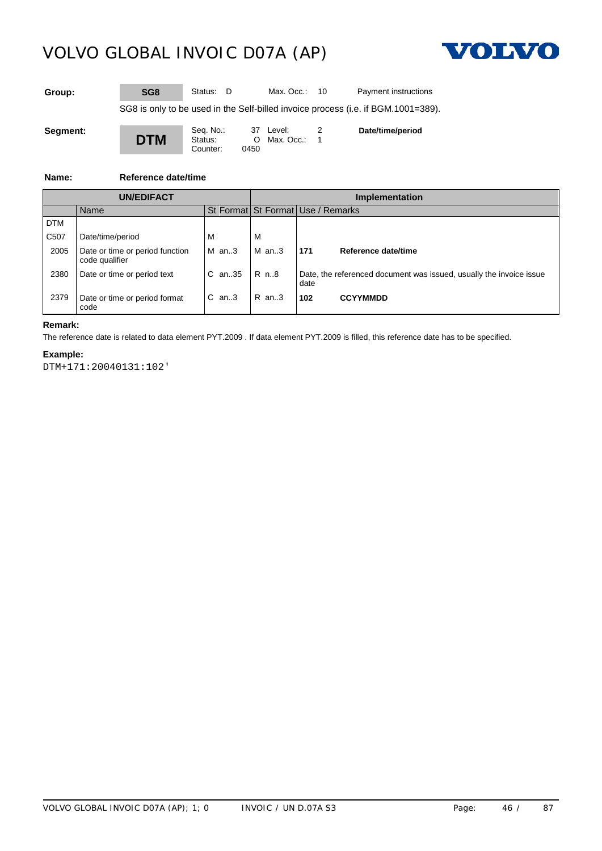

| Group: | SG8 | Status: D | Max. Occ.: $10$ | Payment instructions |
|--------|-----|-----------|-----------------|----------------------|
|        |     |           |                 |                      |

SG8 is only to be used in the Self-billed invoice process (i.e. if BGM.1001=389).

**DTM** Counter: 0450

Seq. No.: 37 Level: 2 Status: **O** Max. Occ.: 1 **Date/time/period**

### **Name: Reference date/time**

|            | <b>UN/EDIFACT</b>                                 |                                        | <b>Implementation</b> |                                                                             |  |  |
|------------|---------------------------------------------------|----------------------------------------|-----------------------|-----------------------------------------------------------------------------|--|--|
|            | Name                                              |                                        |                       | St Format St Format Use / Remarks                                           |  |  |
| <b>DTM</b> |                                                   |                                        |                       |                                                                             |  |  |
| C507       | Date/time/period                                  | M                                      |                       |                                                                             |  |  |
| 2005       | Date or time or period function<br>code qualifier | $M$ an3                                | $M$ an3               | 171<br>Reference date/time                                                  |  |  |
| 2380       | Date or time or period text                       | $ C \text{ an } .35   R \text{ n } .8$ |                       | Date, the referenced document was issued, usually the invoice issue<br>date |  |  |
| 2379       | Date or time or period format<br>code             | $IC$ an3                               | R an3                 | <b>CCYYMMDD</b><br>102                                                      |  |  |

### **Remark:**

The reference date is related to data element PYT.2009 . If data element PYT.2009 is filled, this reference date has to be specified.

#### **Example:**

DTM+171:20040131:102'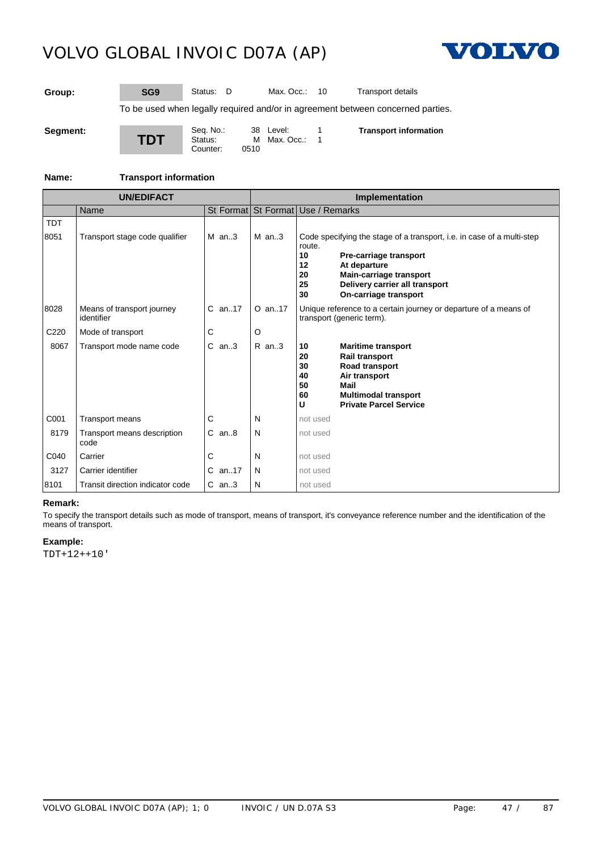

**Group: SG9** Status: D Max. Occ.: 10 Transport details

To be used when legally required and/or in agreement between concerned parties.

| Seament: |  |
|----------|--|
|----------|--|

**TDT** Seq. No.: 38 Level: 1<br>Status: M Max. Occ.: 1 M Max. Occ.: 0510 Counter: **Transport information**

### **Name: Transport information**

|                    | <b>UN/EDIFACT</b>                        |            | Implementation |                                                                                                                                                                                                                                                |  |  |
|--------------------|------------------------------------------|------------|----------------|------------------------------------------------------------------------------------------------------------------------------------------------------------------------------------------------------------------------------------------------|--|--|
|                    | Name                                     |            |                | St Format St Format Use / Remarks                                                                                                                                                                                                              |  |  |
| <b>TDT</b><br>8051 | Transport stage code qualifier           | $M$ an3    | $M$ an3        | Code specifying the stage of a transport, i.e. in case of a multi-step<br>route.<br>10<br>Pre-carriage transport<br>At departure<br>12<br>Main-carriage transport<br>20<br>Delivery carrier all transport<br>25<br>On-carriage transport<br>30 |  |  |
| 8028               | Means of transport journey<br>identifier | $C$ an. 17 | $O$ an. 17     | Unique reference to a certain journey or departure of a means of<br>transport (generic term).                                                                                                                                                  |  |  |
| C <sub>220</sub>   | Mode of transport                        | C          | O              |                                                                                                                                                                                                                                                |  |  |
| 8067               | Transport mode name code                 | $C$ an3    | $R$ an3        | 10<br><b>Maritime transport</b><br>Rail transport<br>20<br>Road transport<br>30<br>Air transport<br>40<br>Mail<br>50<br>60<br><b>Multimodal transport</b><br>u<br><b>Private Parcel Service</b>                                                |  |  |
| C001               | <b>Transport means</b>                   | С          | N              | not used                                                                                                                                                                                                                                       |  |  |
| 8179               | Transport means description<br>code      | $C$ an $8$ | N              | not used                                                                                                                                                                                                                                       |  |  |
| C040               | Carrier                                  | С          | N              | not used                                                                                                                                                                                                                                       |  |  |
| 3127               | Carrier identifier                       | $C$ an17   | N              | not used                                                                                                                                                                                                                                       |  |  |
| 8101               | Transit direction indicator code         | $C$ an3    | N              | not used                                                                                                                                                                                                                                       |  |  |

### **Remark:**

To specify the transport details such as mode of transport, means of transport, it's conveyance reference number and the identification of the means of transport.

#### **Example:**

TDT+12++10'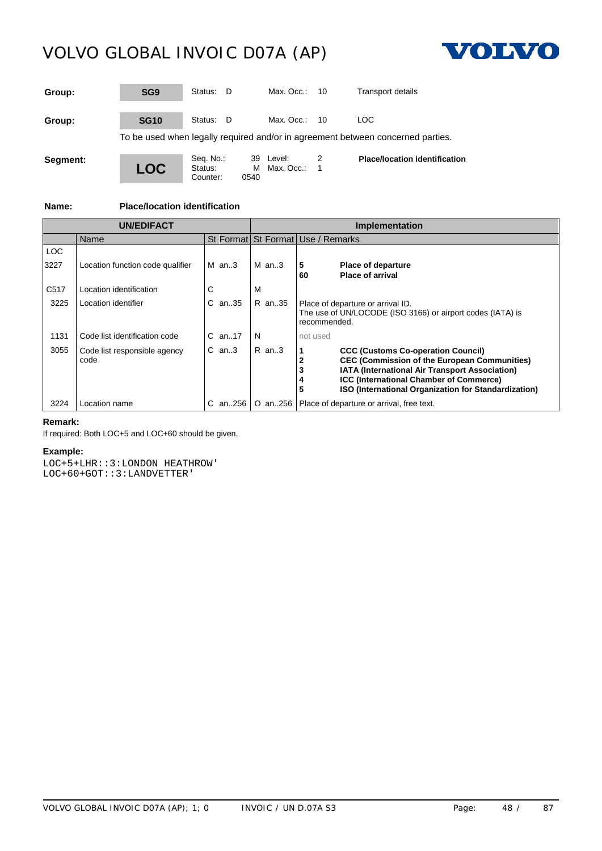

| Group:   | SG <sub>9</sub> | Status:<br>- D       |       | Max. Occ.:                | 10 | <b>Transport details</b>                                                        |
|----------|-----------------|----------------------|-------|---------------------------|----|---------------------------------------------------------------------------------|
| Group:   | <b>SG10</b>     | Status:<br>- D       |       | Max. Occ.:                | 10 | LOC.                                                                            |
|          |                 |                      |       |                           |    | To be used when legally required and/or in agreement between concerned parties. |
| Segment: | <b>LOC</b>      | Seq. No.:<br>Status: | OE 40 | 39 Level:<br>M Max, Occ.: |    | <b>Place/location identification</b>                                            |

Counter: 0540

**Name: Place/location identification**

|                  | <b>UN/EDIFACT</b>                    |             | <b>Implementation</b> |                                                                                                                                                                                                                                                              |  |
|------------------|--------------------------------------|-------------|-----------------------|--------------------------------------------------------------------------------------------------------------------------------------------------------------------------------------------------------------------------------------------------------------|--|
|                  | Name                                 |             |                       | St Format St Format Use / Remarks                                                                                                                                                                                                                            |  |
| <b>LOC</b>       |                                      |             |                       |                                                                                                                                                                                                                                                              |  |
| 3227             | Location function code qualifier     | $M$ an. 3   | $M$ an3               | 5<br><b>Place of departure</b><br><b>Place of arrival</b><br>60                                                                                                                                                                                              |  |
| C <sub>517</sub> | Location identification              |             | M                     |                                                                                                                                                                                                                                                              |  |
| 3225             | Location identifier                  | C an35      | R an35                | Place of departure or arrival ID.<br>The use of UN/LOCODE (ISO 3166) or airport codes (IATA) is<br>recommended.                                                                                                                                              |  |
| 1131             | Code list identification code        | $C$ an. 17  | N                     | not used                                                                                                                                                                                                                                                     |  |
| 3055             | Code list responsible agency<br>code | $C$ an. $3$ | $R$ an. 3             | <b>CCC (Customs Co-operation Council)</b><br><b>CEC (Commission of the European Communities)</b><br>IATA (International Air Transport Association)<br><b>ICC (International Chamber of Commerce)</b><br>ISO (International Organization for Standardization) |  |
| 3224             | Location name                        | C an256 I   |                       | O an256   Place of departure or arrival, free text.                                                                                                                                                                                                          |  |

### **Remark:**

If required: Both LOC+5 and LOC+60 should be given.

### **Example:**

LOC+5+LHR::3:LONDON HEATHROW' LOC+60+GOT::3:LANDVETTER'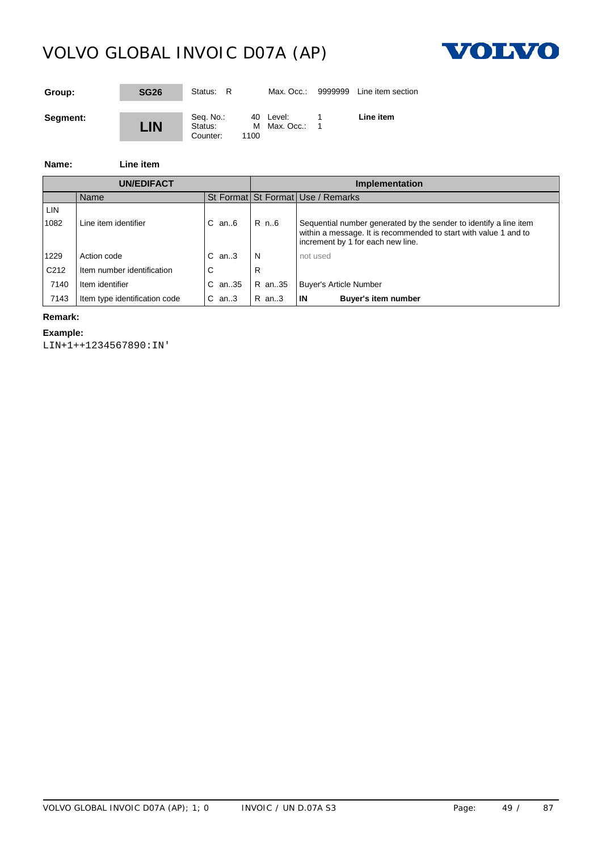

| Group:   | <b>SG26</b> | Status: R                        |      | Max. Occ.:                | 9999999 | Line item section |
|----------|-------------|----------------------------------|------|---------------------------|---------|-------------------|
| Segment: | <b>LIN</b>  | Seq. No.:<br>Status:<br>Counter: | 1100 | 40 Level:<br>M Max. Occ.: |         | Line item         |

### **Name: Line item**

| <b>UN/EDIFACT</b> |                               |                 | Implementation |                                                                                                                                                                            |  |  |
|-------------------|-------------------------------|-----------------|----------------|----------------------------------------------------------------------------------------------------------------------------------------------------------------------------|--|--|
|                   | Name                          |                 |                | St Format St Format Use / Remarks                                                                                                                                          |  |  |
| LIN               |                               |                 |                |                                                                                                                                                                            |  |  |
| 1082              | Line item identifier          | $C$ an $6$      | R n6           | Sequential number generated by the sender to identify a line item<br>within a message. It is recommended to start with value 1 and to<br>increment by 1 for each new line. |  |  |
| 1229              | Action code                   | $C$ an. $3$     | N              | not used                                                                                                                                                                   |  |  |
| C <sub>212</sub>  | Item number identification    |                 |                |                                                                                                                                                                            |  |  |
| 7140              | Item identifier               | C an35   R an35 |                | Buyer's Article Number                                                                                                                                                     |  |  |
| 7143              | Item type identification code | $C$ an3         | R an3          | IN<br><b>Buyer's item number</b>                                                                                                                                           |  |  |

#### **Remark:**

### **Example:**

LIN+1++1234567890:IN'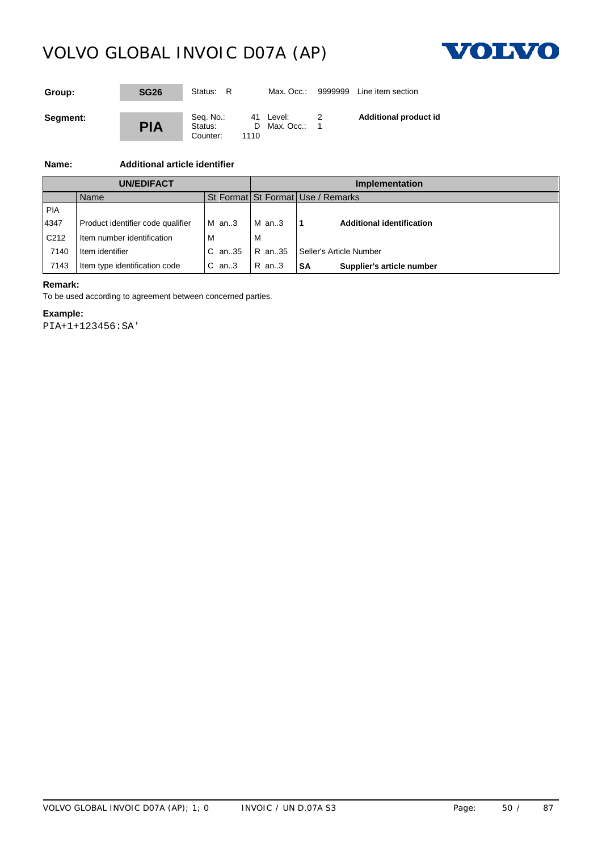

| Group:   | <b>SG26</b> | Status: R                        |      | Max. Occ.:                | 9999999 | Line item section            |
|----------|-------------|----------------------------------|------|---------------------------|---------|------------------------------|
| Segment: | <b>PIA</b>  | Seq. No.:<br>Status:<br>Counter: | 1110 | 41 Level:<br>D Max. Occ.: |         | <b>Additional product id</b> |

### **Name: Additional article identifier**

| <b>UN/EDIFACT</b> |                                   |                 | Implementation |                                   |  |  |
|-------------------|-----------------------------------|-----------------|----------------|-----------------------------------|--|--|
|                   | <b>Name</b>                       |                 |                | St Format St Format Use / Remarks |  |  |
| PIA               |                                   |                 |                |                                   |  |  |
| 4347              | Product identifier code qualifier | $M$ an3         | $M$ an3        | <b>Additional identification</b>  |  |  |
| C <sub>212</sub>  | Item number identification        |                 | ΙV             |                                   |  |  |
| 7140              | Item identifier                   | C an35   R an35 |                | Seller's Article Number           |  |  |
| 7143              | Item type identification code     | $C$ an3         | R an3          | Supplier's article number<br>SA   |  |  |

### **Remark:**

To be used according to agreement between concerned parties.

### **Example:**

PIA+1+123456:SA'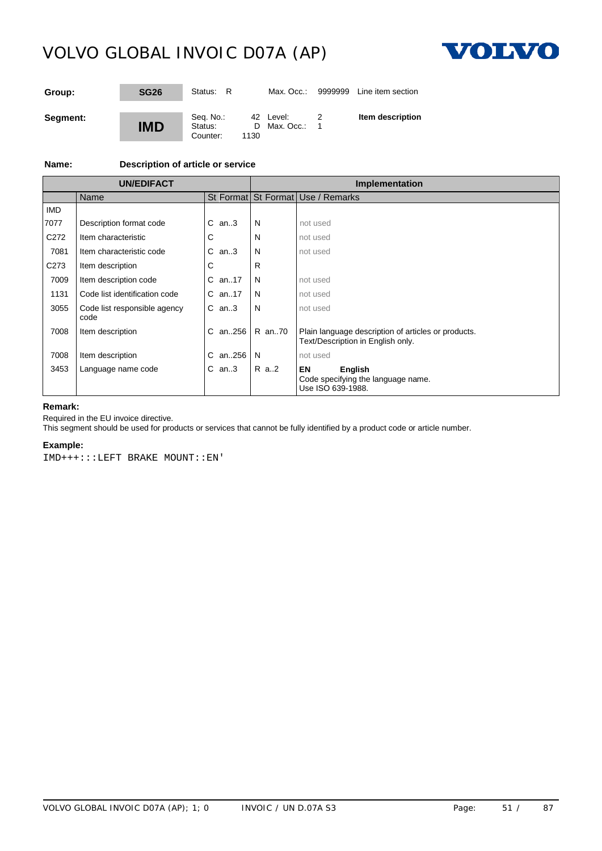

| Group:   | <b>SG26</b> | Status: R                        |      | Max. Occ.:                  | 9999999 | Line item section |
|----------|-------------|----------------------------------|------|-----------------------------|---------|-------------------|
| Segment: | <b>IMD</b>  | Seq. No.:<br>Status:<br>Counter: | 1130 | 42 Level:<br>D Max. Occ.: 1 |         | Item description  |

### **Name: Description of article or service**

| <b>UN/EDIFACT</b> |                                      |            |        | Implementation                                                                           |  |  |
|-------------------|--------------------------------------|------------|--------|------------------------------------------------------------------------------------------|--|--|
|                   | Name                                 |            |        | St Format St Format Use / Remarks                                                        |  |  |
| <b>IMD</b>        |                                      |            |        |                                                                                          |  |  |
| 7077              | Description format code              | $C$ an3    | N      | not used                                                                                 |  |  |
| C <sub>272</sub>  | Item characteristic                  | C.         | N      | not used                                                                                 |  |  |
| 7081              | Item characteristic code             | $C$ an3    | N      | not used                                                                                 |  |  |
| C <sub>273</sub>  | Item description                     | C          | R      |                                                                                          |  |  |
| 7009              | Item description code                | C an17     | N      | not used                                                                                 |  |  |
| 1131              | Code list identification code        | $C$ an. 17 | N      | not used                                                                                 |  |  |
| 3055              | Code list responsible agency<br>code | $C$ an3    | N      | not used                                                                                 |  |  |
| 7008              | Item description                     | C an256    | R an70 | Plain language description of articles or products.<br>Text/Description in English only. |  |  |
| 7008              | Item description                     | C an256    | N      | not used                                                                                 |  |  |
| 3453              | Language name code                   | $C$ an3    | R a2   | EN<br>English<br>Code specifying the language name.<br>Use ISO 639-1988.                 |  |  |

### **Remark:**

Required in the EU invoice directive.

This segment should be used for products or services that cannot be fully identified by a product code or article number.

#### **Example:**

IMD+++:::LEFT BRAKE MOUNT::EN'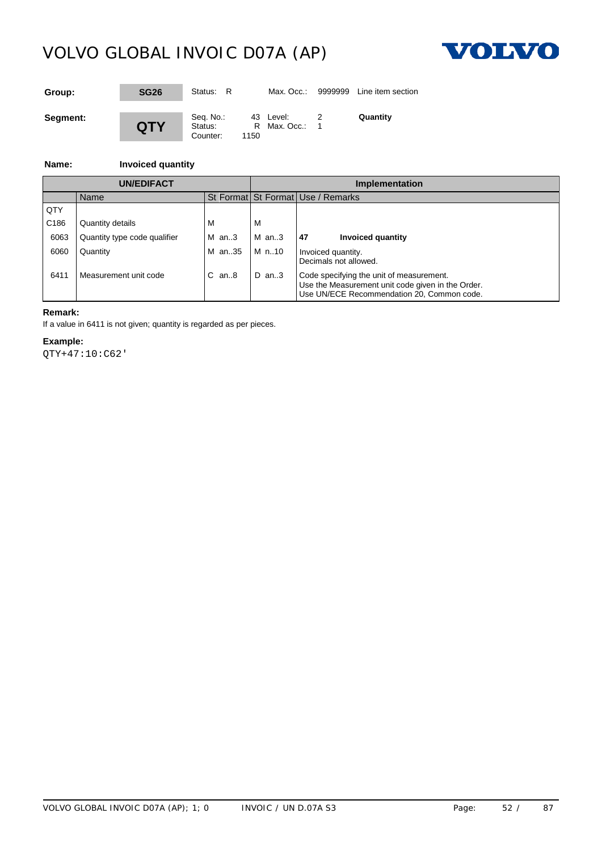

| Group:   | <b>SG26</b> | Status: R                        |           | Max. Occ.:                | 9999999 | Line item section |
|----------|-------------|----------------------------------|-----------|---------------------------|---------|-------------------|
| Segment: | <b>QTY</b>  | Seq. No.:<br>Status:<br>Counter: | R<br>1150 | 43 Level:<br>Max. Occ.: 1 |         | Quantity          |

### **Name: Invoiced quantity**

| <b>UN/EDIFACT</b> |                              |                | Implementation                    |                                                                                                                                             |  |  |
|-------------------|------------------------------|----------------|-----------------------------------|---------------------------------------------------------------------------------------------------------------------------------------------|--|--|
|                   | Name                         |                | St Format St Format Use / Remarks |                                                                                                                                             |  |  |
| QTY               |                              |                |                                   |                                                                                                                                             |  |  |
| C <sub>186</sub>  | Quantity details             | M              | ΙVΙ                               |                                                                                                                                             |  |  |
| 6063              | Quantity type code qualifier | $M$ an3        | M an3                             | 47<br>Invoiced quantity                                                                                                                     |  |  |
| 6060              | Quantity                     | M an35   M n10 |                                   | Invoiced quantity.<br>Decimals not allowed.                                                                                                 |  |  |
| 6411              | Measurement unit code        | $C$ an $8$     | D an3                             | Code specifying the unit of measurement.<br>Use the Measurement unit code given in the Order.<br>Use UN/ECE Recommendation 20, Common code. |  |  |

#### **Remark:**

If a value in 6411 is not given; quantity is regarded as per pieces.

### **Example:**

QTY+47:10:C62'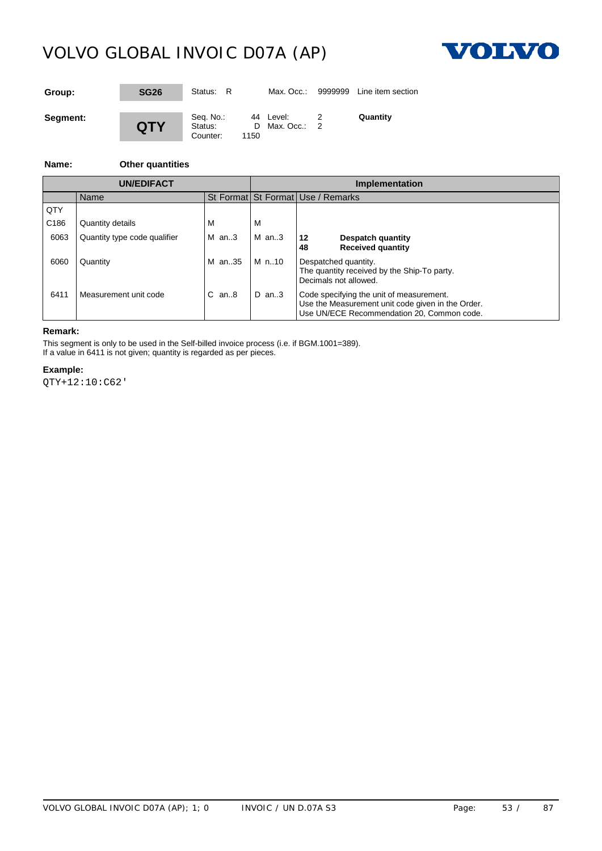

| Group:   | <b>SG26</b> | Status: R                        |      | Max. Occ.:                  | 9999999 | Line item section |
|----------|-------------|----------------------------------|------|-----------------------------|---------|-------------------|
| Segment: | <b>QTY</b>  | Seq. No.:<br>Status:<br>Counter: | 1150 | 44 Level:<br>D Max. Occ.: 2 |         | Quantity          |

#### **Name: Other quantities**

|                  | UN/EDIFACT                   |                |         | <b>Implementation</b>                                                                                                                       |  |  |
|------------------|------------------------------|----------------|---------|---------------------------------------------------------------------------------------------------------------------------------------------|--|--|
|                  | Name                         |                |         | St Format St Format Use / Remarks                                                                                                           |  |  |
| QTY              |                              |                |         |                                                                                                                                             |  |  |
| C <sub>186</sub> | Quantity details             |                | M       |                                                                                                                                             |  |  |
| 6063             | Quantity type code qualifier | $M$ an3        | $M$ an3 | 12<br>Despatch quantity<br><b>Received quantity</b><br>48                                                                                   |  |  |
| 6060             | Quantity                     | M an35   M n10 |         | Despatched quantity.<br>The quantity received by the Ship-To party.<br>Decimals not allowed.                                                |  |  |
| 6411             | Measurement unit code        | $C$ an $.8$    | $D$ an3 | Code specifying the unit of measurement.<br>Use the Measurement unit code given in the Order.<br>Use UN/ECE Recommendation 20, Common code. |  |  |

### **Remark:**

This segment is only to be used in the Self-billed invoice process (i.e. if BGM.1001=389). If a value in 6411 is not given; quantity is regarded as per pieces.

#### **Example:**

QTY+12:10:C62'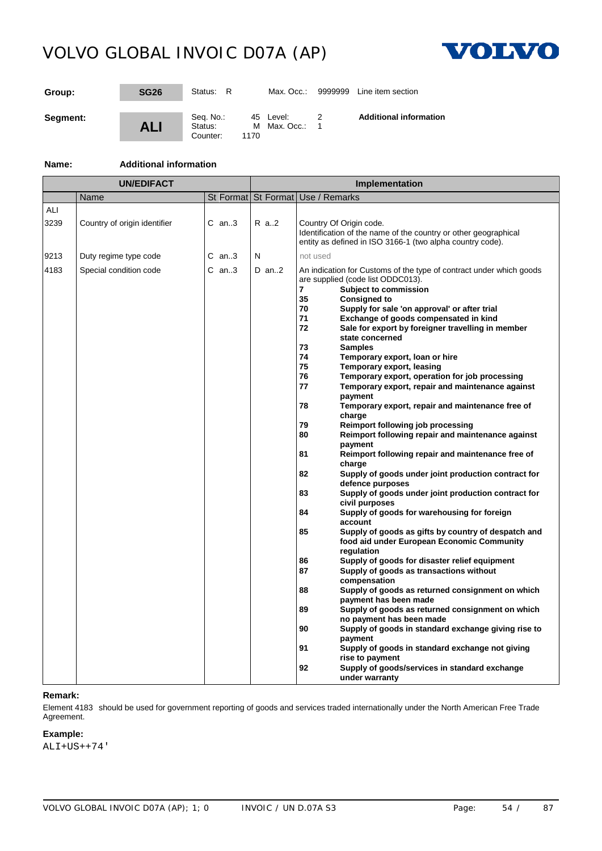

| Group:   | <b>SG26</b> | Status: R                        | Max. Occ.:                        | 9999999 | Line item section             |
|----------|-------------|----------------------------------|-----------------------------------|---------|-------------------------------|
| Segment: | <b>ALI</b>  | Seq. No.:<br>Status:<br>Counter: | 45 Level:<br>M Max. Occ.:<br>1170 |         | <b>Additional information</b> |

### **Name: Additional information**

|             | UN/EDIFACT                   |           |         | Implementation                                                                                                                                                                                                                                                                                                                                                                                                                                                                                                                                                                                                                                                                                                                                                                                                                                                                                                                                                                                                                                                                                                                                                                                                                                                                                                                                                                                                                                                                                             |
|-------------|------------------------------|-----------|---------|------------------------------------------------------------------------------------------------------------------------------------------------------------------------------------------------------------------------------------------------------------------------------------------------------------------------------------------------------------------------------------------------------------------------------------------------------------------------------------------------------------------------------------------------------------------------------------------------------------------------------------------------------------------------------------------------------------------------------------------------------------------------------------------------------------------------------------------------------------------------------------------------------------------------------------------------------------------------------------------------------------------------------------------------------------------------------------------------------------------------------------------------------------------------------------------------------------------------------------------------------------------------------------------------------------------------------------------------------------------------------------------------------------------------------------------------------------------------------------------------------------|
|             | Name                         | St Format |         | St Format Use / Remarks                                                                                                                                                                                                                                                                                                                                                                                                                                                                                                                                                                                                                                                                                                                                                                                                                                                                                                                                                                                                                                                                                                                                                                                                                                                                                                                                                                                                                                                                                    |
| ALI<br>3239 | Country of origin identifier | $C$ an3   | R a2    | Country Of Origin code.<br>Identification of the name of the country or other geographical<br>entity as defined in ISO 3166-1 (two alpha country code).                                                                                                                                                                                                                                                                                                                                                                                                                                                                                                                                                                                                                                                                                                                                                                                                                                                                                                                                                                                                                                                                                                                                                                                                                                                                                                                                                    |
| 9213        | Duty regime type code        | $C$ an3   | N       | not used                                                                                                                                                                                                                                                                                                                                                                                                                                                                                                                                                                                                                                                                                                                                                                                                                                                                                                                                                                                                                                                                                                                                                                                                                                                                                                                                                                                                                                                                                                   |
| 4183        | Special condition code       | $C$ an3   | $D$ an2 | An indication for Customs of the type of contract under which goods<br>are supplied (code list ODDC013).<br>7<br>Subject to commission<br>35<br><b>Consigned to</b><br>70<br>Supply for sale 'on approval' or after trial<br>71<br>Exchange of goods compensated in kind<br>72<br>Sale for export by foreigner travelling in member<br>state concerned<br>73<br><b>Samples</b><br>74<br>Temporary export, loan or hire<br>75<br>Temporary export, leasing<br>76<br>Temporary export, operation for job processing<br>77<br>Temporary export, repair and maintenance against<br>payment<br>78<br>Temporary export, repair and maintenance free of<br>charge<br>79<br>Reimport following job processing<br>80<br>Reimport following repair and maintenance against<br>payment<br>81<br>Reimport following repair and maintenance free of<br>charge<br>82<br>Supply of goods under joint production contract for<br>defence purposes<br>83<br>Supply of goods under joint production contract for<br>civil purposes<br>84<br>Supply of goods for warehousing for foreign<br>account<br>85<br>Supply of goods as gifts by country of despatch and<br>food aid under European Economic Community<br>regulation<br>86<br>Supply of goods for disaster relief equipment<br>87<br>Supply of goods as transactions without<br>compensation<br>88<br>Supply of goods as returned consignment on which<br>payment has been made<br>Supply of goods as returned consignment on which<br>89<br>no payment has been made |
|             |                              |           |         | Supply of goods in standard exchange giving rise to<br>90<br>payment                                                                                                                                                                                                                                                                                                                                                                                                                                                                                                                                                                                                                                                                                                                                                                                                                                                                                                                                                                                                                                                                                                                                                                                                                                                                                                                                                                                                                                       |
|             |                              |           |         | 91<br>Supply of goods in standard exchange not giving<br>rise to payment                                                                                                                                                                                                                                                                                                                                                                                                                                                                                                                                                                                                                                                                                                                                                                                                                                                                                                                                                                                                                                                                                                                                                                                                                                                                                                                                                                                                                                   |
|             |                              |           |         | 92<br>Supply of goods/services in standard exchange<br>under warranty                                                                                                                                                                                                                                                                                                                                                                                                                                                                                                                                                                                                                                                                                                                                                                                                                                                                                                                                                                                                                                                                                                                                                                                                                                                                                                                                                                                                                                      |

#### **Remark:**

Element 4183 should be used for government reporting of goods and services traded internationally under the North American Free Trade Agreement.

### **Example:**

ALI+US++74'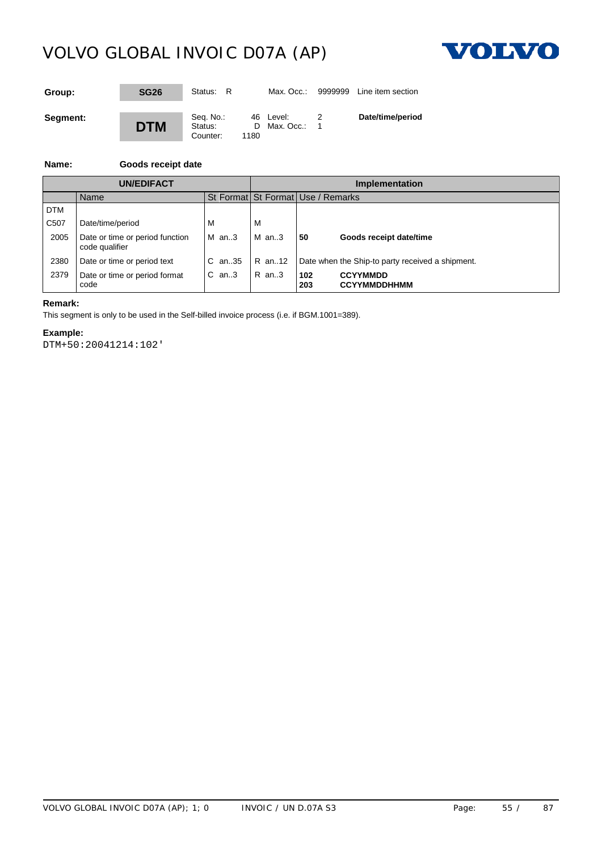

| Group:   | <b>SG26</b> | Status: R                        |            | Max. Occ.:              | 9999999 | Line item section |
|----------|-------------|----------------------------------|------------|-------------------------|---------|-------------------|
| Segment: | <b>DTM</b>  | Seq. No.:<br>Status:<br>Counter: | D.<br>1180 | 46 Level:<br>Max. Occ.: |         | Date/time/period  |

### **Name: Goods receipt date**

|                   | <b>UN/EDIFACT</b>                                 |           | Implementation |                                                                        |  |  |
|-------------------|---------------------------------------------------|-----------|----------------|------------------------------------------------------------------------|--|--|
|                   | Name                                              |           |                | St Format St Format Use / Remarks                                      |  |  |
| <b>DTM</b>        |                                                   |           |                |                                                                        |  |  |
| C <sub>50</sub> 7 | Date/time/period                                  | M         | M              |                                                                        |  |  |
| 2005              | Date or time or period function<br>code qualifier | M an3     | M an3          | l 50<br>Goods receipt date/time                                        |  |  |
| 2380              | Date or time or period text                       |           |                | C an. 35   R an. 12   Date when the Ship-to party received a shipment. |  |  |
| 2379              | Date or time or period format<br>code             | $C$ an. 3 | R an3          | <b>CCYYMMDD</b><br>102<br><b>CCYYMMDDHHMM</b><br>203                   |  |  |

### **Remark:**

This segment is only to be used in the Self-billed invoice process (i.e. if BGM.1001=389).

### **Example:**

DTM+50:20041214:102'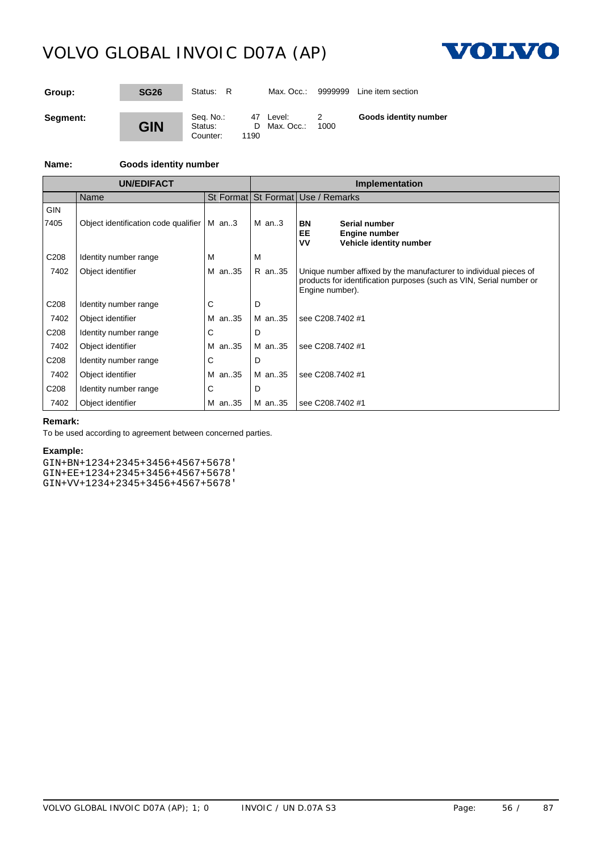

| Group:   | <b>SG26</b> | Status: R                        |            | Max. Occ.:              | 9999999 | Line item section     |
|----------|-------------|----------------------------------|------------|-------------------------|---------|-----------------------|
| Segment: | <b>GIN</b>  | Seq. No.:<br>Status:<br>Counter: | D.<br>1190 | 47 Level:<br>Max. Occ.: | 1000    | Goods identity number |

### **Name: Goods identity number**

|                    | <b>UN/EDIFACT</b>                    |         | <b>Implementation</b> |                                                                                                                                                             |  |
|--------------------|--------------------------------------|---------|-----------------------|-------------------------------------------------------------------------------------------------------------------------------------------------------------|--|
|                    | Name                                 |         |                       | St Format St Format Use / Remarks                                                                                                                           |  |
| <b>GIN</b><br>7405 | Object identification code qualifier | $M$ an3 | $M$ an3               | Serial number<br>BN<br>EE<br><b>Engine number</b><br>VV<br>Vehicle identity number                                                                          |  |
| C <sub>208</sub>   | Identity number range                | м       | м                     |                                                                                                                                                             |  |
| 7402               | Object identifier                    | M an35  | R an35                | Unique number affixed by the manufacturer to individual pieces of<br>products for identification purposes (such as VIN, Serial number or<br>Engine number). |  |
| C <sub>208</sub>   | Identity number range                | C       | D                     |                                                                                                                                                             |  |
| 7402               | Object identifier                    | M an35  | M an35                | see C208.7402 #1                                                                                                                                            |  |
| C208               | Identity number range                |         | D                     |                                                                                                                                                             |  |
| 7402               | Object identifier                    | M an35  | M an35                | see C208.7402 #1                                                                                                                                            |  |
| C <sub>208</sub>   | Identity number range                | C       | D                     |                                                                                                                                                             |  |
| 7402               | Object identifier                    | M an35  | M an35                | see C208.7402 #1                                                                                                                                            |  |
| C208               | Identity number range                |         | D                     |                                                                                                                                                             |  |
| 7402               | Object identifier                    | M an35  | M an35                | see C208.7402 #1                                                                                                                                            |  |

### **Remark:**

To be used according to agreement between concerned parties.

#### **Example:**

GIN+BN+1234+2345+3456+4567+5678' GIN+EE+1234+2345+3456+4567+5678' GIN+VV+1234+2345+3456+4567+5678'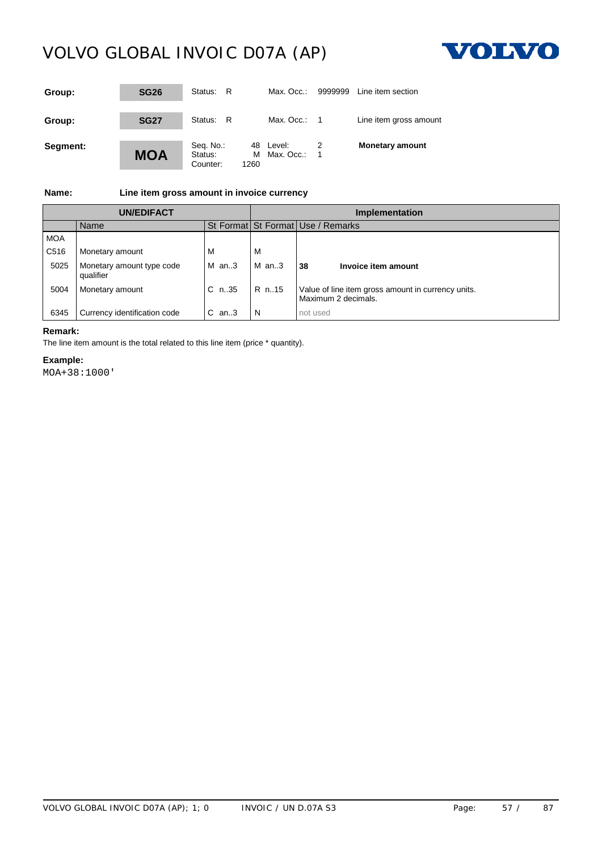

| Group:   | <b>SG26</b> | Status: R                        |      | Max. Occ.:                  | 9999999 | Line item section      |
|----------|-------------|----------------------------------|------|-----------------------------|---------|------------------------|
| Group:   | <b>SG27</b> | Status: R                        |      | Max. Occ.: $1$              |         | Line item gross amount |
| Segment: | <b>MOA</b>  | Seq. No.:<br>Status:<br>Counter: | 1260 | 48 Level:<br>M Max. Occ.: 1 |         | <b>Monetary amount</b> |

**Name: Line item gross amount in invoice currency**

| UN/EDIFACT       |                                        |           | <b>Implementation</b> |                                                                           |  |  |  |
|------------------|----------------------------------------|-----------|-----------------------|---------------------------------------------------------------------------|--|--|--|
|                  | Name                                   |           |                       | St Format St Format Use / Remarks                                         |  |  |  |
| <b>MOA</b>       |                                        |           |                       |                                                                           |  |  |  |
| C <sub>516</sub> | Monetary amount                        | <b>IV</b> |                       |                                                                           |  |  |  |
| 5025             | Monetary amount type code<br>qualifier | $M$ an3   | $M$ an3               | <b>38</b><br>Invoice item amount                                          |  |  |  |
| 5004             | Monetary amount                        | $C$ n.35  | R n. 15               | Value of line item gross amount in currency units.<br>Maximum 2 decimals. |  |  |  |
| 6345             | Currency identification code           | C.<br>an3 | N                     | not used                                                                  |  |  |  |

### **Remark:**

The line item amount is the total related to this line item (price \* quantity).

### **Example:**

MOA+38:1000'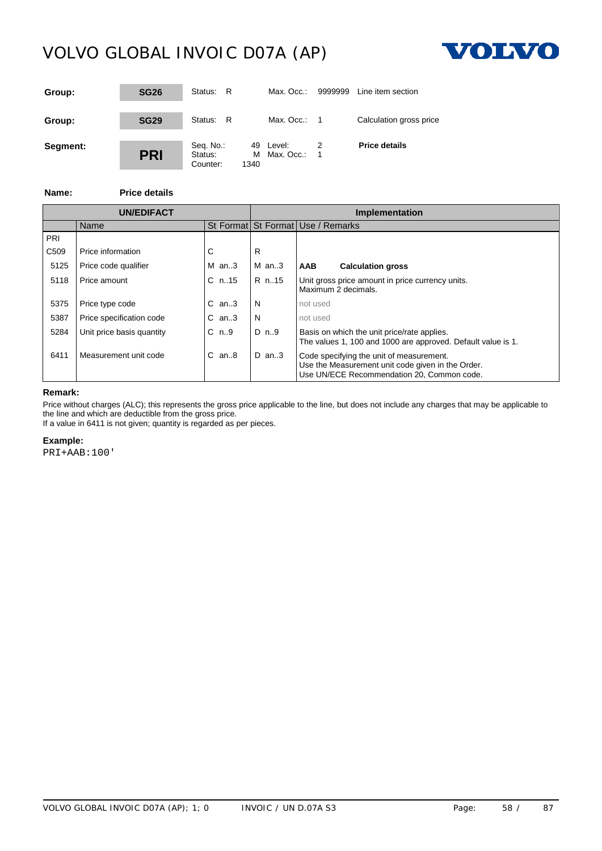

| Group:   | <b>SG26</b> | Status: R                        |           | Max. Occ.:              | 9999999 | Line item section       |
|----------|-------------|----------------------------------|-----------|-------------------------|---------|-------------------------|
| Group:   | <b>SG29</b> | Status: R                        |           | Max. Occ.: $1$          |         | Calculation gross price |
| Segment: | <b>PRI</b>  | Seq. No.:<br>Status:<br>Counter: | м<br>1340 | 49 Level:<br>Max. Occ.: | -1      | <b>Price details</b>    |

**Name: Price details**

|                  |                           |             | <b>Implementation</b> |                                                                                                                                             |  |
|------------------|---------------------------|-------------|-----------------------|---------------------------------------------------------------------------------------------------------------------------------------------|--|
|                  | Name                      |             |                       | St Format St Format Use / Remarks                                                                                                           |  |
| PRI              |                           |             |                       |                                                                                                                                             |  |
| C <sub>509</sub> | Price information         |             |                       |                                                                                                                                             |  |
| 5125             | Price code qualifier      | $M$ an3     | $M$ an3               | AAB<br><b>Calculation gross</b>                                                                                                             |  |
| 5118             | Price amount              | C n. 15     | IR n. 15              | Unit gross price amount in price currency units.<br>Maximum 2 decimals.                                                                     |  |
| 5375             | Price type code           | $C$ an3     |                       | not used                                                                                                                                    |  |
| 5387             | Price specification code  | $C$ an. $3$ | N                     | not used                                                                                                                                    |  |
| 5284             | Unit price basis quantity | C n9        | D n9                  | Basis on which the unit price/rate applies.<br>The values 1, 100 and 1000 are approved. Default value is 1.                                 |  |
| 6411             | Measurement unit code     | $C$ an $8$  | D an3                 | Code specifying the unit of measurement.<br>Use the Measurement unit code given in the Order.<br>Use UN/ECE Recommendation 20, Common code. |  |

### **Remark:**

Price without charges (ALC); this represents the gross price applicable to the line, but does not include any charges that may be applicable to the line and which are deductible from the gross price.

If a value in 6411 is not given; quantity is regarded as per pieces.

### **Example:**

PRI+AAB:100'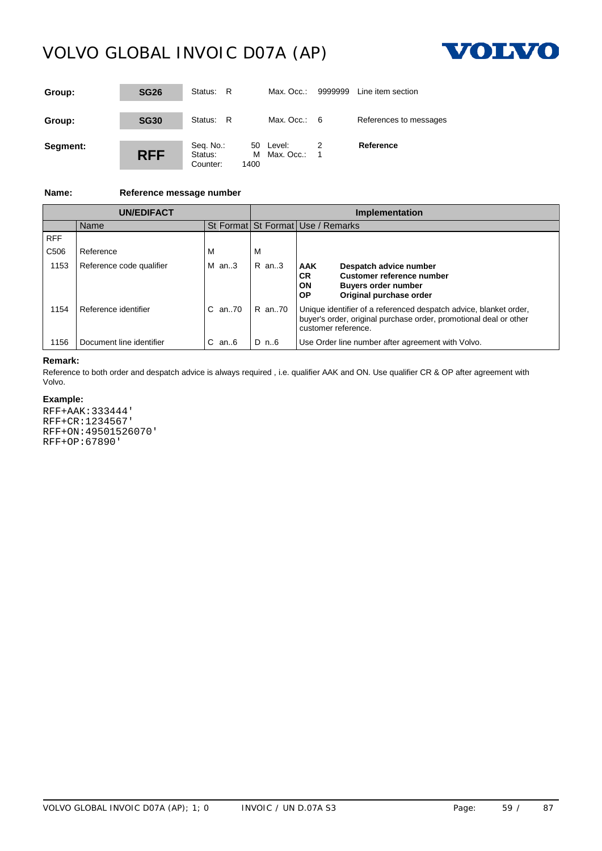

| Group:   | <b>SG26</b> | Status:<br>- R                   |                        | Max. Occ.:     | 9999999 | Line item section      |
|----------|-------------|----------------------------------|------------------------|----------------|---------|------------------------|
| Group:   | <b>SG30</b> | Status: R                        |                        | Max. Occ.: $6$ |         | References to messages |
| Segment: | <b>RFF</b>  | Seq. No.:<br>Status:<br>Counter: | 50 Level:<br>м<br>1400 | Max. Occ.:     | - 1     | Reference              |

### **Name: Reference message number**

|                  | <b>UN/EDIFACT</b>        |            |           | Implementation                                                                                                                                                |  |  |  |
|------------------|--------------------------|------------|-----------|---------------------------------------------------------------------------------------------------------------------------------------------------------------|--|--|--|
|                  | Name                     |            |           | St Format St Format Use / Remarks                                                                                                                             |  |  |  |
| <b>RFF</b>       |                          |            |           |                                                                                                                                                               |  |  |  |
| C <sub>506</sub> | Reference                |            | ΙVΙ       |                                                                                                                                                               |  |  |  |
| 1153             | Reference code qualifier | $M$ an3    | $R$ an. 3 | AAK<br>Despatch advice number<br>Customer reference number<br>CR.<br>ON<br><b>Buyers order number</b><br>Original purchase order<br><b>OP</b>                 |  |  |  |
| 1154             | Reference identifier     | C an70     | IR an70   | Unique identifier of a referenced despatch advice, blanket order,<br>buyer's order, original purchase order, promotional deal or other<br>customer reference. |  |  |  |
| 1156             | Document line identifier | $C$ an $6$ | $ID$ n6   | Use Order line number after agreement with Volvo.                                                                                                             |  |  |  |

### **Remark:**

Reference to both order and despatch advice is always required , i.e. qualifier AAK and ON. Use qualifier CR & OP after agreement with Volvo.

### **Example:**

RFF+AAK:333444' RFF+CR:1234567' RFF+ON:49501526070' RFF+OP:67890'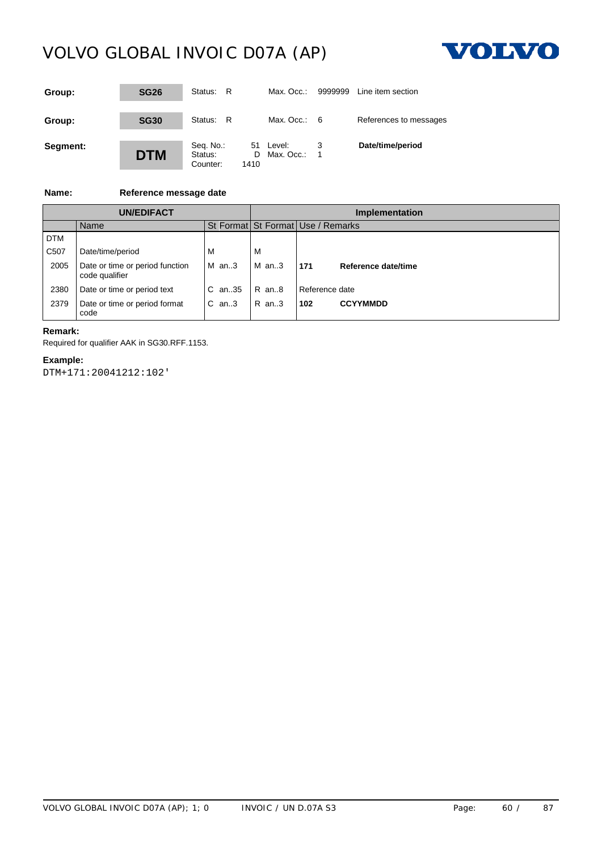

| Group:   | <b>SG26</b> | Status:<br>- R                           | Max. Occ.:                    | 9999999 | Line item section      |
|----------|-------------|------------------------------------------|-------------------------------|---------|------------------------|
| Group:   | <b>SG30</b> | Status: R                                | Max. Occ.: $6$                |         | References to messages |
| Segment: | <b>DTM</b>  | Seq. No.:<br>Status:<br>Counter:<br>1410 | 51 Level:<br>Max. Occ.:<br>D. | - 1     | Date/time/period       |

### **Name: Reference message date**

| UN/EDIFACT        |                                                   |                   | <b>Implementation</b> |                                   |                     |  |  |
|-------------------|---------------------------------------------------|-------------------|-----------------------|-----------------------------------|---------------------|--|--|
|                   | Name                                              |                   |                       | St Format St Format Use / Remarks |                     |  |  |
| <b>DTM</b>        |                                                   |                   |                       |                                   |                     |  |  |
| C <sub>50</sub> 7 | Date/time/period                                  |                   | M                     |                                   |                     |  |  |
| 2005              | Date or time or period function<br>code qualifier | IM an3            | $M$ an3               | 171                               | Reference date/time |  |  |
| 2380              | Date or time or period text                       | C an35 $\,$ R an8 |                       | l Reference date                  |                     |  |  |
| 2379              | Date or time or period format<br>code             | $C$ an3           | R an3                 | $ 102\rangle$                     | <b>CCYYMMDD</b>     |  |  |

### **Remark:**

Required for qualifier AAK in SG30.RFF.1153.

### **Example:**

DTM+171:20041212:102'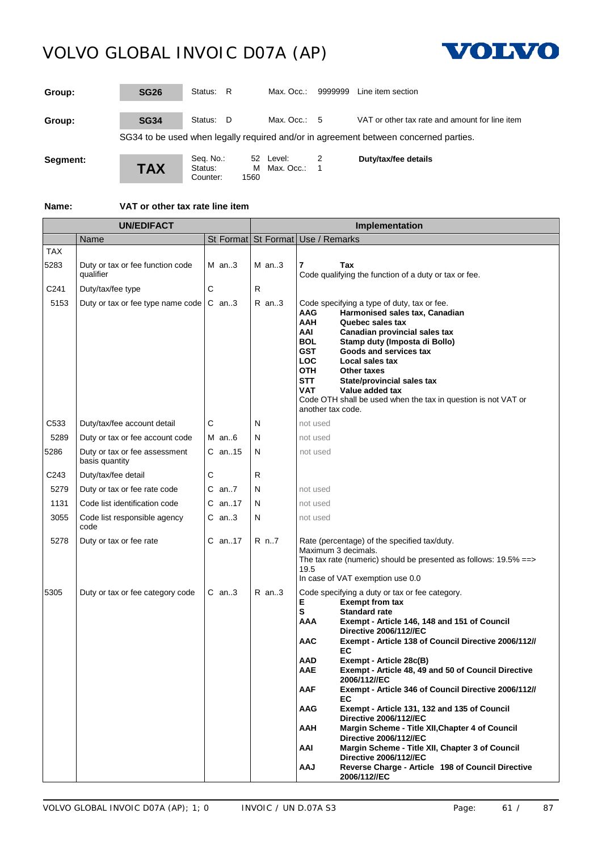

| Group:   | <b>SG26</b> | Status: R                        |                 | Max. Occ.:             | 9999999 | Line item section                                                                    |
|----------|-------------|----------------------------------|-----------------|------------------------|---------|--------------------------------------------------------------------------------------|
| Group:   | <b>SG34</b> | Status: D                        |                 | Max. Occ.: $5$         |         | VAT or other tax rate and amount for line item                                       |
|          |             |                                  |                 |                        |         | SG34 to be used when legally required and/or in agreement between concerned parties. |
| Segment: | <b>TAX</b>  | Seq. No.:<br>Status:<br>Counter: | 52<br>M<br>1560 | Level:<br>Max. Occ.: 1 |         | Duty/tax/fee details                                                                 |

**Name: VAT or other tax rate line item**

|                    | <b>UN/EDIFACT</b>                               |            |         | Implementation                                                                                                                                                                                                                                                                                                                                                                                                                                                                                                                                                                                                                                                                                                                                                                                                                                     |
|--------------------|-------------------------------------------------|------------|---------|----------------------------------------------------------------------------------------------------------------------------------------------------------------------------------------------------------------------------------------------------------------------------------------------------------------------------------------------------------------------------------------------------------------------------------------------------------------------------------------------------------------------------------------------------------------------------------------------------------------------------------------------------------------------------------------------------------------------------------------------------------------------------------------------------------------------------------------------------|
|                    | Name                                            |            |         | St Format St Format Use / Remarks                                                                                                                                                                                                                                                                                                                                                                                                                                                                                                                                                                                                                                                                                                                                                                                                                  |
| <b>TAX</b><br>5283 | Duty or tax or fee function code<br>qualifier   | M an3      | M an3   | 7<br>Tax<br>Code qualifying the function of a duty or tax or fee.                                                                                                                                                                                                                                                                                                                                                                                                                                                                                                                                                                                                                                                                                                                                                                                  |
| C241               | Duty/tax/fee type                               | С          | R       |                                                                                                                                                                                                                                                                                                                                                                                                                                                                                                                                                                                                                                                                                                                                                                                                                                                    |
| 5153               | Duty or tax or fee type name code               | $C$ an3    | $R$ an3 | Code specifying a type of duty, tax or fee.<br>Harmonised sales tax, Canadian<br>AAG<br><b>AAH</b><br>Quebec sales tax<br>AAI<br>Canadian provincial sales tax<br><b>BOL</b><br>Stamp duty (Imposta di Bollo)<br><b>GST</b><br>Goods and services tax<br><b>LOC</b><br>Local sales tax<br><b>OTH</b><br>Other taxes<br>STT<br>State/provincial sales tax<br><b>VAT</b><br>Value added tax<br>Code OTH shall be used when the tax in question is not VAT or<br>another tax code.                                                                                                                                                                                                                                                                                                                                                                    |
| C533               | Duty/tax/fee account detail                     | С          | N       | not used                                                                                                                                                                                                                                                                                                                                                                                                                                                                                                                                                                                                                                                                                                                                                                                                                                           |
| 5289               | Duty or tax or fee account code                 | $M$ an6    | N       | not used                                                                                                                                                                                                                                                                                                                                                                                                                                                                                                                                                                                                                                                                                                                                                                                                                                           |
| 5286               | Duty or tax or fee assessment<br>basis quantity | $C$ an15   | N       | not used                                                                                                                                                                                                                                                                                                                                                                                                                                                                                                                                                                                                                                                                                                                                                                                                                                           |
| C243               | Duty/tax/fee detail                             | С          | R.      |                                                                                                                                                                                                                                                                                                                                                                                                                                                                                                                                                                                                                                                                                                                                                                                                                                                    |
| 5279               | Duty or tax or fee rate code                    | $C$ an7    | N       | not used                                                                                                                                                                                                                                                                                                                                                                                                                                                                                                                                                                                                                                                                                                                                                                                                                                           |
| 1131               | Code list identification code                   | $C$ an. 17 | N       | not used                                                                                                                                                                                                                                                                                                                                                                                                                                                                                                                                                                                                                                                                                                                                                                                                                                           |
| 3055               | Code list responsible agency<br>code            | $C$ an3    | N       | not used                                                                                                                                                                                                                                                                                                                                                                                                                                                                                                                                                                                                                                                                                                                                                                                                                                           |
| 5278               | Duty or tax or fee rate                         | C an17     | R n7    | Rate (percentage) of the specified tax/duty.<br>Maximum 3 decimals.<br>The tax rate (numeric) should be presented as follows: $19.5\% == >$<br>19.5<br>In case of VAT exemption use 0.0                                                                                                                                                                                                                                                                                                                                                                                                                                                                                                                                                                                                                                                            |
| 5305               | Duty or tax or fee category code                | $C$ an3    | $R$ an3 | Code specifying a duty or tax or fee category.<br>Е<br><b>Exempt from tax</b><br>s<br><b>Standard rate</b><br><b>AAA</b><br>Exempt - Article 146, 148 and 151 of Council<br><b>Directive 2006/112//EC</b><br><b>AAC</b><br>Exempt - Article 138 of Council Directive 2006/112//<br>EC<br>AAD<br>Exempt - Article 28c(B)<br>AAE<br>Exempt - Article 48, 49 and 50 of Council Directive<br>2006/112//EC<br><b>AAF</b><br>Exempt - Article 346 of Council Directive 2006/112//<br>EC<br>AAG<br>Exempt - Article 131, 132 and 135 of Council<br><b>Directive 2006/112//EC</b><br>AAH<br>Margin Scheme - Title XII, Chapter 4 of Council<br><b>Directive 2006/112//EC</b><br>AAI<br>Margin Scheme - Title XII, Chapter 3 of Council<br><b>Directive 2006/112//EC</b><br><b>LAA</b><br>Reverse Charge - Article 198 of Council Directive<br>2006/112//EC |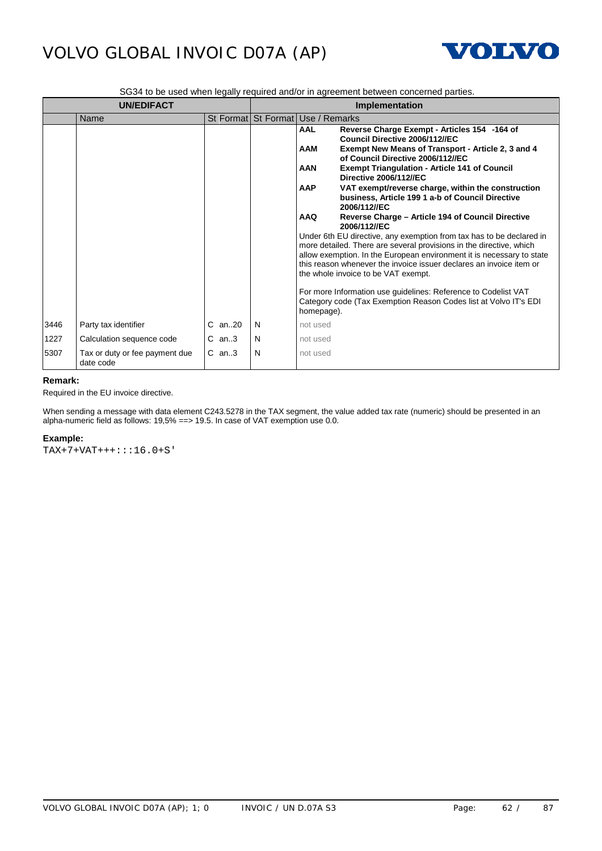

SG34 to be used when legally required and/or in agreement between concerned parties.

|      | <b>UN/EDIFACT</b>                           |         |   | Implementation                                                                                                                                                                                                                                                                                                                                                                                                                                                                                                                                                                                                                                                                                                                                                                                                                                                                                                                                                                                                                    |  |  |
|------|---------------------------------------------|---------|---|-----------------------------------------------------------------------------------------------------------------------------------------------------------------------------------------------------------------------------------------------------------------------------------------------------------------------------------------------------------------------------------------------------------------------------------------------------------------------------------------------------------------------------------------------------------------------------------------------------------------------------------------------------------------------------------------------------------------------------------------------------------------------------------------------------------------------------------------------------------------------------------------------------------------------------------------------------------------------------------------------------------------------------------|--|--|
|      | Name                                        |         |   | St Format St Format Use / Remarks                                                                                                                                                                                                                                                                                                                                                                                                                                                                                                                                                                                                                                                                                                                                                                                                                                                                                                                                                                                                 |  |  |
|      |                                             |         |   | <b>AAL</b><br>Reverse Charge Exempt - Articles 154 -164 of<br>Council Directive 2006/112//EC<br><b>AAM</b><br>Exempt New Means of Transport - Article 2, 3 and 4<br>of Council Directive 2006/112//EC<br><b>AAN</b><br><b>Exempt Triangulation - Article 141 of Council</b><br><b>Directive 2006/112//EC</b><br><b>AAP</b><br>VAT exempt/reverse charge, within the construction<br>business, Article 199 1 a-b of Council Directive<br>2006/112//EC<br><b>AAQ</b><br>Reverse Charge - Article 194 of Council Directive<br>2006/112//EC<br>Under 6th EU directive, any exemption from tax has to be declared in<br>more detailed. There are several provisions in the directive, which<br>allow exemption. In the European environment it is necessary to state<br>this reason whenever the invoice issuer declares an invoice item or<br>the whole invoice to be VAT exempt.<br>For more Information use guidelines: Reference to Codelist VAT<br>Category code (Tax Exemption Reason Codes list at Volvo IT's EDI<br>homepage). |  |  |
| 3446 | Party tax identifier                        | C an20  | N | not used                                                                                                                                                                                                                                                                                                                                                                                                                                                                                                                                                                                                                                                                                                                                                                                                                                                                                                                                                                                                                          |  |  |
| 1227 | Calculation sequence code                   | $C$ an3 | N | not used                                                                                                                                                                                                                                                                                                                                                                                                                                                                                                                                                                                                                                                                                                                                                                                                                                                                                                                                                                                                                          |  |  |
| 5307 | Tax or duty or fee payment due<br>date code | $C$ an3 | N | not used                                                                                                                                                                                                                                                                                                                                                                                                                                                                                                                                                                                                                                                                                                                                                                                                                                                                                                                                                                                                                          |  |  |

### **Remark:**

Required in the EU invoice directive.

When sending a message with data element C243.5278 in the TAX segment, the value added tax rate (numeric) should be presented in an alpha-numeric field as follows: 19,5% ==> 19.5. In case of VAT exemption use 0.0.

### **Example:**

TAX+7+VAT+++:::16.0+S'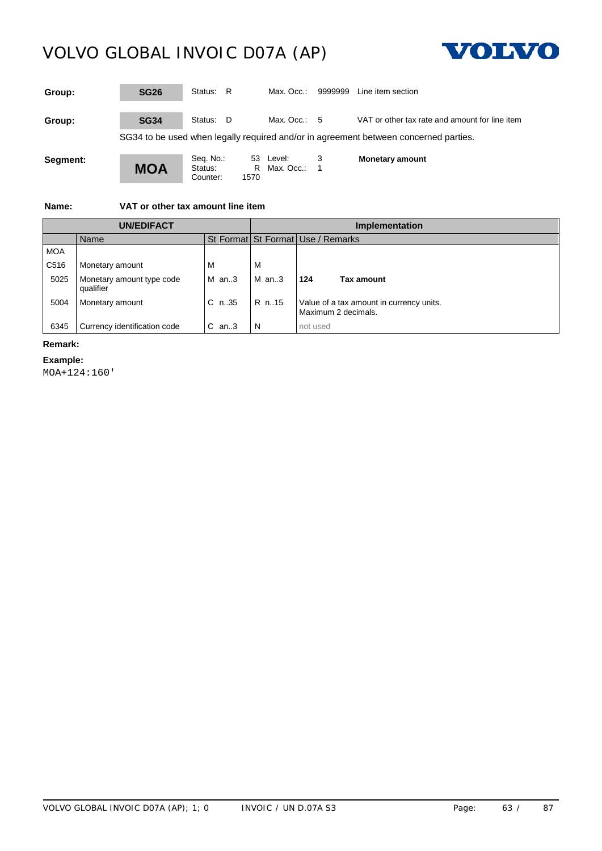

| Group:   | <b>SG26</b> | Status: R                        |                 | Max. Occ.:             | 9999999 | Line item section                                                                    |
|----------|-------------|----------------------------------|-----------------|------------------------|---------|--------------------------------------------------------------------------------------|
| Group:   | <b>SG34</b> | Status: D                        |                 | Max. Occ.: $5$         |         | VAT or other tax rate and amount for line item                                       |
|          |             |                                  |                 |                        |         | SG34 to be used when legally required and/or in agreement between concerned parties. |
| Segment: | <b>MOA</b>  | Seq. No.:<br>Status:<br>Counter: | 53<br>R<br>1570 | Level:<br>Max. Occ.: 1 |         | <b>Monetary amount</b>                                                               |

**Name: VAT or other tax amount line item**

| <b>UN/EDIFACT</b> |                                        |         | Implementation   |                                                                                   |  |  |  |
|-------------------|----------------------------------------|---------|------------------|-----------------------------------------------------------------------------------|--|--|--|
|                   | Name                                   |         |                  | St Format   St Format   Use / Remarks                                             |  |  |  |
| <b>MOA</b>        |                                        |         |                  |                                                                                   |  |  |  |
| C <sub>516</sub>  | Monetary amount                        |         |                  |                                                                                   |  |  |  |
| 5025              | Monetary amount type code<br>qualifier | M an3   | <b>IMan3</b> 124 | Tax amount                                                                        |  |  |  |
| 5004              | Monetary amount                        |         |                  | C n.35   R n.15   Value of a tax amount in currency units.<br>Maximum 2 decimals. |  |  |  |
|                   | Currency identification code           | $C$ an3 | N                | not used                                                                          |  |  |  |

### **Remark:**

#### **Example:**

MOA+124:160'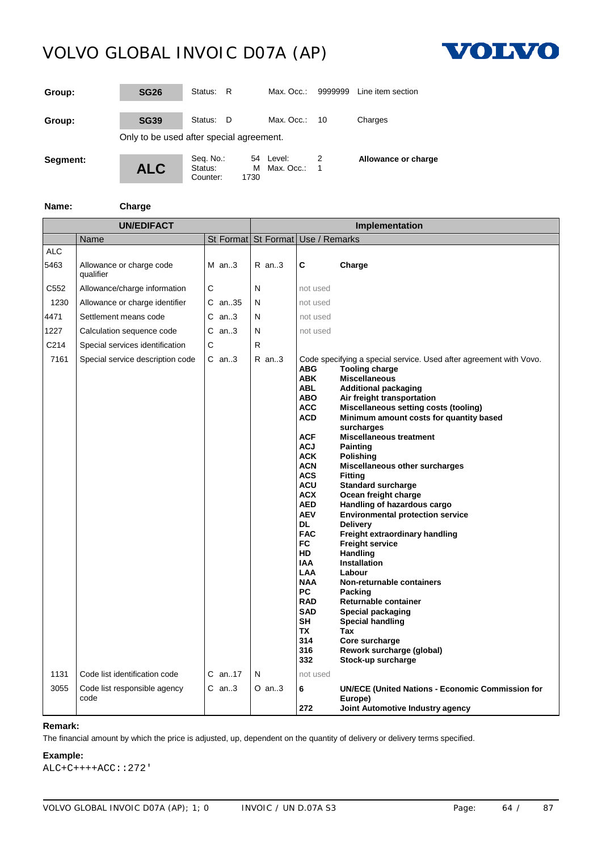

| Group:   | <b>SG26</b>                              | Status:                          | - R       | Max. Occ.:              | 9999999 | Line item section   |
|----------|------------------------------------------|----------------------------------|-----------|-------------------------|---------|---------------------|
| Group:   | <b>SG39</b>                              | Status: D                        |           | Max. Occ.:              | 10      | Charges             |
|          | Only to be used after special agreement. |                                  |           |                         |         |                     |
| Segment: | <b>ALC</b>                               | Seq. No.:<br>Status:<br>Counter: | м<br>1730 | 54 Level:<br>Max. Occ.: | 1       | Allowance or charge |

**Name: Charge**

| <b>UN/EDIFACT</b>  |                                       |   |          | Implementation                    |                                                                                                                                                                                                                                                                                                                                                                                           |                                                                                                                                                                                                                                                                                                                                                                                                                                                                                                                                                                                                                                                                                                                                                                                                                                                                 |  |
|--------------------|---------------------------------------|---|----------|-----------------------------------|-------------------------------------------------------------------------------------------------------------------------------------------------------------------------------------------------------------------------------------------------------------------------------------------------------------------------------------------------------------------------------------------|-----------------------------------------------------------------------------------------------------------------------------------------------------------------------------------------------------------------------------------------------------------------------------------------------------------------------------------------------------------------------------------------------------------------------------------------------------------------------------------------------------------------------------------------------------------------------------------------------------------------------------------------------------------------------------------------------------------------------------------------------------------------------------------------------------------------------------------------------------------------|--|
|                    | Name                                  |   |          | St Format St Format Use / Remarks |                                                                                                                                                                                                                                                                                                                                                                                           |                                                                                                                                                                                                                                                                                                                                                                                                                                                                                                                                                                                                                                                                                                                                                                                                                                                                 |  |
| <b>ALC</b><br>5463 | Allowance or charge code<br>qualifier |   | $M$ an3  | $R$ an3                           | C                                                                                                                                                                                                                                                                                                                                                                                         | Charge                                                                                                                                                                                                                                                                                                                                                                                                                                                                                                                                                                                                                                                                                                                                                                                                                                                          |  |
| C552               | Allowance/charge information          | C |          | N                                 | not used                                                                                                                                                                                                                                                                                                                                                                                  |                                                                                                                                                                                                                                                                                                                                                                                                                                                                                                                                                                                                                                                                                                                                                                                                                                                                 |  |
| 1230               | Allowance or charge identifier        |   | C an35   | N                                 | not used                                                                                                                                                                                                                                                                                                                                                                                  |                                                                                                                                                                                                                                                                                                                                                                                                                                                                                                                                                                                                                                                                                                                                                                                                                                                                 |  |
| 4471               | Settlement means code                 |   | $C$ an3  | N                                 | not used                                                                                                                                                                                                                                                                                                                                                                                  |                                                                                                                                                                                                                                                                                                                                                                                                                                                                                                                                                                                                                                                                                                                                                                                                                                                                 |  |
| 1227               | Calculation sequence code             |   | $C$ an3  | N                                 | not used                                                                                                                                                                                                                                                                                                                                                                                  |                                                                                                                                                                                                                                                                                                                                                                                                                                                                                                                                                                                                                                                                                                                                                                                                                                                                 |  |
| C214               | Special services identification       | C |          | R                                 |                                                                                                                                                                                                                                                                                                                                                                                           |                                                                                                                                                                                                                                                                                                                                                                                                                                                                                                                                                                                                                                                                                                                                                                                                                                                                 |  |
| 7161               | Special service description code      |   | $C$ an3  | $R$ an3                           | <b>ABG</b><br><b>ABK</b><br><b>ABL</b><br><b>ABO</b><br><b>ACC</b><br><b>ACD</b><br><b>ACF</b><br><b>ACJ</b><br><b>ACK</b><br><b>ACN</b><br><b>ACS</b><br><b>ACU</b><br><b>ACX</b><br><b>AED</b><br><b>AEV</b><br>DL.<br><b>FAC</b><br><b>FC</b><br>HD.<br><b>IAA</b><br><b>LAA</b><br><b>NAA</b><br><b>PC</b><br><b>RAD</b><br><b>SAD</b><br><b>SH</b><br><b>TX</b><br>314<br>316<br>332 | Code specifying a special service. Used after agreement with Vovo.<br><b>Tooling charge</b><br><b>Miscellaneous</b><br><b>Additional packaging</b><br>Air freight transportation<br>Miscellaneous setting costs (tooling)<br>Minimum amount costs for quantity based<br>surcharges<br><b>Miscellaneous treatment</b><br><b>Painting</b><br><b>Polishing</b><br>Miscellaneous other surcharges<br><b>Fitting</b><br><b>Standard surcharge</b><br>Ocean freight charge<br>Handling of hazardous cargo<br><b>Environmental protection service</b><br><b>Delivery</b><br>Freight extraordinary handling<br>Freight service<br>Handling<br><b>Installation</b><br>Labour<br>Non-returnable containers<br>Packing<br>Returnable container<br>Special packaging<br><b>Special handling</b><br>Tax<br>Core surcharge<br>Rework surcharge (global)<br>Stock-up surcharge |  |
| 1131               | Code list identification code         |   | $C$ an17 | N                                 | not used                                                                                                                                                                                                                                                                                                                                                                                  |                                                                                                                                                                                                                                                                                                                                                                                                                                                                                                                                                                                                                                                                                                                                                                                                                                                                 |  |
| 3055               | Code list responsible agency<br>code  |   | $C$ an3  | $O$ an3                           | 6<br>272                                                                                                                                                                                                                                                                                                                                                                                  | <b>UN/ECE (United Nations - Economic Commission for</b><br>Europe)<br>Joint Automotive Industry agency                                                                                                                                                                                                                                                                                                                                                                                                                                                                                                                                                                                                                                                                                                                                                          |  |

### **Remark:**

The financial amount by which the price is adjusted, up, dependent on the quantity of delivery or delivery terms specified.

### **Example:**

ALC+C++++ACC::272'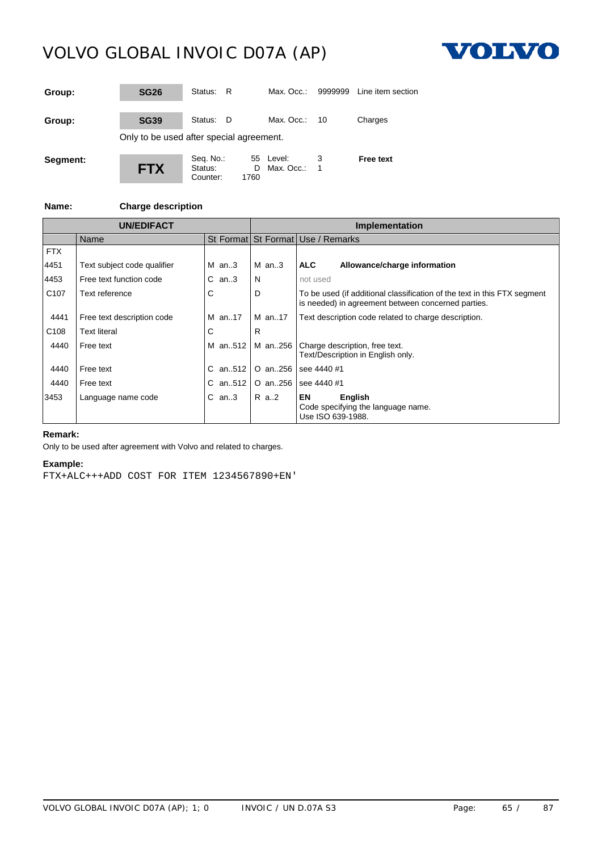

| Group:   | <b>SG26</b>                              | Status:<br>- R                   |           | Max. Occ.:              | 9999999 | Line item section |
|----------|------------------------------------------|----------------------------------|-----------|-------------------------|---------|-------------------|
| Group:   | <b>SG39</b>                              | Status: D                        |           | Max. Occ.:              | 10      | Charges           |
|          | Only to be used after special agreement. |                                  |           |                         |         |                   |
| Segment: | <b>FTX</b>                               | Seq. No.:<br>Status:<br>Counter: | D<br>1760 | 55 Level:<br>Max. Occ.: |         | <b>Free text</b>  |

### **Name: Charge description**

| <b>UN/EDIFACT</b> |                             |         |         | <b>Implementation</b>                                                                                                          |  |  |  |
|-------------------|-----------------------------|---------|---------|--------------------------------------------------------------------------------------------------------------------------------|--|--|--|
|                   | Name                        |         |         | St Format St Format Use / Remarks                                                                                              |  |  |  |
| <b>FTX</b>        |                             | $M$ an3 | $M$ an3 |                                                                                                                                |  |  |  |
| 4451              | Text subject code qualifier |         |         | <b>ALC</b><br>Allowance/charge information                                                                                     |  |  |  |
| 4453              | Free text function code     | $C$ an3 | N       | not used                                                                                                                       |  |  |  |
| C <sub>107</sub>  | Text reference              | С       | D       | To be used (if additional classification of the text in this FTX segment<br>is needed) in agreement between concerned parties. |  |  |  |
| 4441              | Free text description code  | M an17  | M an17  | Text description code related to charge description.                                                                           |  |  |  |
| C <sub>108</sub>  | <b>Text literal</b>         | C       | R       |                                                                                                                                |  |  |  |
| 4440              | Free text                   |         |         | M an512   M an256   Charge description, free text.<br>Text/Description in English only.                                        |  |  |  |
| 4440              | Free text                   | C an512 | O an256 | see 4440 #1                                                                                                                    |  |  |  |
| 4440              | Free text                   | C an512 | O an256 | see 4440 #1                                                                                                                    |  |  |  |
| 3453              | Language name code          | $C$ an3 | R a2    | EN<br>English<br>Code specifying the language name.<br>Use ISO 639-1988.                                                       |  |  |  |

### **Remark:**

Only to be used after agreement with Volvo and related to charges.

### **Example:**

FTX+ALC+++ADD COST FOR ITEM 1234567890+EN'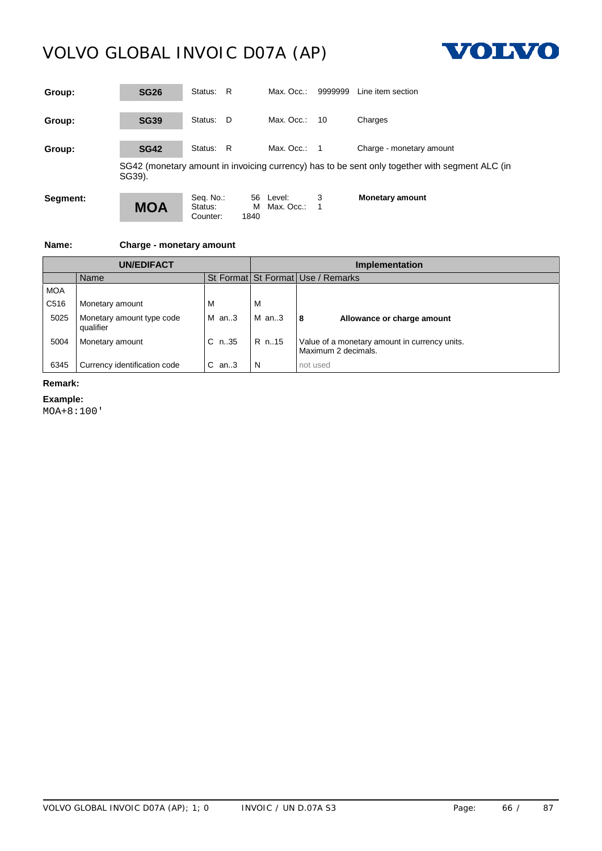

| Group:   | <b>SG26</b> | Status:<br>R                     |                 | Max. Occ.:           | 9999999 | Line item section                                                                              |
|----------|-------------|----------------------------------|-----------------|----------------------|---------|------------------------------------------------------------------------------------------------|
| Group:   | <b>SG39</b> | Status: D                        |                 | Max. Occ.:           | - 10    | Charges                                                                                        |
| Group:   | <b>SG42</b> | Status: R                        |                 | Max. Occ.:           |         | Charge - monetary amount                                                                       |
|          | SG39).      |                                  |                 |                      |         | SG42 (monetary amount in invoicing currency) has to be sent only together with segment ALC (in |
| Segment: | <b>MOA</b>  | Seq. No.:<br>Status:<br>Counter: | 56<br>м<br>1840 | Level:<br>Max. Occ.: | 3       | <b>Monetary amount</b>                                                                         |

### **Name: Charge - monetary amount**

| UN/EDIFACT       |                                        |         | Implementation                    |                                                                                              |  |  |  |
|------------------|----------------------------------------|---------|-----------------------------------|----------------------------------------------------------------------------------------------|--|--|--|
|                  | Name                                   |         | St Format St Format Use / Remarks |                                                                                              |  |  |  |
| <b>MOA</b>       |                                        |         |                                   |                                                                                              |  |  |  |
| C <sub>516</sub> | Monetary amount                        | M       | ΙV                                |                                                                                              |  |  |  |
| 5025             | Monetary amount type code<br>qualifier | $M$ an3 | IMan.3                            | 18<br>Allowance or charge amount                                                             |  |  |  |
| 5004             | Monetary amount                        | C n.35  |                                   | $\vert$ R n. 15 $\vert$ Value of a monetary amount in currency units.<br>Maximum 2 decimals. |  |  |  |
| 6345             | Currency identification code           | $C$ an3 |                                   | not used                                                                                     |  |  |  |

### **Remark:**

### **Example:**

MOA+8:100'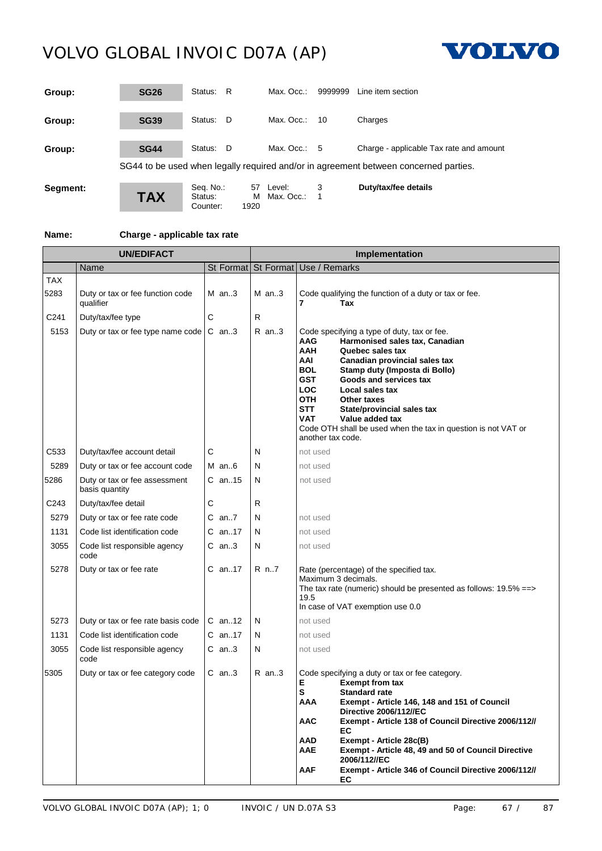

| Group:   | <b>SG26</b> | - R<br>Status:                                 | Max. Occ.:                        | 9999999<br>Line item section                                                         |
|----------|-------------|------------------------------------------------|-----------------------------------|--------------------------------------------------------------------------------------|
| Group:   | <b>SG39</b> | Status:<br>- D                                 | Max. Occ.:<br>-10                 | Charges                                                                              |
| Group:   | <b>SG44</b> | Status:<br>- D                                 | Max. Occ.: $5$                    | Charge - applicable Tax rate and amount                                              |
|          |             |                                                |                                   | SG44 to be used when legally required and/or in agreement between concerned parties. |
| Segment: | <b>TAX</b>  | Seq. No.:<br>57<br>Status:<br>1920<br>Counter: | 3<br>Level:<br>M Max. Occ.:<br>-1 | Duty/tax/fee details                                                                 |

### **Name: Charge - applicable tax rate**

| <b>UN/EDIFACT</b> |                                                 |          | Implementation |                                                                                                                                                                                                                                                                                                                                                                                                                                                                                                      |  |
|-------------------|-------------------------------------------------|----------|----------------|------------------------------------------------------------------------------------------------------------------------------------------------------------------------------------------------------------------------------------------------------------------------------------------------------------------------------------------------------------------------------------------------------------------------------------------------------------------------------------------------------|--|
|                   | Name                                            |          |                | St Format St Format Use / Remarks                                                                                                                                                                                                                                                                                                                                                                                                                                                                    |  |
| <b>TAX</b>        |                                                 |          |                |                                                                                                                                                                                                                                                                                                                                                                                                                                                                                                      |  |
| 5283              | Duty or tax or fee function code<br>qualifier   | $M$ an3  | $M$ an3        | Code qualifying the function of a duty or tax or fee.<br>Tax                                                                                                                                                                                                                                                                                                                                                                                                                                         |  |
| C241              | Duty/tax/fee type                               | С        | R              |                                                                                                                                                                                                                                                                                                                                                                                                                                                                                                      |  |
| 5153              | Duty or tax or fee type name code               | $C$ an3  | $R$ an3        | Code specifying a type of duty, tax or fee.<br>Harmonised sales tax, Canadian<br><b>AAG</b><br><b>AAH</b><br>Quebec sales tax<br>AAI<br>Canadian provincial sales tax<br><b>BOL</b><br>Stamp duty (Imposta di Bollo)<br><b>GST</b><br>Goods and services tax<br><b>LOC</b><br>Local sales tax<br><b>OTH</b><br><b>Other taxes</b><br><b>STT</b><br>State/provincial sales tax<br><b>VAT</b><br>Value added tax<br>Code OTH shall be used when the tax in question is not VAT or<br>another tax code. |  |
| C533              | Duty/tax/fee account detail                     | С        | N              | not used                                                                                                                                                                                                                                                                                                                                                                                                                                                                                             |  |
| 5289              | Duty or tax or fee account code                 | $M$ an6  | N              | not used                                                                                                                                                                                                                                                                                                                                                                                                                                                                                             |  |
| 5286              | Duty or tax or fee assessment<br>basis quantity | C an15   | N              | not used                                                                                                                                                                                                                                                                                                                                                                                                                                                                                             |  |
| C243              | Duty/tax/fee detail                             | С        | R              |                                                                                                                                                                                                                                                                                                                                                                                                                                                                                                      |  |
| 5279              | Duty or tax or fee rate code                    | $C$ an7  | N              | not used                                                                                                                                                                                                                                                                                                                                                                                                                                                                                             |  |
| 1131              | Code list identification code                   | $C$ an17 | N              | not used                                                                                                                                                                                                                                                                                                                                                                                                                                                                                             |  |
| 3055              | Code list responsible agency<br>code            | C an3    | N              | not used                                                                                                                                                                                                                                                                                                                                                                                                                                                                                             |  |
| 5278              | Duty or tax or fee rate                         | C an17   | R n7           | Rate (percentage) of the specified tax.<br>Maximum 3 decimals.<br>The tax rate (numeric) should be presented as follows: 19.5% ==><br>19.5<br>In case of VAT exemption use 0.0                                                                                                                                                                                                                                                                                                                       |  |
| 5273              | Duty or tax or fee rate basis code              | $C$ an12 | N              | not used                                                                                                                                                                                                                                                                                                                                                                                                                                                                                             |  |
| 1131              | Code list identification code                   | C an17   | N              | not used                                                                                                                                                                                                                                                                                                                                                                                                                                                                                             |  |
| 3055              | Code list responsible agency<br>code            | $C$ an3  | N              | not used                                                                                                                                                                                                                                                                                                                                                                                                                                                                                             |  |
| 5305              | Duty or tax or fee category code                | C an3    | $R$ an3        | Code specifying a duty or tax or fee category.<br>Е<br><b>Exempt from tax</b><br>S<br><b>Standard rate</b><br>AAA<br>Exempt - Article 146, 148 and 151 of Council<br>Directive 2006/112//EC<br>Exempt - Article 138 of Council Directive 2006/112//<br><b>AAC</b><br>EC.<br>AAD<br>Exempt - Article 28c(B)<br>Exempt - Article 48, 49 and 50 of Council Directive<br>AAE<br>2006/112//EC<br><b>AAF</b><br>Exempt - Article 346 of Council Directive 2006/112//<br>EC                                 |  |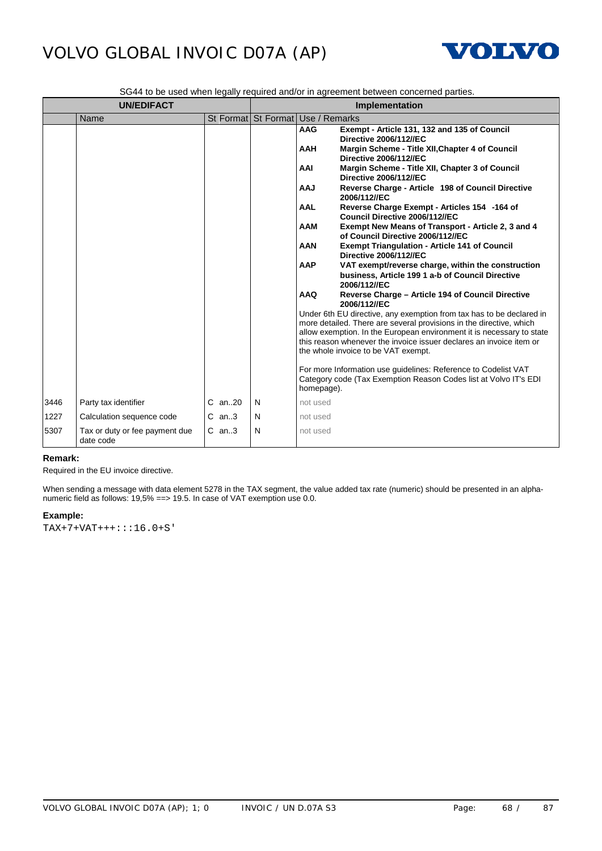

|  | SG44 to be used when legally required and/or in agreement between concerned parties. |  |
|--|--------------------------------------------------------------------------------------|--|
|--|--------------------------------------------------------------------------------------|--|

|      | <b>UN/EDIFACT</b>                           |            |   | Implementation                                                                                                                                                                                |  |
|------|---------------------------------------------|------------|---|-----------------------------------------------------------------------------------------------------------------------------------------------------------------------------------------------|--|
|      | Name                                        |            |   | St Format St Format Use / Remarks                                                                                                                                                             |  |
|      |                                             |            |   | Exempt - Article 131, 132 and 135 of Council<br><b>AAG</b><br><b>Directive 2006/112//EC</b><br><b>AAH</b><br>Margin Scheme - Title XII, Chapter 4 of Council<br><b>Directive 2006/112//EC</b> |  |
|      |                                             |            |   | AAI<br>Margin Scheme - Title XII, Chapter 3 of Council<br><b>Directive 2006/112//EC</b>                                                                                                       |  |
|      |                                             |            |   | LAA<br>Reverse Charge - Article 198 of Council Directive<br>2006/112//EC                                                                                                                      |  |
|      |                                             |            |   | <b>AAL</b><br>Reverse Charge Exempt - Articles 154 -164 of<br>Council Directive 2006/112//EC                                                                                                  |  |
|      |                                             |            |   | <b>AAM</b><br>Exempt New Means of Transport - Article 2, 3 and 4<br>of Council Directive 2006/112//EC                                                                                         |  |
|      |                                             |            |   | <b>AAN</b><br><b>Exempt Triangulation - Article 141 of Council</b><br><b>Directive 2006/112//EC</b>                                                                                           |  |
|      |                                             |            |   | <b>AAP</b><br>VAT exempt/reverse charge, within the construction<br>business, Article 199 1 a-b of Council Directive<br>2006/112//EC                                                          |  |
|      |                                             |            |   | <b>AAQ</b><br>Reverse Charge - Article 194 of Council Directive<br>2006/112//EC                                                                                                               |  |
|      |                                             |            |   | Under 6th EU directive, any exemption from tax has to be declared in<br>more detailed. There are several provisions in the directive, which                                                   |  |
|      |                                             |            |   | allow exemption. In the European environment it is necessary to state<br>this reason whenever the invoice issuer declares an invoice item or<br>the whole invoice to be VAT exempt.           |  |
|      |                                             |            |   | For more Information use guidelines: Reference to Codelist VAT<br>Category code (Tax Exemption Reason Codes list at Volvo IT's EDI<br>homepage).                                              |  |
| 3446 | Party tax identifier                        | $C$ an. 20 | N | not used                                                                                                                                                                                      |  |
| 1227 | Calculation sequence code                   | $C$ an3    | N | not used                                                                                                                                                                                      |  |
| 5307 | Tax or duty or fee payment due<br>date code | $C$ an3    | N | not used                                                                                                                                                                                      |  |

### **Remark:**

Required in the EU invoice directive.

When sending a message with data element 5278 in the TAX segment, the value added tax rate (numeric) should be presented in an alphanumeric field as follows: 19,5% ==> 19.5. In case of VAT exemption use 0.0.

### **Example:**

TAX+7+VAT+++:::16.0+S'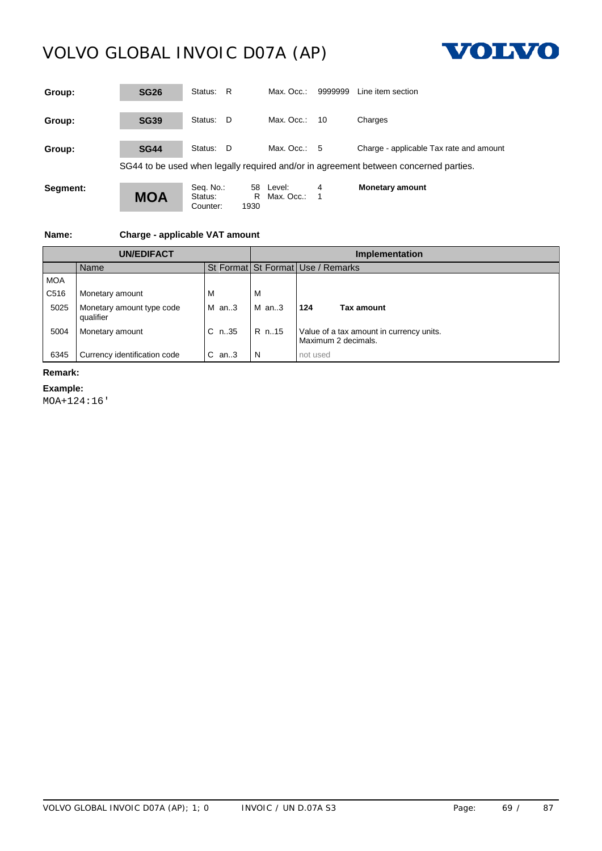

| Group:   | <b>SG26</b> | Status:<br>R                             | Max. Occ.:                      | 9999999 | Line item section                                                                    |
|----------|-------------|------------------------------------------|---------------------------------|---------|--------------------------------------------------------------------------------------|
| Group:   | <b>SG39</b> | Status:<br>- D                           | Max. Occ.:                      | 10      | Charges                                                                              |
| Group:   | <b>SG44</b> | Status:<br>- D                           | Max. Occ.: $5$                  |         | Charge - applicable Tax rate and amount                                              |
|          |             |                                          |                                 |         | SG44 to be used when legally required and/or in agreement between concerned parties. |
| Segment: | <b>MOA</b>  | Seq. No.:<br>Status:<br>1930<br>Counter: | 58<br>Level:<br>Max. Occ.:<br>R | 4<br>1  | <b>Monetary amount</b>                                                               |

### **Name: Charge - applicable VAT amount**

|                  | UN/EDIFACT                             |               |        | <b>Implementation</b>                                           |
|------------------|----------------------------------------|---------------|--------|-----------------------------------------------------------------|
|                  | Name                                   |               |        | St Format St Format   Use / Remarks                             |
| <b>MOA</b>       |                                        |               |        |                                                                 |
| C <sub>516</sub> | Monetary amount                        | M             | IV.    |                                                                 |
| 5025             | Monetary amount type code<br>qualifier | M an3         | IMan.3 | l 124<br>Tax amount                                             |
| 5004             | Monetary amount                        | C n35   R n15 |        | Value of a tax amount in currency units.<br>Maximum 2 decimals. |
| 6345             | Currency identification code           | $C$ an3       | N      | not used                                                        |

### **Remark:**

**Example:**

MOA+124:16'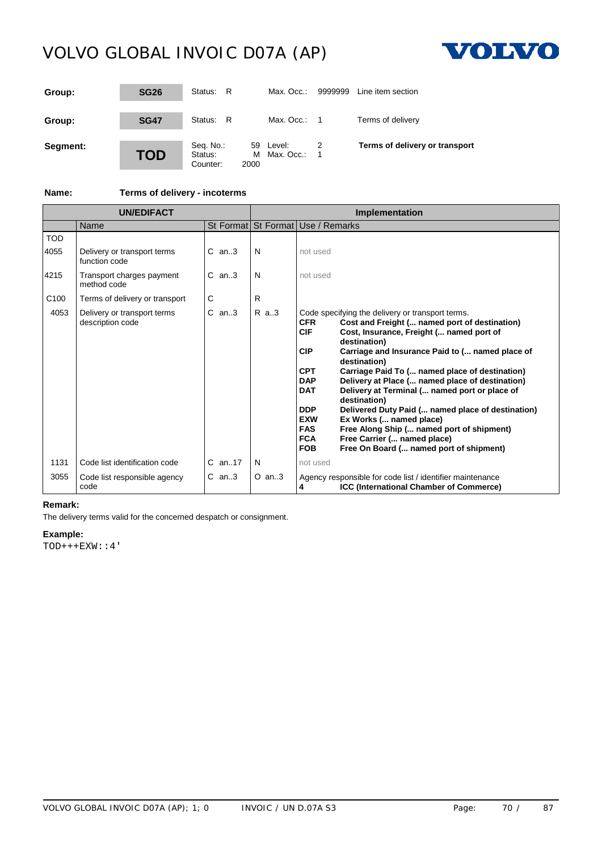

| Group:   | <b>SG26</b> | Status: R                        |           | Max. Occ.:              | 9999999 | Line item section              |
|----------|-------------|----------------------------------|-----------|-------------------------|---------|--------------------------------|
| Group:   | <b>SG47</b> | Status: R                        |           | Max. Occ.: $1$          |         | Terms of delivery              |
| Segment: | <b>TOD</b>  | Seq. No.:<br>Status:<br>Counter: | м<br>2000 | 59 Level:<br>Max. Occ.: | -1      | Terms of delivery or transport |

### **Name: Terms of delivery - incoterms**

| <b>UN/EDIFACT</b>  |                                                 |             | Implementation |                                                                                                                                                                                                                                                                                                                                                                                                                                                                                                                                                                                                                                                                                                                                                                         |  |  |
|--------------------|-------------------------------------------------|-------------|----------------|-------------------------------------------------------------------------------------------------------------------------------------------------------------------------------------------------------------------------------------------------------------------------------------------------------------------------------------------------------------------------------------------------------------------------------------------------------------------------------------------------------------------------------------------------------------------------------------------------------------------------------------------------------------------------------------------------------------------------------------------------------------------------|--|--|
|                    | Name                                            | St Format   |                | St Format Use / Remarks                                                                                                                                                                                                                                                                                                                                                                                                                                                                                                                                                                                                                                                                                                                                                 |  |  |
| <b>TOD</b><br>4055 | Delivery or transport terms<br>function code    | $C$ an. $3$ | N              | not used                                                                                                                                                                                                                                                                                                                                                                                                                                                                                                                                                                                                                                                                                                                                                                |  |  |
| 4215               | Transport charges payment<br>method code        | $C$ an. $3$ | N              | not used                                                                                                                                                                                                                                                                                                                                                                                                                                                                                                                                                                                                                                                                                                                                                                |  |  |
| C <sub>100</sub>   | Terms of delivery or transport                  | С           | R              |                                                                                                                                                                                                                                                                                                                                                                                                                                                                                                                                                                                                                                                                                                                                                                         |  |  |
| 4053               | Delivery or transport terms<br>description code | $C$ an3     | R a.3          | Code specifying the delivery or transport terms.<br>Cost and Freight ( named port of destination)<br><b>CFR</b><br><b>CIF</b><br>Cost, Insurance, Freight ( named port of<br>destination)<br><b>CIP</b><br>Carriage and Insurance Paid to ( named place of<br>destination)<br><b>CPT</b><br>Carriage Paid To ( named place of destination)<br><b>DAP</b><br>Delivery at Place ( named place of destination)<br><b>DAT</b><br>Delivery at Terminal ( named port or place of<br>destination)<br><b>DDP</b><br>Delivered Duty Paid ( named place of destination)<br><b>EXW</b><br>Ex Works ( named place)<br><b>FAS</b><br>Free Along Ship ( named port of shipment)<br><b>FCA</b><br>Free Carrier ( named place)<br><b>FOB</b><br>Free On Board ( named port of shipment) |  |  |
| 1131               | Code list identification code                   | $C$ an17    | N              | not used                                                                                                                                                                                                                                                                                                                                                                                                                                                                                                                                                                                                                                                                                                                                                                |  |  |
| 3055               | Code list responsible agency<br>code            | $C$ an3     | $O$ an3        | Agency responsible for code list / identifier maintenance<br>ICC (International Chamber of Commerce)<br>4                                                                                                                                                                                                                                                                                                                                                                                                                                                                                                                                                                                                                                                               |  |  |

### **Remark:**

The delivery terms valid for the concerned despatch or consignment.

### **Example:**

TOD+++EXW::4'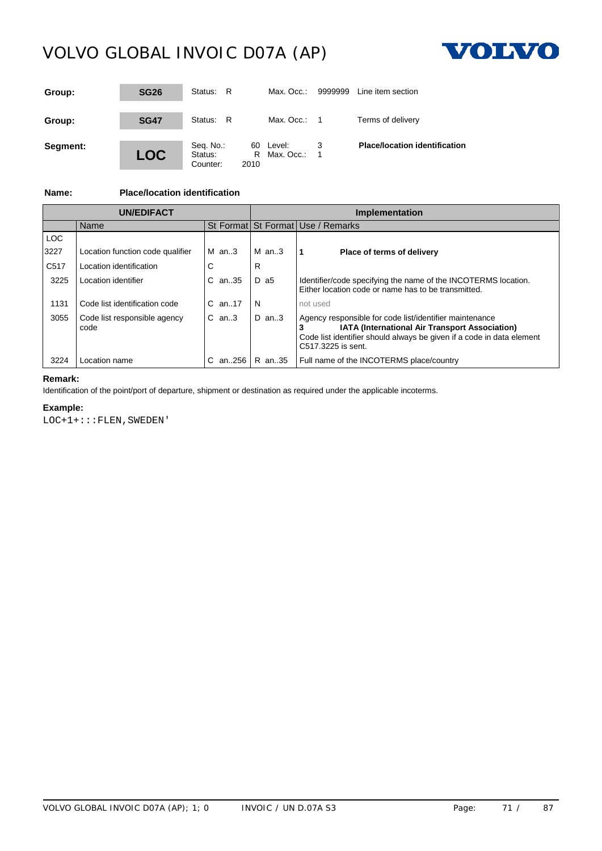

| Group:   | <b>SG26</b> | Status: R                        |      | Max. Occ.:                | 9999999 | Line item section                    |
|----------|-------------|----------------------------------|------|---------------------------|---------|--------------------------------------|
| Group:   | <b>SG47</b> | Status: R                        |      | Max. Occ.: $1$            |         | Terms of delivery                    |
| Segment: | <b>LOC</b>  | Seq. No.:<br>Status:<br>Counter: | 2010 | 60 Level:<br>R Max. Occ.: |         | <b>Place/location identification</b> |

### **Name: Place/location identification**

|                  |                                      |                  |         | <b>Implementation</b>                                                                                                                                                                                           |
|------------------|--------------------------------------|------------------|---------|-----------------------------------------------------------------------------------------------------------------------------------------------------------------------------------------------------------------|
|                  | Name                                 |                  |         | St Format St Format Use / Remarks                                                                                                                                                                               |
| <b>LOC</b>       |                                      |                  |         |                                                                                                                                                                                                                 |
| 3227             | Location function code qualifier     | $M$ an. 3        | $M$ an3 | Place of terms of delivery                                                                                                                                                                                      |
| C <sub>517</sub> | Location identification              | ⌒                | R       |                                                                                                                                                                                                                 |
| 3225             | Location identifier                  | C an35           | D a5    | Identifier/code specifying the name of the INCOTERMS location.<br>Either location code or name has to be transmitted.                                                                                           |
| 1131             | Code list identification code        | $C$ an. 17       | -N      | not used                                                                                                                                                                                                        |
| 3055             | Code list responsible agency<br>code | $C$ an. $3$      | $D$ an3 | Agency responsible for code list/identifier maintenance<br><b>IATA (International Air Transport Association)</b><br>Code list identifier should always be given if a code in data element<br>C517.3225 is sent. |
|                  | Location name                        | C an256   R an35 |         | Full name of the INCOTERMS place/country                                                                                                                                                                        |

### **Remark:**

Identification of the point/port of departure, shipment or destination as required under the applicable incoterms.

#### **Example:**

LOC+1+:::FLEN,SWEDEN'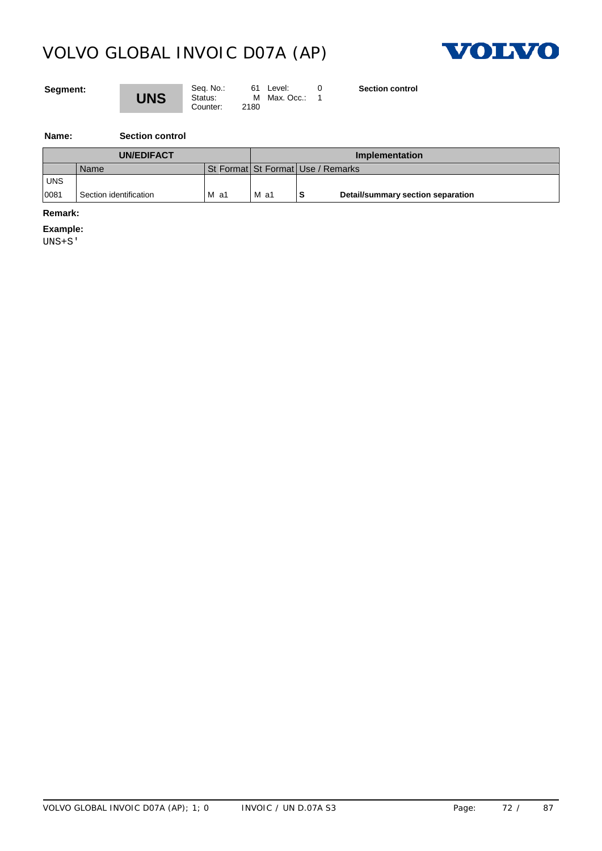

### **Segment:**



Seq. No.: 61 Level: 0<br>**UNS** Status: M Max. Occ.: 1 Counter: 2180

**Section control**

**Name: Section control**

| <b>UN/EDIFACT</b> |                        |        | Implementation |                                       |  |
|-------------------|------------------------|--------|----------------|---------------------------------------|--|
|                   | Name                   |        |                | St Format   St Format   Use / Remarks |  |
| <b>UNS</b>        |                        |        |                |                                       |  |
| 0081              | Section identification | $M$ a1 | $M$ a1         | Detail/summary section separation     |  |

#### **Remark:**

**Example:**

UNS+S'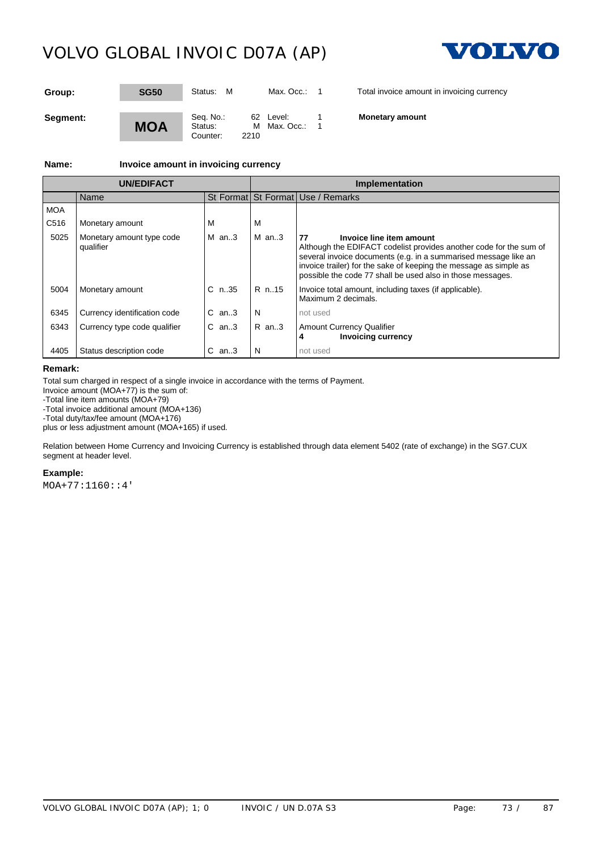

| Group:   | <b>SG50</b> | M<br>Status:                             | Max. Occ.:                | Total invoice amount in invoicing currency |
|----------|-------------|------------------------------------------|---------------------------|--------------------------------------------|
| Segment: | <b>MOA</b>  | Seq. No.:<br>Status:<br>2210<br>Counter: | 62 Level:<br>M Max. Occ.: | <b>Monetary amount</b>                     |

**Name: Invoice amount in invoicing currency**

| <b>UN/EDIFACT</b> |                                        |             | Implementation |                                                                                                                                                                                                                                                                                                            |  |
|-------------------|----------------------------------------|-------------|----------------|------------------------------------------------------------------------------------------------------------------------------------------------------------------------------------------------------------------------------------------------------------------------------------------------------------|--|
|                   | Name                                   |             |                | St Format St Format Use / Remarks                                                                                                                                                                                                                                                                          |  |
| <b>MOA</b>        |                                        |             |                |                                                                                                                                                                                                                                                                                                            |  |
| C516              | Monetary amount                        |             |                |                                                                                                                                                                                                                                                                                                            |  |
| 5025              | Monetary amount type code<br>qualifier | $M$ an3     | $M$ an3        | 77<br>Invoice line item amount<br>Although the EDIFACT codelist provides another code for the sum of<br>several invoice documents (e.g. in a summarised message like an<br>invoice trailer) for the sake of keeping the message as simple as<br>possible the code 77 shall be used also in those messages. |  |
| 5004              | Monetary amount                        | $C_n$ .35   | $R$ n15        | Invoice total amount, including taxes (if applicable).<br>Maximum 2 decimals.                                                                                                                                                                                                                              |  |
| 6345              | Currency identification code           | $C$ an. $3$ | N              | not used                                                                                                                                                                                                                                                                                                   |  |
| 6343              | Currency type code qualifier           | $C$ an3     | $R$ an3        | <b>Amount Currency Qualifier</b><br><b>Invoicing currency</b><br>4                                                                                                                                                                                                                                         |  |
| 4405              | Status description code                | $C$ an3     | N              | not used                                                                                                                                                                                                                                                                                                   |  |

#### **Remark:**

Total sum charged in respect of a single invoice in accordance with the terms of Payment.

Invoice amount (MOA+77) is the sum of:

-Total line item amounts (MOA+79)

-Total invoice additional amount (MOA+136)

-Total duty/tax/fee amount (MOA+176)

plus or less adjustment amount (MOA+165) if used.

Relation between Home Currency and Invoicing Currency is established through data element 5402 (rate of exchange) in the SG7.CUX segment at header level.

#### **Example:**

MOA+77:1160::4'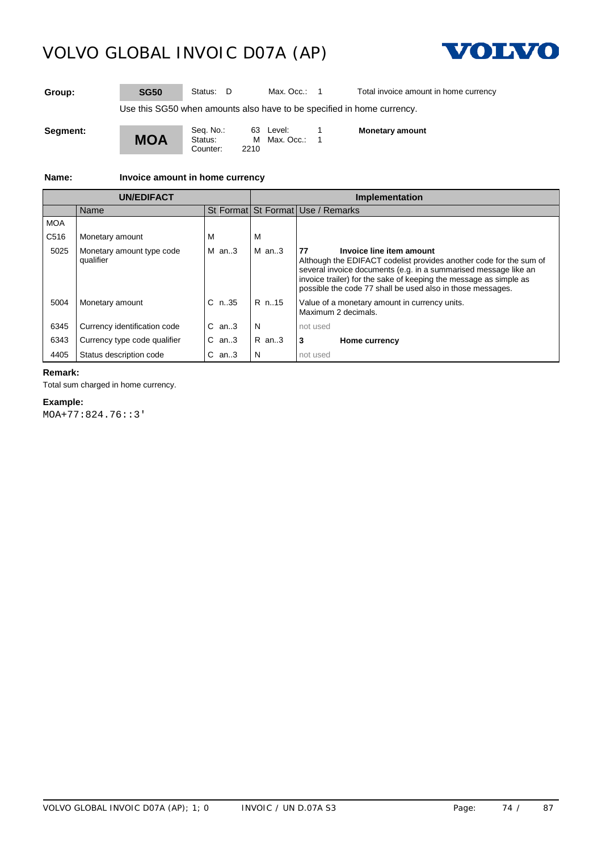

**Group: SG50** Status: D Max. Occ.: 1 Total invoice amount in home currency

Use this SG50 when amounts also have to be specified in home currency.

**Segment:**

**MOA** Seq. No.: 63 Level: 1<br>Status: M Max. Occ.: 1 M Max. Occ.: 1<br>2210 Counter:

**Monetary amount**

**Name: Invoice amount in home currency**

| <b>UN/EDIFACT</b> |                                        |             | Implementation |                                                                                                                                                                                                                                                                                                            |  |
|-------------------|----------------------------------------|-------------|----------------|------------------------------------------------------------------------------------------------------------------------------------------------------------------------------------------------------------------------------------------------------------------------------------------------------------|--|
|                   | Name                                   |             |                | St Format St Format Use / Remarks                                                                                                                                                                                                                                                                          |  |
| <b>MOA</b>        |                                        |             |                |                                                                                                                                                                                                                                                                                                            |  |
| C <sub>516</sub>  | Monetary amount                        |             | м              |                                                                                                                                                                                                                                                                                                            |  |
| 5025              | Monetary amount type code<br>qualifier | $M$ an3     | $M$ an3        | 77<br>Invoice line item amount<br>Although the EDIFACT codelist provides another code for the sum of<br>several invoice documents (e.g. in a summarised message like an<br>invoice trailer) for the sake of keeping the message as simple as<br>possible the code 77 shall be used also in those messages. |  |
| 5004              | Monetary amount                        | $C_{n.35}$  | R n. 15        | Value of a monetary amount in currency units.<br>Maximum 2 decimals.                                                                                                                                                                                                                                       |  |
| 6345              | Currency identification code           | $C$ an. $3$ | N              | not used                                                                                                                                                                                                                                                                                                   |  |
| 6343              | Currency type code qualifier           | $C$ an3     | $R$ an. 3      | <b>Home currency</b>                                                                                                                                                                                                                                                                                       |  |
| 4405              | Status description code                | $C$ an3     | N              | not used                                                                                                                                                                                                                                                                                                   |  |

### **Remark:**

Total sum charged in home currency.

#### **Example:**

MOA+77:824.76::3'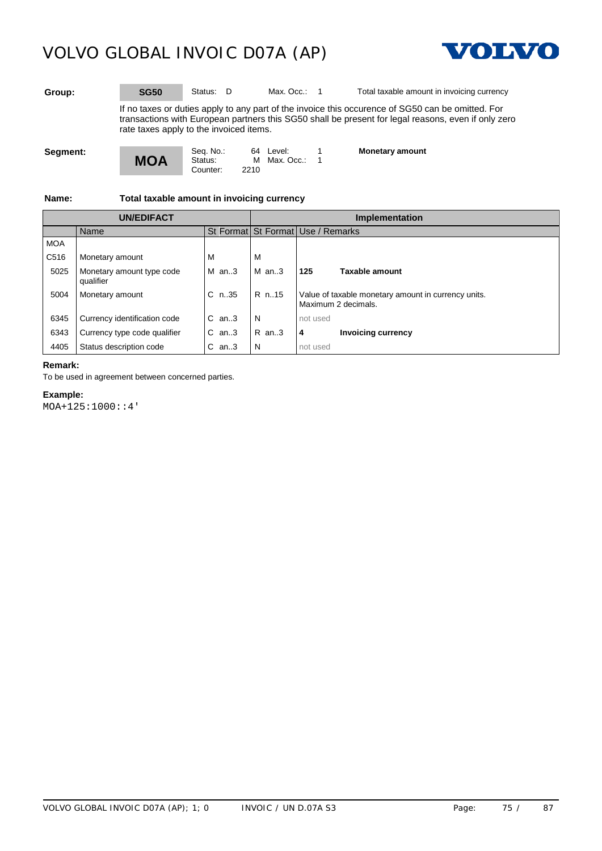

**Group: SG50** Status: D Max. Occ.: 1 Total taxable amount in invoicing currency

If no taxes or duties apply to any part of the invoice this occurence of SG50 can be omitted. For transactions with European partners this SG50 shall be present for legal reasons, even if only zero rate taxes apply to the invoiced items.

**Segment:**

Seq. No.: 64 Level: 1<br>Status: M Max. Occ.: 1 Counter:

M Max. Occ.:<br>2210

**Monetary amount**

**Name: Total taxable amount in invoicing currency**

**MOA**

| <b>UN/EDIFACT</b> |                                        |            |          | Implementation                                                             |  |  |
|-------------------|----------------------------------------|------------|----------|----------------------------------------------------------------------------|--|--|
|                   | Name                                   |            |          | St Format St Format Use / Remarks                                          |  |  |
| <b>MOA</b>        |                                        |            |          |                                                                            |  |  |
| C516              | Monetary amount                        |            |          |                                                                            |  |  |
| 5025              | Monetary amount type code<br>qualifier | $M$ an3    | IMan.3   | Taxable amount<br>1125                                                     |  |  |
| 5004              | Monetary amount                        | $C_{n.35}$ | $R$ n15  | Value of taxable monetary amount in currency units.<br>Maximum 2 decimals. |  |  |
| 6345              | Currency identification code           | $C$ an3    | N        | not used                                                                   |  |  |
| 6343              | Currency type code qualifier           | $C$ an3    | $IR$ an3 | <b>Invoicing currency</b><br>4                                             |  |  |
|                   | Status description code                | $C$ an3    | N        |                                                                            |  |  |

### **Remark:**

To be used in agreement between concerned parties.

### **Example:**

MOA+125:1000::4'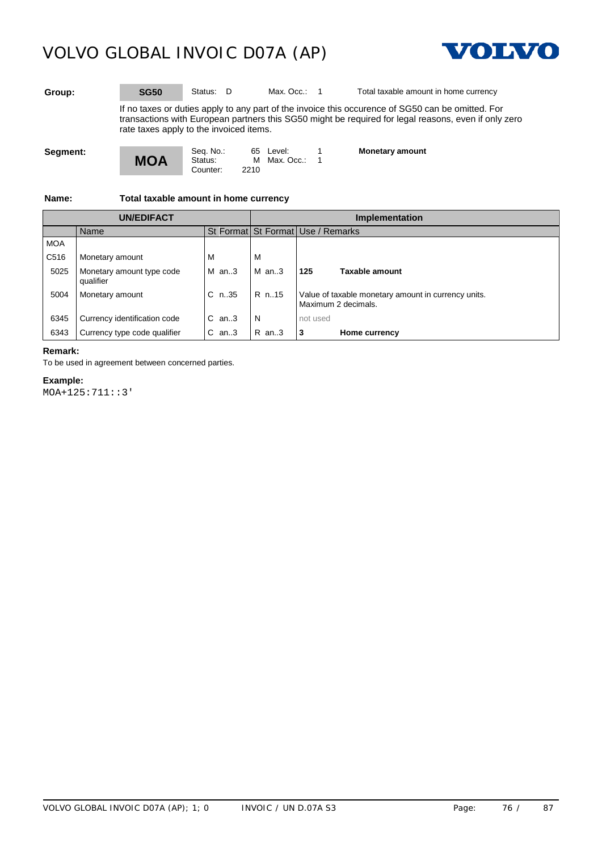

**Group: SG50** Status: D Max. Occ.: 1 Total taxable amount in home currency

If no taxes or duties apply to any part of the invoice this occurence of SG50 can be omitted. For transactions with European partners this SG50 might be required for legal reasons, even if only zero rate taxes apply to the invoiced items.

**Segment:**

Counter:

Seq. No.: 65 Level: 1<br>Status: M Max. Occ.: 1 M Max. Occ.:<br>2210

**Monetary amount**

**Name: Total taxable amount in home currency**

**MOA**

| <b>UN/EDIFACT</b> |                                        |         | Implementation |                                                                                                  |  |
|-------------------|----------------------------------------|---------|----------------|--------------------------------------------------------------------------------------------------|--|
|                   | Name                                   |         |                | St Format St Format Use / Remarks                                                                |  |
| <b>MOA</b>        |                                        |         |                |                                                                                                  |  |
| C <sub>516</sub>  | Monetary amount                        |         | M              |                                                                                                  |  |
| 5025              | Monetary amount type code<br>qualifier | M an3   | $M$ an3        | Taxable amount<br>1125                                                                           |  |
| 5004              | Monetary amount                        |         |                | C $n.35$   R $n.15$   Value of taxable monetary amount in currency units.<br>Maximum 2 decimals. |  |
| 6345              | Currency identification code           | $C$ an3 | N              | not used                                                                                         |  |
| 6343              | Currency type code qualifier           | $C$ an3 | R an3          | <b>Home currency</b>                                                                             |  |

#### **Remark:**

To be used in agreement between concerned parties.

#### **Example:**

MOA+125:711::3'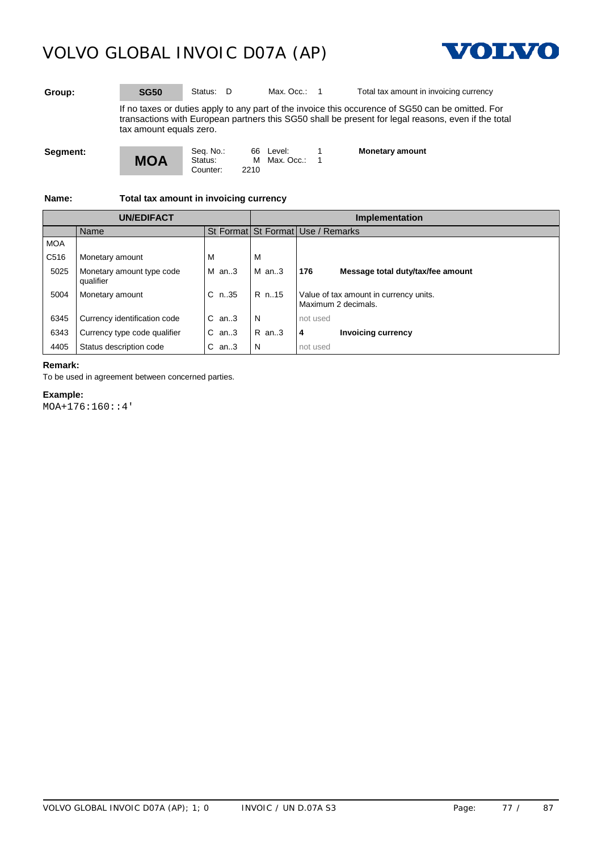



**Group: SG50** Status: D Max. Occ.: 1 Total tax amount in invoicing currency

If no taxes or duties apply to any part of the invoice this occurence of SG50 can be omitted. For transactions with European partners this SG50 shall be present for legal reasons, even if the total tax amount equals zero.

**Segment:**

Counter:

Seq. No.: 66 Level: 1<br>Status: M Max. Occ.: 1  $M$  Max. Occ.:<br>2210

**Monetary amount**

**Name: Total tax amount in invoicing currency**

**MOA**

| <b>UN/EDIFACT</b> |                                        |            |          | Implementation                                                |  |  |
|-------------------|----------------------------------------|------------|----------|---------------------------------------------------------------|--|--|
|                   | Name                                   |            |          | St Format St Format Use / Remarks                             |  |  |
| <b>MOA</b>        |                                        |            |          |                                                               |  |  |
| C516              | Monetary amount                        |            |          |                                                               |  |  |
| 5025              | Monetary amount type code<br>qualifier | $M$ an3    | $M$ an3  | 176<br>Message total duty/tax/fee amount                      |  |  |
| 5004              | Monetary amount                        | $C_{n.35}$ | R n. 15  | Value of tax amount in currency units.<br>Maximum 2 decimals. |  |  |
| 6345              | Currency identification code           | $C$ an3    | N        | not used                                                      |  |  |
| 6343              | Currency type code qualifier           | $C$ an3    | $IR$ an3 | <b>Invoicing currency</b><br>4                                |  |  |
|                   | Status description code                | $C$ an3    | N        |                                                               |  |  |

#### **Remark:**

To be used in agreement between concerned parties.

### **Example:**

MOA+176:160::4'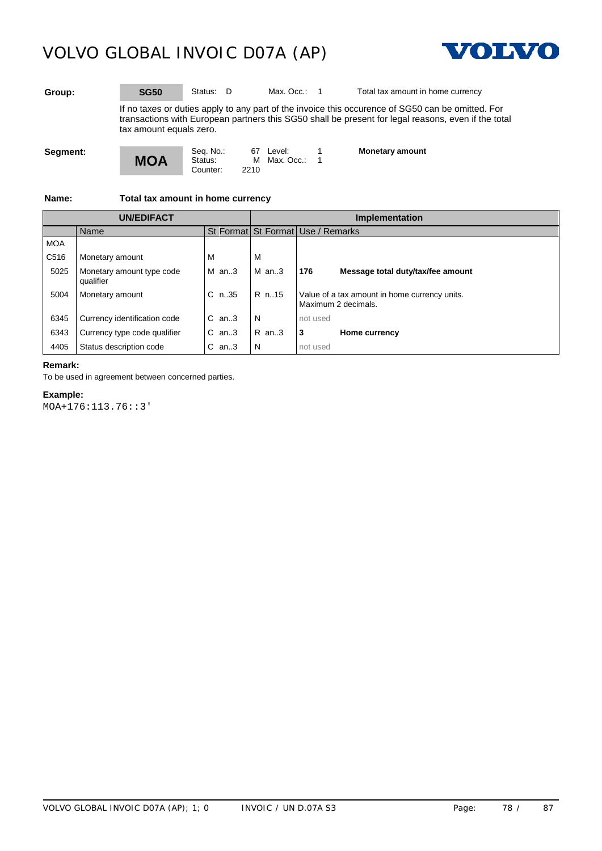



**Group: SG50** Status: D Max. Occ.: 1 Total tax amount in home currency

If no taxes or duties apply to any part of the invoice this occurence of SG50 can be omitted. For transactions with European partners this SG50 shall be present for legal reasons, even if the total tax amount equals zero.

**Segment:**

Counter:

Seq. No.: 67 Level: 1<br>Status: M Max. Occ.: 1 M Max. Occ.:<br>2210

**Monetary amount**

**Name: Total tax amount in home currency**

**MOA**

| <b>UN/EDIFACT</b> |                                        |           |           | Implementation                                                                       |  |  |
|-------------------|----------------------------------------|-----------|-----------|--------------------------------------------------------------------------------------|--|--|
|                   | Name                                   |           |           | St Format St Format Use / Remarks                                                    |  |  |
| <b>MOA</b>        |                                        |           |           |                                                                                      |  |  |
| C516              | Monetary amount                        |           |           |                                                                                      |  |  |
| 5025              | Monetary amount type code<br>qualifier | $M$ an3   | $M$ an3   | l 176<br>Message total duty/tax/fee amount                                           |  |  |
| 5004              | Monetary amount                        |           |           | C n35   R n15   Value of a tax amount in home currency units.<br>Maximum 2 decimals. |  |  |
| 6345              | Currency identification code           | $C$ an3   |           | not used                                                                             |  |  |
| 6343              | Currency type code qualifier           | $C$ an. 3 | $R$ an. 3 | 3<br><b>Home currency</b>                                                            |  |  |
|                   | Status description code                | an3       |           | not used                                                                             |  |  |

#### **Remark:**

To be used in agreement between concerned parties.

### **Example:**

MOA+176:113.76::3'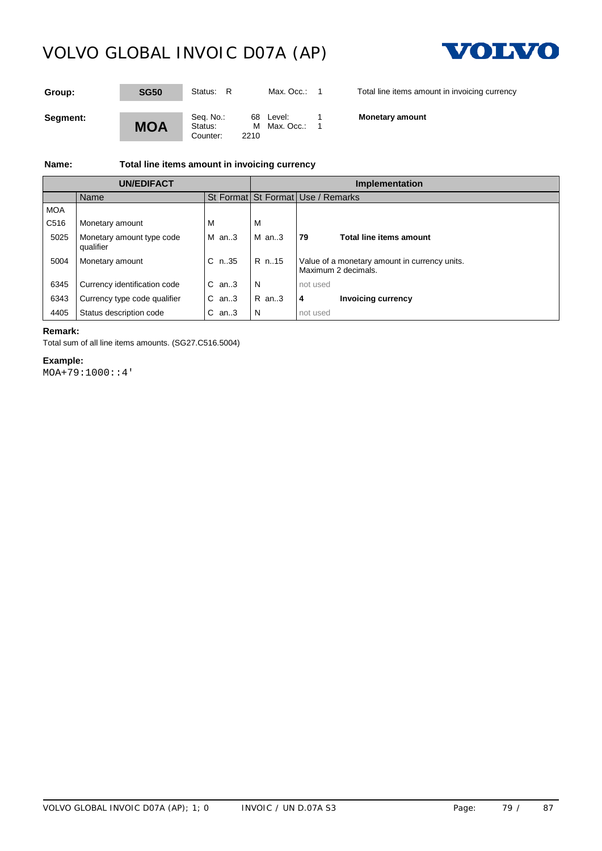

| Group:   | <b>SG50</b> | Status:<br>- R                                | Max. Occ.:              | Total line items amount in invoicing currency |
|----------|-------------|-----------------------------------------------|-------------------------|-----------------------------------------------|
| Segment: | <b>MOA</b>  | Seq. No.:<br>Status:<br>м<br>2210<br>Counter: | 68 Level:<br>Max. Occ.: | <b>Monetary amount</b>                        |

### **Name: Total line items amount in invoicing currency**

| <b>UN/FDIFACT</b> |                                        |         | <b>Implementation</b> |                                                                                            |  |
|-------------------|----------------------------------------|---------|-----------------------|--------------------------------------------------------------------------------------------|--|
|                   | Name                                   |         |                       | St Format St Format Use / Remarks                                                          |  |
| <b>MOA</b>        |                                        |         |                       |                                                                                            |  |
| C <sub>516</sub>  | Monetary amount                        |         |                       |                                                                                            |  |
| 5025              | Monetary amount type code<br>qualifier | $M$ an3 | $M$ an3               | 179<br>Total line items amount                                                             |  |
| 5004              | Monetary amount                        |         |                       | C $n.35$   R $n.15$   Value of a monetary amount in currency units.<br>Maximum 2 decimals. |  |
| 6345              | Currency identification code           | $C$ an3 | N.                    | not used                                                                                   |  |
| 6343              | Currency type code qualifier           | $C$ an3 | R an3                 | <b>Invoicing currency</b>                                                                  |  |
|                   | Status description code                | $C$ an3 | N                     | not used                                                                                   |  |

### **Remark:**

Total sum of all line items amounts. (SG27.C516.5004)

### **Example:**

MOA+79:1000::4'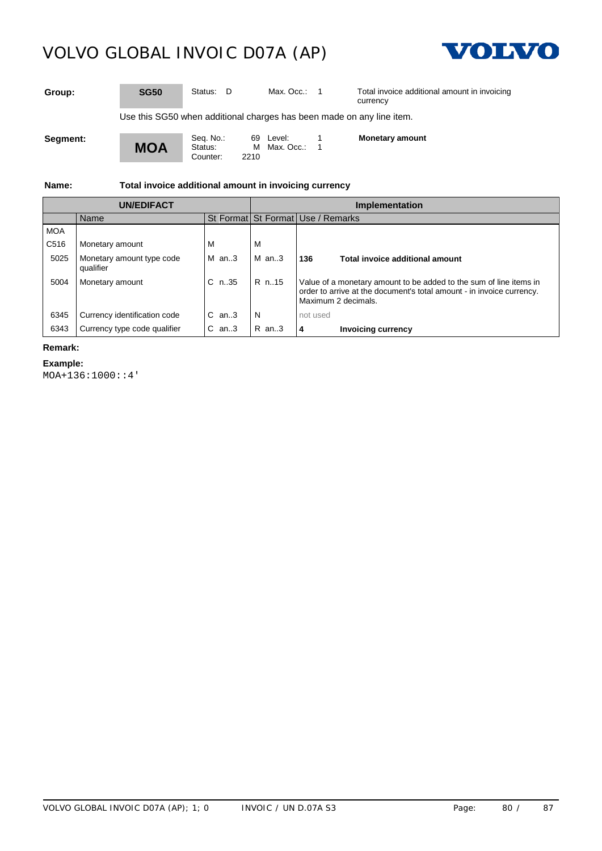

**Group: SG50** Status: D Max. Occ.: 1 Total invoice additional amount in invoicing currency

Use this SG50 when additional charges has been made on any line item.

**Segment:**

**MOA** Counter:

Seq. No.: 69 Level: 1<br>Status: M Max. Occ.: 1 M Max. Occ.:<br>2210

**Monetary amount**

**Name: Total invoice additional amount in invoicing currency**

| <b>UN/FDIFACT</b> |                                        |            |           | Implementation                                                                                                                                                     |  |  |
|-------------------|----------------------------------------|------------|-----------|--------------------------------------------------------------------------------------------------------------------------------------------------------------------|--|--|
|                   | Name                                   |            |           | St Format St Format Use / Remarks                                                                                                                                  |  |  |
| <b>MOA</b>        |                                        |            |           |                                                                                                                                                                    |  |  |
| C <sub>516</sub>  | Monetary amount                        | <b>IV</b>  |           |                                                                                                                                                                    |  |  |
| 5025              | Monetary amount type code<br>qualifier | $M$ an. 3  | $M$ an. 3 | 136<br>Total invoice additional amount                                                                                                                             |  |  |
| 5004              | Monetary amount                        | $C_{n.35}$ | R n. 15   | Value of a monetary amount to be added to the sum of line items in<br>order to arrive at the document's total amount - in invoice currency.<br>Maximum 2 decimals. |  |  |
| 6345              | Currency identification code           | $C$ an3    | N         | not used                                                                                                                                                           |  |  |
| 6343              | Currency type code qualifier           | $C$ an3    | R an3     | <b>Invoicing currency</b><br>4                                                                                                                                     |  |  |

### **Remark:**

### **Example:**

MOA+136:1000::4'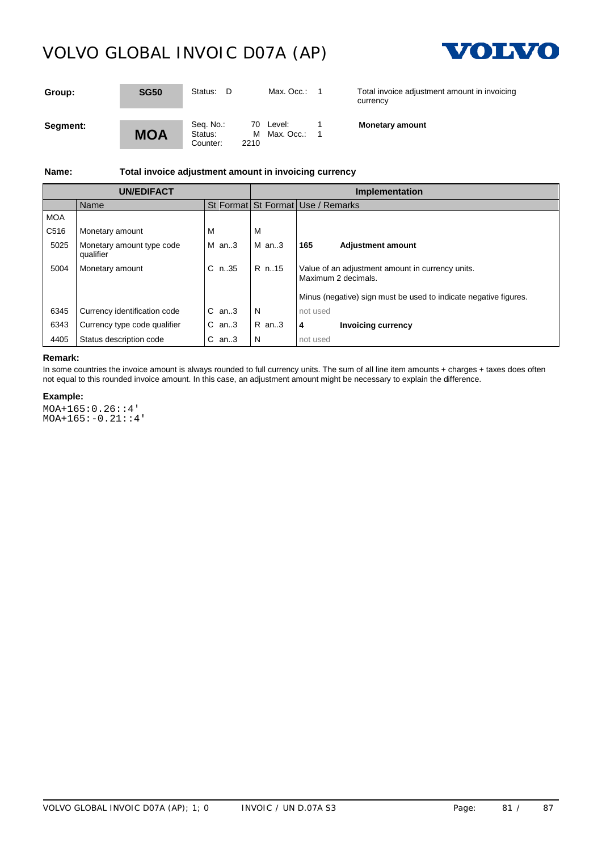

| Group:   | <b>SG50</b> | Status:<br>D                             | Max. Occ.:                | Total invoice adjustment amount in invoicing<br>currency |
|----------|-------------|------------------------------------------|---------------------------|----------------------------------------------------------|
| Segment: | MOA         | Seq. No.:<br>Status:<br>2210<br>Counter: | 70 Level:<br>M Max. Occ.: | <b>Monetary amount</b>                                   |

**Name: Total invoice adjustment amount in invoicing currency**

| UN/EDIFACT |                                        |            | <b>Implementation</b> |                                                                         |  |
|------------|----------------------------------------|------------|-----------------------|-------------------------------------------------------------------------|--|
|            | Name                                   |            |                       | St Format St Format Use / Remarks                                       |  |
| <b>MOA</b> |                                        |            |                       |                                                                         |  |
| C516       | Monetary amount                        | м          | M                     |                                                                         |  |
| 5025       | Monetary amount type code<br>qualifier | $M$ an3    | $M$ an3               | l 165<br>Adjustment amount                                              |  |
| 5004       | Monetary amount                        | $C_{n.35}$ | $IR$ n15              | Value of an adjustment amount in currency units.<br>Maximum 2 decimals. |  |
|            |                                        |            |                       | Minus (negative) sign must be used to indicate negative figures.        |  |
| 6345       | Currency identification code           | $C$ an3    | N                     | not used                                                                |  |
| 6343       | Currency type code qualifier           | $C$ an3    | $R$ an3               | 4<br><b>Invoicing currency</b>                                          |  |
| 4405       | Status description code                | $C$ an3    | -N                    | not used                                                                |  |

#### **Remark:**

In some countries the invoice amount is always rounded to full currency units. The sum of all line item amounts + charges + taxes does often not equal to this rounded invoice amount. In this case, an adjustment amount might be necessary to explain the difference.

#### **Example:**

MOA+165:0.26::4' MOA+165:-0.21::4'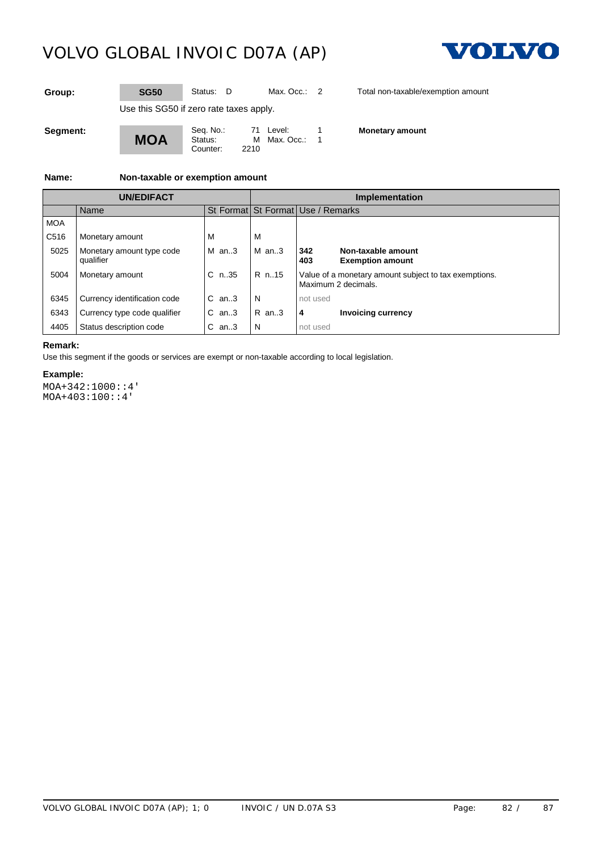

**Group: SG50** Status: D Max. Occ.: 2 Total non-taxable/exemption amount

Use this SG50 if zero rate taxes apply.

**MOA** Counter:

Seq. No.: 71 Level: 1<br>Status: M Max. Occ.: 1 M Max. Occ.:<br>2210

**Monetary amount**

**Name: Non-taxable or exemption amount**

|                  |                                        |            | Implementation                    |                     |                                                       |
|------------------|----------------------------------------|------------|-----------------------------------|---------------------|-------------------------------------------------------|
|                  | Name                                   |            | St Format St Format Use / Remarks |                     |                                                       |
| <b>MOA</b>       |                                        |            |                                   |                     |                                                       |
| C <sub>516</sub> | Monetary amount                        |            | ιv                                |                     |                                                       |
| 5025             | Monetary amount type code<br>qualifier | $M$ an3    | $M$ an3                           | 342<br>403          | Non-taxable amount<br><b>Exemption amount</b>         |
| 5004             | Monetary amount                        | $C_{n.35}$ | $R$ n15                           | Maximum 2 decimals. | Value of a monetary amount subject to tax exemptions. |
| 6345             | Currency identification code           | $C$ an3    | N                                 | not used            |                                                       |
| 6343             | Currency type code qualifier           | $C$ an. 3  | $R$ an3                           | 4                   | <b>Invoicing currency</b>                             |
| 4405             | Status description code                | $C$ an3    | N                                 | not used            |                                                       |

#### **Remark:**

Use this segment if the goods or services are exempt or non-taxable according to local legislation.

#### **Example:**

MOA+342:1000::4' MOA+403:100::4'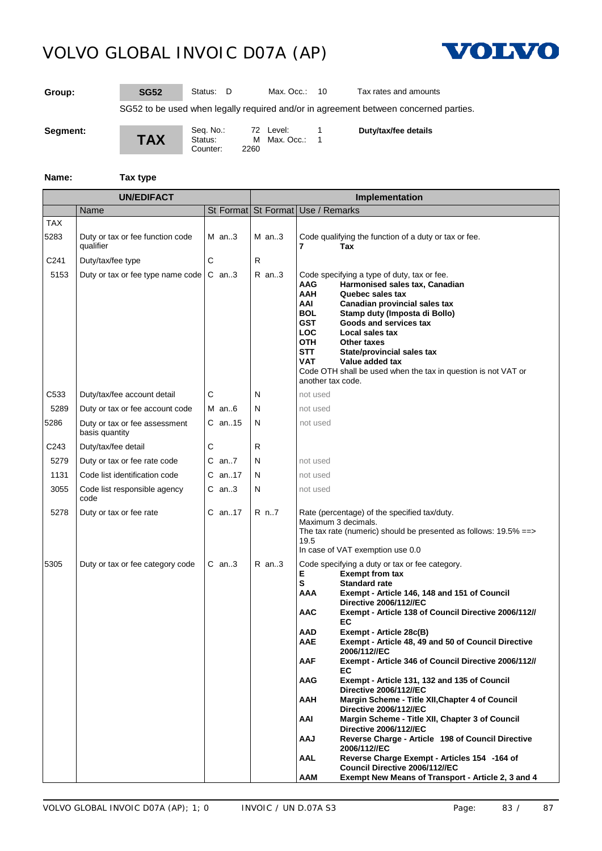Counter:



**Group: SG52** Status: D Max. Occ.: 10 Tax rates and amounts

SG52 to be used when legally required and/or in agreement between concerned parties.

**Segment:**

**TAX**

Seq. No.: 72 Level: 1<br>Status: M Max. Occ.: 1 M Max. Occ.:<br>2260

**Duty/tax/fee details**

**Name: Tax type**

| <b>UN/EDIFACT</b>  |                                                 |   |          | Implementation |  |                                                                                                                                                                                                                                                                                                                                                                                                                                                                                                                                                                                                                                                                                                                                                                                                                                                                                                                                                                                            |
|--------------------|-------------------------------------------------|---|----------|----------------|--|--------------------------------------------------------------------------------------------------------------------------------------------------------------------------------------------------------------------------------------------------------------------------------------------------------------------------------------------------------------------------------------------------------------------------------------------------------------------------------------------------------------------------------------------------------------------------------------------------------------------------------------------------------------------------------------------------------------------------------------------------------------------------------------------------------------------------------------------------------------------------------------------------------------------------------------------------------------------------------------------|
|                    | Name                                            |   |          |                |  | St Format St Format Use / Remarks                                                                                                                                                                                                                                                                                                                                                                                                                                                                                                                                                                                                                                                                                                                                                                                                                                                                                                                                                          |
| <b>TAX</b><br>5283 | Duty or tax or fee function code<br>qualifier   |   | M an3    | $M$ an3        |  | Code qualifying the function of a duty or tax or fee.<br>7<br>Tax                                                                                                                                                                                                                                                                                                                                                                                                                                                                                                                                                                                                                                                                                                                                                                                                                                                                                                                          |
| C241               | Duty/tax/fee type                               | С |          | R              |  |                                                                                                                                                                                                                                                                                                                                                                                                                                                                                                                                                                                                                                                                                                                                                                                                                                                                                                                                                                                            |
| 5153               | Duty or tax or fee type name code               |   | $C$ an3  | $R$ an3        |  | Code specifying a type of duty, tax or fee.<br>Harmonised sales tax, Canadian<br>AAG<br><b>AAH</b><br>Quebec sales tax<br>AAI<br>Canadian provincial sales tax<br>BOL.<br>Stamp duty (Imposta di Bollo)<br><b>GST</b><br>Goods and services tax<br><b>LOC</b><br>Local sales tax<br><b>OTH</b><br>Other taxes<br><b>STT</b><br>State/provincial sales tax<br><b>VAT</b><br>Value added tax<br>Code OTH shall be used when the tax in question is not VAT or<br>another tax code.                                                                                                                                                                                                                                                                                                                                                                                                                                                                                                           |
| C <sub>533</sub>   | Duty/tax/fee account detail                     | С |          | N              |  | not used                                                                                                                                                                                                                                                                                                                                                                                                                                                                                                                                                                                                                                                                                                                                                                                                                                                                                                                                                                                   |
| 5289               | Duty or tax or fee account code                 |   | M an $6$ | N              |  | not used                                                                                                                                                                                                                                                                                                                                                                                                                                                                                                                                                                                                                                                                                                                                                                                                                                                                                                                                                                                   |
| 5286               | Duty or tax or fee assessment<br>basis quantity |   | $C$ an15 | N              |  | not used                                                                                                                                                                                                                                                                                                                                                                                                                                                                                                                                                                                                                                                                                                                                                                                                                                                                                                                                                                                   |
| C <sub>243</sub>   | Duty/tax/fee detail                             | С |          | R.             |  |                                                                                                                                                                                                                                                                                                                                                                                                                                                                                                                                                                                                                                                                                                                                                                                                                                                                                                                                                                                            |
| 5279               | Duty or tax or fee rate code                    |   | C an7    | N              |  | not used                                                                                                                                                                                                                                                                                                                                                                                                                                                                                                                                                                                                                                                                                                                                                                                                                                                                                                                                                                                   |
| 1131               | Code list identification code                   |   | C an17   | N              |  | not used                                                                                                                                                                                                                                                                                                                                                                                                                                                                                                                                                                                                                                                                                                                                                                                                                                                                                                                                                                                   |
| 3055               | Code list responsible agency<br>code            |   | C an3    | N              |  | not used                                                                                                                                                                                                                                                                                                                                                                                                                                                                                                                                                                                                                                                                                                                                                                                                                                                                                                                                                                                   |
| 5278               | Duty or tax or fee rate                         |   | C an17   | R n7           |  | Rate (percentage) of the specified tax/duty.<br>Maximum 3 decimals.<br>The tax rate (numeric) should be presented as follows: $19.5\% == >$<br>19.5<br>In case of VAT exemption use 0.0                                                                                                                                                                                                                                                                                                                                                                                                                                                                                                                                                                                                                                                                                                                                                                                                    |
| 5305               | Duty or tax or fee category code                |   | C an3    | $R$ an3        |  | Code specifying a duty or tax or fee category.<br>Е<br><b>Exempt from tax</b><br>s<br><b>Standard rate</b><br>AAA<br>Exempt - Article 146, 148 and 151 of Council<br><b>Directive 2006/112//EC</b><br>AAC<br>Exempt - Article 138 of Council Directive 2006/112//<br>EC<br>AAD<br>Exempt - Article 28c(B)<br>AAE<br>Exempt - Article 48, 49 and 50 of Council Directive<br>2006/112//EC<br><b>AAF</b><br>Exempt - Article 346 of Council Directive 2006/112//<br>EC<br>AAG<br>Exempt - Article 131, 132 and 135 of Council<br><b>Directive 2006/112//EC</b><br>AAH<br>Margin Scheme - Title XII, Chapter 4 of Council<br><b>Directive 2006/112//EC</b><br>AAI<br>Margin Scheme - Title XII, Chapter 3 of Council<br><b>Directive 2006/112//EC</b><br>LAA<br>Reverse Charge - Article 198 of Council Directive<br>2006/112//EC<br>AAL<br>Reverse Charge Exempt - Articles 154 -164 of<br>Council Directive 2006/112//EC<br><b>AAM</b><br>Exempt New Means of Transport - Article 2, 3 and 4 |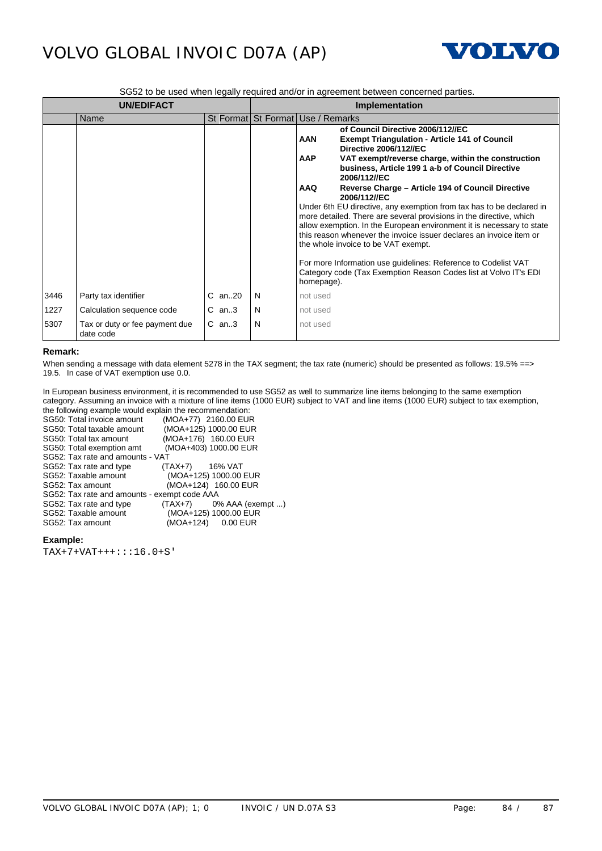

SG52 to be used when legally required and/or in agreement between concerned parties.

|      | <b>UN/EDIFACT</b>                           |             | <b>Implementation</b> |                                                                                                                                                                                                                                                                                                                                                                                                                                                                                                                                                                                                                                                                                                                                                                                                                                                 |  |
|------|---------------------------------------------|-------------|-----------------------|-------------------------------------------------------------------------------------------------------------------------------------------------------------------------------------------------------------------------------------------------------------------------------------------------------------------------------------------------------------------------------------------------------------------------------------------------------------------------------------------------------------------------------------------------------------------------------------------------------------------------------------------------------------------------------------------------------------------------------------------------------------------------------------------------------------------------------------------------|--|
|      | Name                                        |             |                       | St Format St Format Use / Remarks                                                                                                                                                                                                                                                                                                                                                                                                                                                                                                                                                                                                                                                                                                                                                                                                               |  |
|      |                                             |             |                       | of Council Directive 2006/112//EC<br><b>AAN</b><br><b>Exempt Triangulation - Article 141 of Council</b><br><b>Directive 2006/112//EC</b><br><b>AAP</b><br>VAT exempt/reverse charge, within the construction<br>business, Article 199 1 a-b of Council Directive<br>2006/112//EC<br><b>AAQ</b><br>Reverse Charge - Article 194 of Council Directive<br>2006/112//EC<br>Under 6th EU directive, any exemption from tax has to be declared in<br>more detailed. There are several provisions in the directive, which<br>allow exemption. In the European environment it is necessary to state<br>this reason whenever the invoice issuer declares an invoice item or<br>the whole invoice to be VAT exempt.<br>For more Information use guidelines: Reference to Codelist VAT<br>Category code (Tax Exemption Reason Codes list at Volvo IT's EDI |  |
|      |                                             |             |                       | homepage).                                                                                                                                                                                                                                                                                                                                                                                                                                                                                                                                                                                                                                                                                                                                                                                                                                      |  |
| 3446 | Party tax identifier                        | $C$ an. 20  | N                     | not used                                                                                                                                                                                                                                                                                                                                                                                                                                                                                                                                                                                                                                                                                                                                                                                                                                        |  |
| 1227 | Calculation sequence code                   | $C$ an3     | N                     | not used                                                                                                                                                                                                                                                                                                                                                                                                                                                                                                                                                                                                                                                                                                                                                                                                                                        |  |
| 5307 | Tax or duty or fee payment due<br>date code | $C$ an. $3$ | N                     | not used                                                                                                                                                                                                                                                                                                                                                                                                                                                                                                                                                                                                                                                                                                                                                                                                                                        |  |

#### **Remark:**

When sending a message with data element 5278 in the TAX segment; the tax rate (numeric) should be presented as follows: 19.5% ==> 19.5. In case of VAT exemption use 0.0.

In European business environment, it is recommended to use SG52 as well to summarize line items belonging to the same exemption category. Assuming an invoice with a mixture of line items (1000 EUR) subject to VAT and line items (1000 EUR) subject to tax exemption, the following example would explain the recommendation:

| SG50: Total invoice amount                   | (MOA+77) 2160.00 EUR       |
|----------------------------------------------|----------------------------|
| SG50: Total taxable amount                   | (MOA+125) 1000.00 EUR      |
| SG50: Total tax amount                       | (MOA+176) 160.00 EUR       |
| SG50: Total exemption amt                    | (MOA+403) 1000.00 EUR      |
| SG52: Tax rate and amounts - VAT             |                            |
| SG52: Tax rate and type                      | $(TAX+7)$ 16% VAT          |
| SG52: Taxable amount                         | (MOA+125) 1000.00 EUR      |
| SG52: Tax amount                             | (MOA+124) 160.00 EUR       |
| SG52: Tax rate and amounts - exempt code AAA |                            |
| SG52: Tax rate and type                      | $(TAX+7)$ 0% AAA (exempt ) |
| SG52: Taxable amount                         | (MOA+125) 1000.00 EUR      |
| SG52: Tax amount                             | (MOA+124) 0.00 EUR         |
|                                              |                            |

### **Example:**

TAX+7+VAT+++:::16.0+S'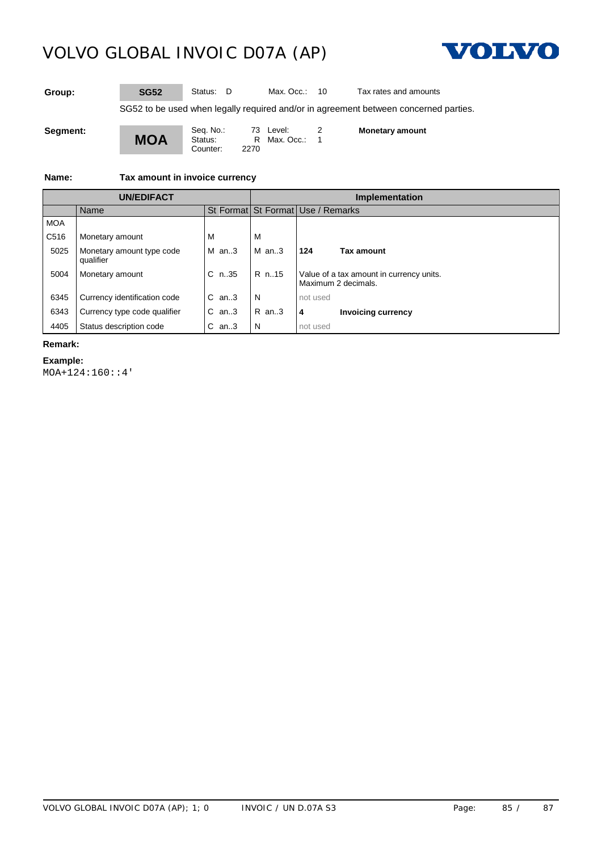

**Group: SG52** Status: D Max. Occ.: 10 Tax rates and amounts

SG52 to be used when legally required and/or in agreement between concerned parties.

**Segment:**

**MOA**

Seq. No.: 73 Level: 2 Status: R Max. Occ.: 1 Counter: 2270

**Monetary amount**

**Name: Tax amount in invoice currency**

|            |                                        |            | Implementation |                                                                 |  |
|------------|----------------------------------------|------------|----------------|-----------------------------------------------------------------|--|
|            | Name                                   |            |                | St Format St Format Use / Remarks                               |  |
| <b>MOA</b> |                                        |            |                |                                                                 |  |
| C516       | Monetary amount                        | M          | ΙVΙ            |                                                                 |  |
| 5025       | Monetary amount type code<br>qualifier | $M$ an3    | $M$ an. 3      | 124<br>Tax amount                                               |  |
| 5004       | Monetary amount                        | $C_{n.35}$ | R n. 15        | Value of a tax amount in currency units.<br>Maximum 2 decimals. |  |
| 6345       | Currency identification code           | $C$ an3    | N              | not used                                                        |  |
| 6343       | Currency type code qualifier           | $C$ an3    | $R$ an3        | 4<br><b>Invoicing currency</b>                                  |  |
|            | Status description code                | $C$ an3    | N              | not used                                                        |  |

### **Remark:**

#### **Example:**

MOA+124:160::4'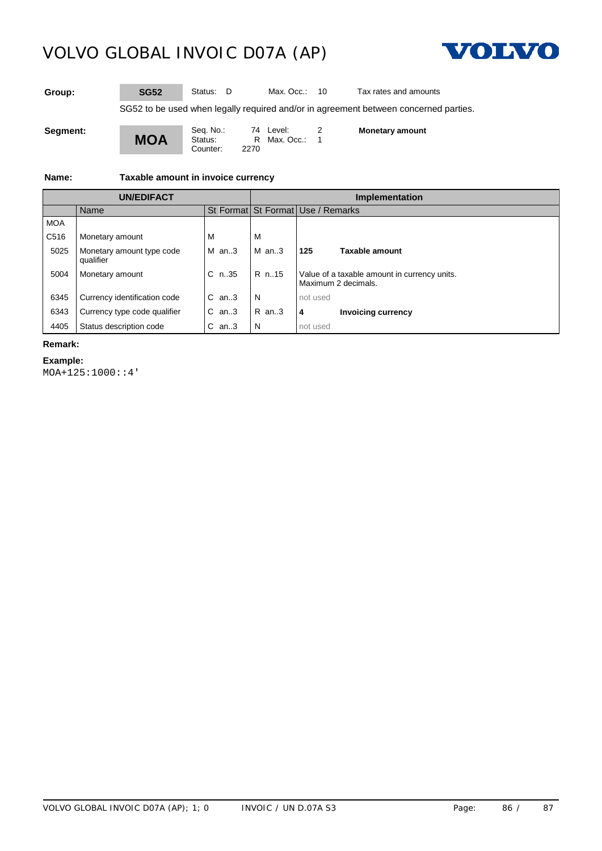

**Group: SG52** Status: D Max. Occ.: 10 Tax rates and amounts

SG52 to be used when legally required and/or in agreement between concerned parties.

**Segment:**



Seq. No.: 74 Level: 2 Status: R Max. Occ.: 1 Counter: 2270

**Monetary amount**

**Name: Taxable amount in invoice currency**

|            | <b>UN/EDIFACT</b>                      |         | Implementation |                                                                     |  |
|------------|----------------------------------------|---------|----------------|---------------------------------------------------------------------|--|
|            | Name                                   |         |                | St Format St Format Use / Remarks                                   |  |
| <b>MOA</b> |                                        |         |                |                                                                     |  |
| C516       | Monetary amount                        |         | ΙVΙ            |                                                                     |  |
| 5025       | Monetary amount type code<br>qualifier | IM an3  | $M$ an3        | 125<br>Taxable amount                                               |  |
| 5004       | Monetary amount                        | C n35   | R n. 15        | Value of a taxable amount in currency units.<br>Maximum 2 decimals. |  |
| 6345       | Currency identification code           | IC an3  | N              | not used                                                            |  |
| 6343       | Currency type code qualifier           | $C$ an3 | $IR$ an3       | <b>Invoicing currency</b><br>4                                      |  |
|            | Status description code                | $C$ an3 | N              | not used                                                            |  |

### **Remark:**

**Example:**

MOA+125:1000::4'